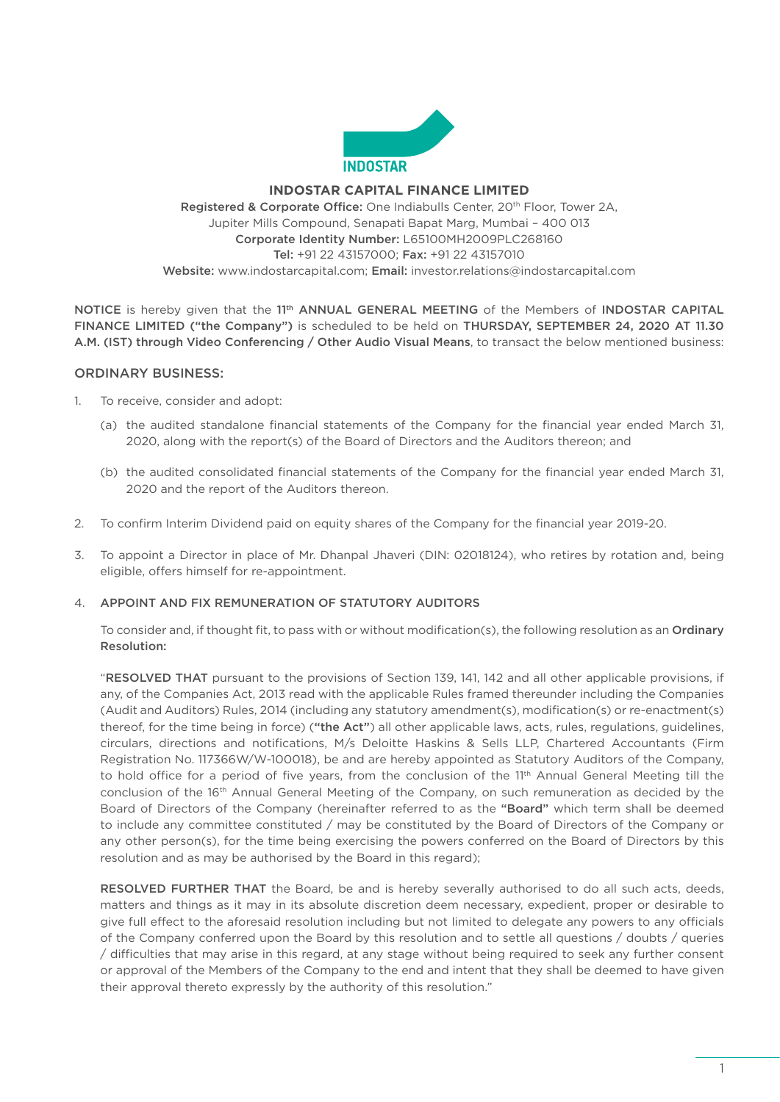

#### **INDOSTAR CAPITAL FINANCE LIMITED**

Registered & Corporate Office: One Indiabulls Center, 20<sup>th</sup> Floor, Tower 2A, Jupiter Mills Compound, Senapati Bapat Marg, Mumbai – 400 013 Corporate Identity Number: L65100MH2009PLC268160 Tel: +91 22 43157000; Fax: +91 22 43157010 Website: [www.indostarcapital.com;](http://www.indostarcapital.com) Email: [investor.relations@indostarcapital.com](mailto:investor.relations@indostarcapital.com)

NOTICE is hereby given that the 11<sup>th</sup> ANNUAL GENERAL MEETING of the Members of INDOSTAR CAPITAL FINANCE LIMITED ("the Company") is scheduled to be held on THURSDAY, SEPTEMBER 24, 2020 AT 11.30 A.M. (IST) through Video Conferencing / Other Audio Visual Means, to transact the below mentioned business:

### ORDINARY BUSINESS:

- 1. To receive, consider and adopt:
	- (a) the audited standalone financial statements of the Company for the financial year ended March 31, 2020, along with the report(s) of the Board of Directors and the Auditors thereon; and
	- (b) the audited consolidated financial statements of the Company for the financial year ended March 31, 2020 and the report of the Auditors thereon.
- 2. To confirm Interim Dividend paid on equity shares of the Company for the financial year 2019-20.
- 3. To appoint a Director in place of Mr. Dhanpal Jhaveri (DIN: 02018124), who retires by rotation and, being eligible, offers himself for re-appointment.

### 4. APPOINT AND FIX REMUNERATION OF STATUTORY AUDITORS

To consider and, if thought fit, to pass with or without modification(s), the following resolution as an Ordinary Resolution:

 "RESOLVED THAT pursuant to the provisions of Section 139, 141, 142 and all other applicable provisions, if any, of the Companies Act, 2013 read with the applicable Rules framed thereunder including the Companies (Audit and Auditors) Rules, 2014 (including any statutory amendment(s), modification(s) or re-enactment(s) thereof, for the time being in force) ("the Act") all other applicable laws, acts, rules, regulations, guidelines, circulars, directions and notifications, M/s Deloitte Haskins & Sells LLP, Chartered Accountants (Firm Registration No. 117366W/W-100018), be and are hereby appointed as Statutory Auditors of the Company, to hold office for a period of five years, from the conclusion of the 11<sup>th</sup> Annual General Meeting till the conclusion of the 16<sup>th</sup> Annual General Meeting of the Company, on such remuneration as decided by the Board of Directors of the Company (hereinafter referred to as the "Board" which term shall be deemed to include any committee constituted / may be constituted by the Board of Directors of the Company or any other person(s), for the time being exercising the powers conferred on the Board of Directors by this resolution and as may be authorised by the Board in this regard);

RESOLVED FURTHER THAT the Board, be and is hereby severally authorised to do all such acts, deeds, matters and things as it may in its absolute discretion deem necessary, expedient, proper or desirable to give full effect to the aforesaid resolution including but not limited to delegate any powers to any officials of the Company conferred upon the Board by this resolution and to settle all questions / doubts / queries / difficulties that may arise in this regard, at any stage without being required to seek any further consent or approval of the Members of the Company to the end and intent that they shall be deemed to have given their approval thereto expressly by the authority of this resolution."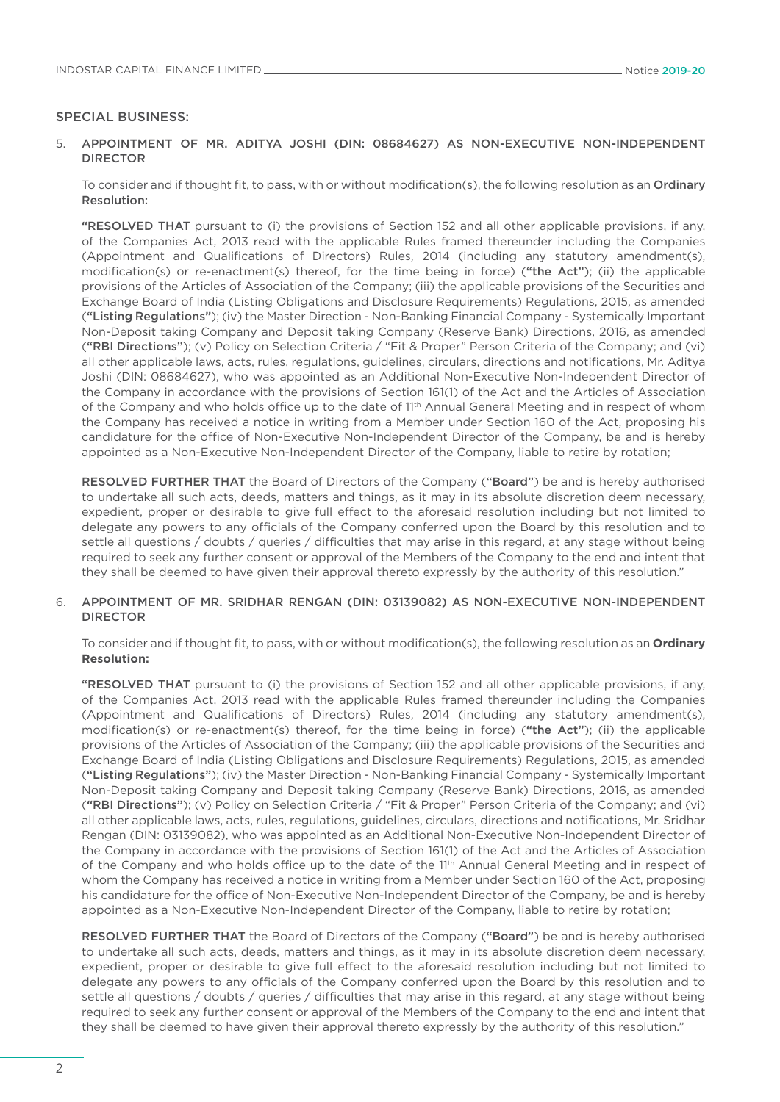#### SPECIAL BUSINESS:

#### 5. APPOINTMENT OF MR. ADITYA JOSHI (DIN: 08684627) AS NON-EXECUTIVE NON-INDEPENDENT DIRECTOR

 To consider and if thought fit, to pass, with or without modification(s), the following resolution as an Ordinary Resolution:

 "RESOLVED THAT pursuant to (i) the provisions of Section 152 and all other applicable provisions, if any, of the Companies Act, 2013 read with the applicable Rules framed thereunder including the Companies (Appointment and Qualifications of Directors) Rules, 2014 (including any statutory amendment(s), modification(s) or re-enactment(s) thereof, for the time being in force) ("the Act"); (ii) the applicable provisions of the Articles of Association of the Company; (iii) the applicable provisions of the Securities and Exchange Board of India (Listing Obligations and Disclosure Requirements) Regulations, 2015, as amended ("Listing Regulations"); (iv) the Master Direction - Non-Banking Financial Company - Systemically Important Non-Deposit taking Company and Deposit taking Company (Reserve Bank) Directions, 2016, as amended ("RBI Directions"); (v) Policy on Selection Criteria / "Fit & Proper" Person Criteria of the Company; and (vi) all other applicable laws, acts, rules, regulations, guidelines, circulars, directions and notifications, Mr. Aditya Joshi (DIN: 08684627), who was appointed as an Additional Non-Executive Non-Independent Director of the Company in accordance with the provisions of Section 161(1) of the Act and the Articles of Association of the Company and who holds office up to the date of 11<sup>th</sup> Annual General Meeting and in respect of whom the Company has received a notice in writing from a Member under Section 160 of the Act, proposing his candidature for the office of Non-Executive Non-Independent Director of the Company, be and is hereby appointed as a Non-Executive Non-Independent Director of the Company, liable to retire by rotation;

 RESOLVED FURTHER THAT the Board of Directors of the Company ("Board") be and is hereby authorised to undertake all such acts, deeds, matters and things, as it may in its absolute discretion deem necessary, expedient, proper or desirable to give full effect to the aforesaid resolution including but not limited to delegate any powers to any officials of the Company conferred upon the Board by this resolution and to settle all questions / doubts / queries / difficulties that may arise in this regard, at any stage without being required to seek any further consent or approval of the Members of the Company to the end and intent that they shall be deemed to have given their approval thereto expressly by the authority of this resolution."

#### 6. APPOINTMENT OF MR. SRIDHAR RENGAN (DIN: 03139082) AS NON-EXECUTIVE NON-INDEPENDENT DIRECTOR

 To consider and if thought fit, to pass, with or without modification(s), the following resolution as an **Ordinary Resolution:**

"RESOLVED THAT pursuant to (i) the provisions of Section 152 and all other applicable provisions, if any, of the Companies Act, 2013 read with the applicable Rules framed thereunder including the Companies (Appointment and Qualifications of Directors) Rules, 2014 (including any statutory amendment(s), modification(s) or re-enactment(s) thereof, for the time being in force) ("the Act"); (ii) the applicable provisions of the Articles of Association of the Company; (iii) the applicable provisions of the Securities and Exchange Board of India (Listing Obligations and Disclosure Requirements) Regulations, 2015, as amended ("Listing Regulations"); (iv) the Master Direction - Non-Banking Financial Company - Systemically Important Non-Deposit taking Company and Deposit taking Company (Reserve Bank) Directions, 2016, as amended ("RBI Directions"); (v) Policy on Selection Criteria / "Fit & Proper" Person Criteria of the Company; and (vi) all other applicable laws, acts, rules, regulations, guidelines, circulars, directions and notifications, Mr. Sridhar Rengan (DIN: 03139082), who was appointed as an Additional Non-Executive Non-Independent Director of the Company in accordance with the provisions of Section 161(1) of the Act and the Articles of Association of the Company and who holds office up to the date of the 11<sup>th</sup> Annual General Meeting and in respect of whom the Company has received a notice in writing from a Member under Section 160 of the Act, proposing his candidature for the office of Non-Executive Non-Independent Director of the Company, be and is hereby appointed as a Non-Executive Non-Independent Director of the Company, liable to retire by rotation;

 RESOLVED FURTHER THAT the Board of Directors of the Company ("Board") be and is hereby authorised to undertake all such acts, deeds, matters and things, as it may in its absolute discretion deem necessary, expedient, proper or desirable to give full effect to the aforesaid resolution including but not limited to delegate any powers to any officials of the Company conferred upon the Board by this resolution and to settle all questions / doubts / queries / difficulties that may arise in this regard, at any stage without being required to seek any further consent or approval of the Members of the Company to the end and intent that they shall be deemed to have given their approval thereto expressly by the authority of this resolution."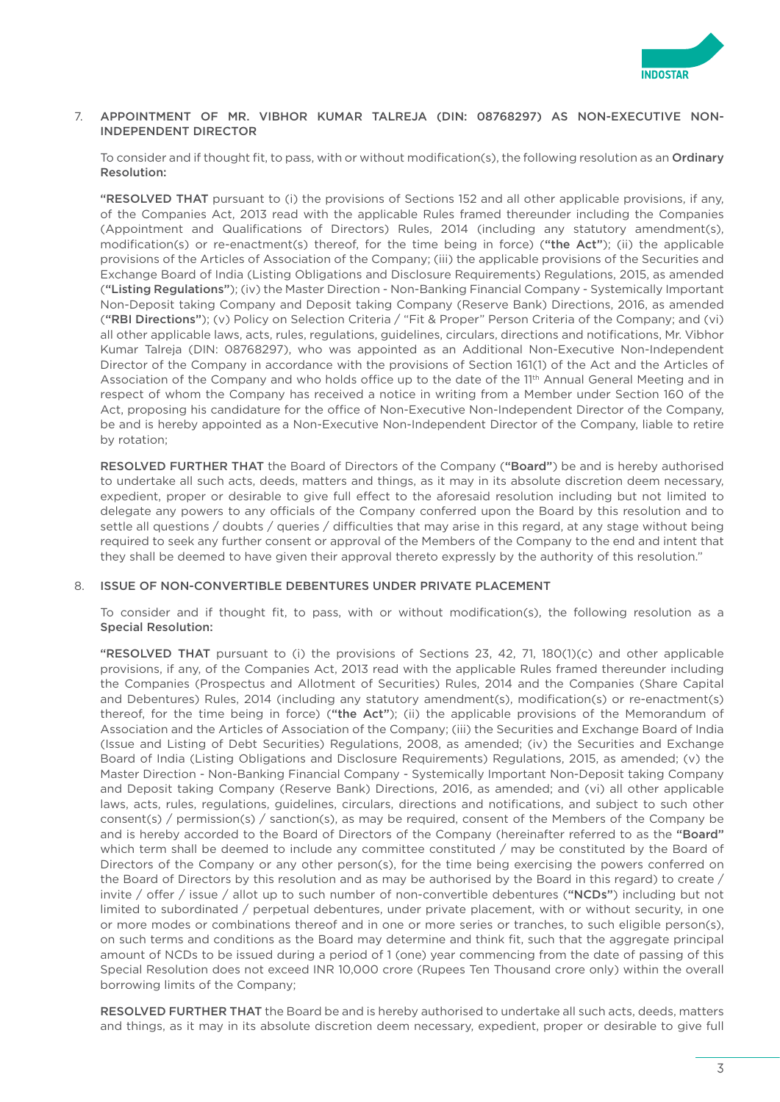

#### 7. APPOINTMENT OF MR. VIBHOR KUMAR TALREJA (DIN: 08768297) AS NON-EXECUTIVE NON-INDEPENDENT DIRECTOR

To consider and if thought fit, to pass, with or without modification(s), the following resolution as an Ordinary Resolution:

 "RESOLVED THAT pursuant to (i) the provisions of Sections 152 and all other applicable provisions, if any, of the Companies Act, 2013 read with the applicable Rules framed thereunder including the Companies (Appointment and Qualifications of Directors) Rules, 2014 (including any statutory amendment(s), modification(s) or re-enactment(s) thereof, for the time being in force) ("the Act"); (ii) the applicable provisions of the Articles of Association of the Company; (iii) the applicable provisions of the Securities and Exchange Board of India (Listing Obligations and Disclosure Requirements) Regulations, 2015, as amended ("Listing Regulations"); (iv) the Master Direction - Non-Banking Financial Company - Systemically Important Non-Deposit taking Company and Deposit taking Company (Reserve Bank) Directions, 2016, as amended ("RBI Directions"); (v) Policy on Selection Criteria / "Fit & Proper" Person Criteria of the Company; and (vi) all other applicable laws, acts, rules, regulations, guidelines, circulars, directions and notifications, Mr. Vibhor Kumar Talreja (DIN: 08768297), who was appointed as an Additional Non-Executive Non-Independent Director of the Company in accordance with the provisions of Section 161(1) of the Act and the Articles of Association of the Company and who holds office up to the date of the 11<sup>th</sup> Annual General Meeting and in respect of whom the Company has received a notice in writing from a Member under Section 160 of the Act, proposing his candidature for the office of Non-Executive Non-Independent Director of the Company, be and is hereby appointed as a Non-Executive Non-Independent Director of the Company, liable to retire by rotation;

RESOLVED FURTHER THAT the Board of Directors of the Company ("Board") be and is hereby authorised to undertake all such acts, deeds, matters and things, as it may in its absolute discretion deem necessary, expedient, proper or desirable to give full effect to the aforesaid resolution including but not limited to delegate any powers to any officials of the Company conferred upon the Board by this resolution and to settle all questions / doubts / queries / difficulties that may arise in this regard, at any stage without being required to seek any further consent or approval of the Members of the Company to the end and intent that they shall be deemed to have given their approval thereto expressly by the authority of this resolution."

### 8. ISSUE OF NON-CONVERTIBLE DEBENTURES UNDER PRIVATE PLACEMENT

 To consider and if thought fit, to pass, with or without modification(s), the following resolution as a Special Resolution:

 "RESOLVED THAT pursuant to (i) the provisions of Sections 23, 42, 71, 180(1)(c) and other applicable provisions, if any, of the Companies Act, 2013 read with the applicable Rules framed thereunder including the Companies (Prospectus and Allotment of Securities) Rules, 2014 and the Companies (Share Capital and Debentures) Rules, 2014 (including any statutory amendment(s), modification(s) or re-enactment(s) thereof, for the time being in force) ("the Act"); (ii) the applicable provisions of the Memorandum of Association and the Articles of Association of the Company; (iii) the Securities and Exchange Board of India (Issue and Listing of Debt Securities) Regulations, 2008, as amended; (iv) the Securities and Exchange Board of India (Listing Obligations and Disclosure Requirements) Regulations, 2015, as amended; (v) the Master Direction - Non-Banking Financial Company - Systemically Important Non-Deposit taking Company and Deposit taking Company (Reserve Bank) Directions, 2016, as amended; and (vi) all other applicable laws, acts, rules, regulations, guidelines, circulars, directions and notifications, and subject to such other consent(s) / permission(s) / sanction(s), as may be required, consent of the Members of the Company be and is hereby accorded to the Board of Directors of the Company (hereinafter referred to as the "Board" which term shall be deemed to include any committee constituted / may be constituted by the Board of Directors of the Company or any other person(s), for the time being exercising the powers conferred on the Board of Directors by this resolution and as may be authorised by the Board in this regard) to create / invite / offer / issue / allot up to such number of non-convertible debentures ("NCDs") including but not limited to subordinated / perpetual debentures, under private placement, with or without security, in one or more modes or combinations thereof and in one or more series or tranches, to such eligible person(s), on such terms and conditions as the Board may determine and think fit, such that the aggregate principal amount of NCDs to be issued during a period of 1 (one) year commencing from the date of passing of this Special Resolution does not exceed INR 10,000 crore (Rupees Ten Thousand crore only) within the overall borrowing limits of the Company;

 RESOLVED FURTHER THAT the Board be and is hereby authorised to undertake all such acts, deeds, matters and things, as it may in its absolute discretion deem necessary, expedient, proper or desirable to give full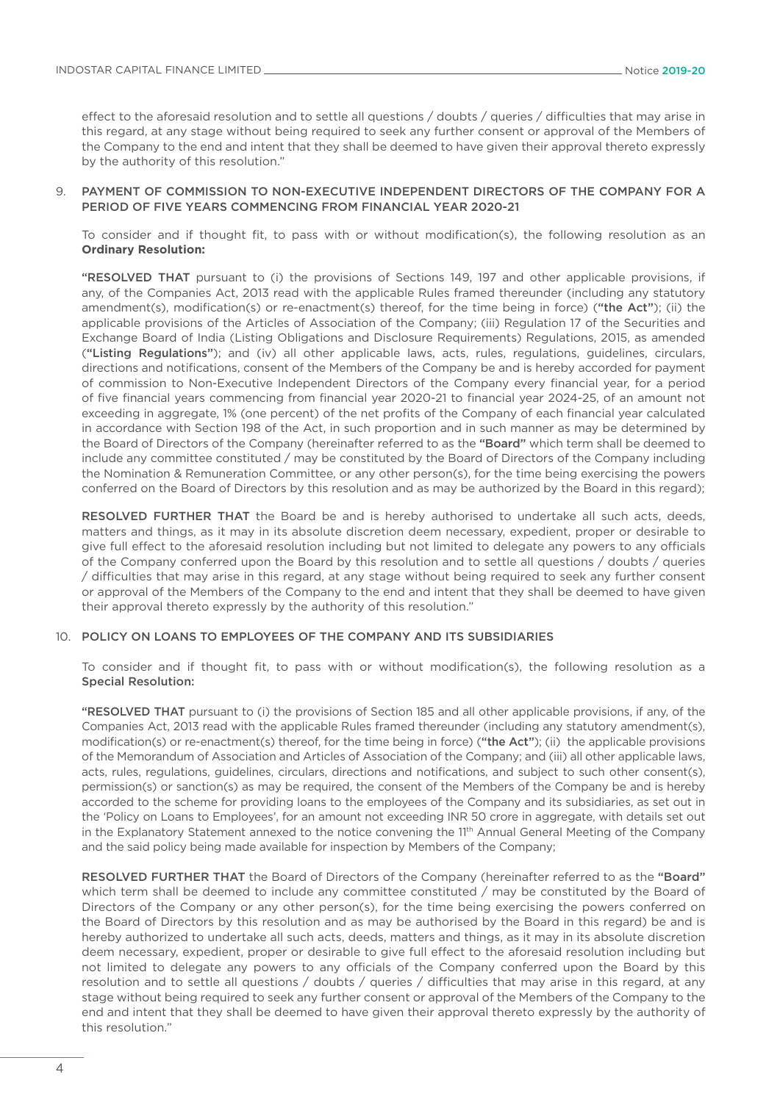effect to the aforesaid resolution and to settle all questions / doubts / queries / difficulties that may arise in this regard, at any stage without being required to seek any further consent or approval of the Members of the Company to the end and intent that they shall be deemed to have given their approval thereto expressly by the authority of this resolution."

#### 9. PAYMENT OF COMMISSION TO NON-EXECUTIVE INDEPENDENT DIRECTORS OF THE COMPANY FOR A PERIOD OF FIVE YEARS COMMENCING FROM FINANCIAL YEAR 2020-21

 To consider and if thought fit, to pass with or without modification(s), the following resolution as an **Ordinary Resolution:**

 "RESOLVED THAT pursuant to (i) the provisions of Sections 149, 197 and other applicable provisions, if any, of the Companies Act, 2013 read with the applicable Rules framed thereunder (including any statutory amendment(s), modification(s) or re-enactment(s) thereof, for the time being in force) ("the Act"); (ii) the applicable provisions of the Articles of Association of the Company; (iii) Regulation 17 of the Securities and Exchange Board of India (Listing Obligations and Disclosure Requirements) Regulations, 2015, as amended ("Listing Regulations"); and (iv) all other applicable laws, acts, rules, regulations, guidelines, circulars, directions and notifications, consent of the Members of the Company be and is hereby accorded for payment of commission to Non-Executive Independent Directors of the Company every financial year, for a period of five financial years commencing from financial year 2020-21 to financial year 2024-25, of an amount not exceeding in aggregate, 1% (one percent) of the net profits of the Company of each financial year calculated in accordance with Section 198 of the Act, in such proportion and in such manner as may be determined by the Board of Directors of the Company (hereinafter referred to as the "Board" which term shall be deemed to include any committee constituted / may be constituted by the Board of Directors of the Company including the Nomination & Remuneration Committee, or any other person(s), for the time being exercising the powers conferred on the Board of Directors by this resolution and as may be authorized by the Board in this regard);

 RESOLVED FURTHER THAT the Board be and is hereby authorised to undertake all such acts, deeds, matters and things, as it may in its absolute discretion deem necessary, expedient, proper or desirable to give full effect to the aforesaid resolution including but not limited to delegate any powers to any officials of the Company conferred upon the Board by this resolution and to settle all questions / doubts / queries / difficulties that may arise in this regard, at any stage without being required to seek any further consent or approval of the Members of the Company to the end and intent that they shall be deemed to have given their approval thereto expressly by the authority of this resolution."

#### 10. POLICY ON LOANS TO EMPLOYEES OF THE COMPANY AND ITS SUBSIDIARIES

 To consider and if thought fit, to pass with or without modification(s), the following resolution as a Special Resolution:

 "RESOLVED THAT pursuant to (i) the provisions of Section 185 and all other applicable provisions, if any, of the Companies Act, 2013 read with the applicable Rules framed thereunder (including any statutory amendment(s), modification(s) or re-enactment(s) thereof, for the time being in force) ("the Act"); (ii) the applicable provisions of the Memorandum of Association and Articles of Association of the Company; and (iii) all other applicable laws, acts, rules, regulations, guidelines, circulars, directions and notifications, and subject to such other consent(s), permission(s) or sanction(s) as may be required, the consent of the Members of the Company be and is hereby accorded to the scheme for providing loans to the employees of the Company and its subsidiaries, as set out in the 'Policy on Loans to Employees', for an amount not exceeding INR 50 crore in aggregate, with details set out in the Explanatory Statement annexed to the notice convening the 11<sup>th</sup> Annual General Meeting of the Company and the said policy being made available for inspection by Members of the Company;

 RESOLVED FURTHER THAT the Board of Directors of the Company (hereinafter referred to as the "Board" which term shall be deemed to include any committee constituted / may be constituted by the Board of Directors of the Company or any other person(s), for the time being exercising the powers conferred on the Board of Directors by this resolution and as may be authorised by the Board in this regard) be and is hereby authorized to undertake all such acts, deeds, matters and things, as it may in its absolute discretion deem necessary, expedient, proper or desirable to give full effect to the aforesaid resolution including but not limited to delegate any powers to any officials of the Company conferred upon the Board by this resolution and to settle all questions / doubts / queries / difficulties that may arise in this regard, at any stage without being required to seek any further consent or approval of the Members of the Company to the end and intent that they shall be deemed to have given their approval thereto expressly by the authority of this resolution."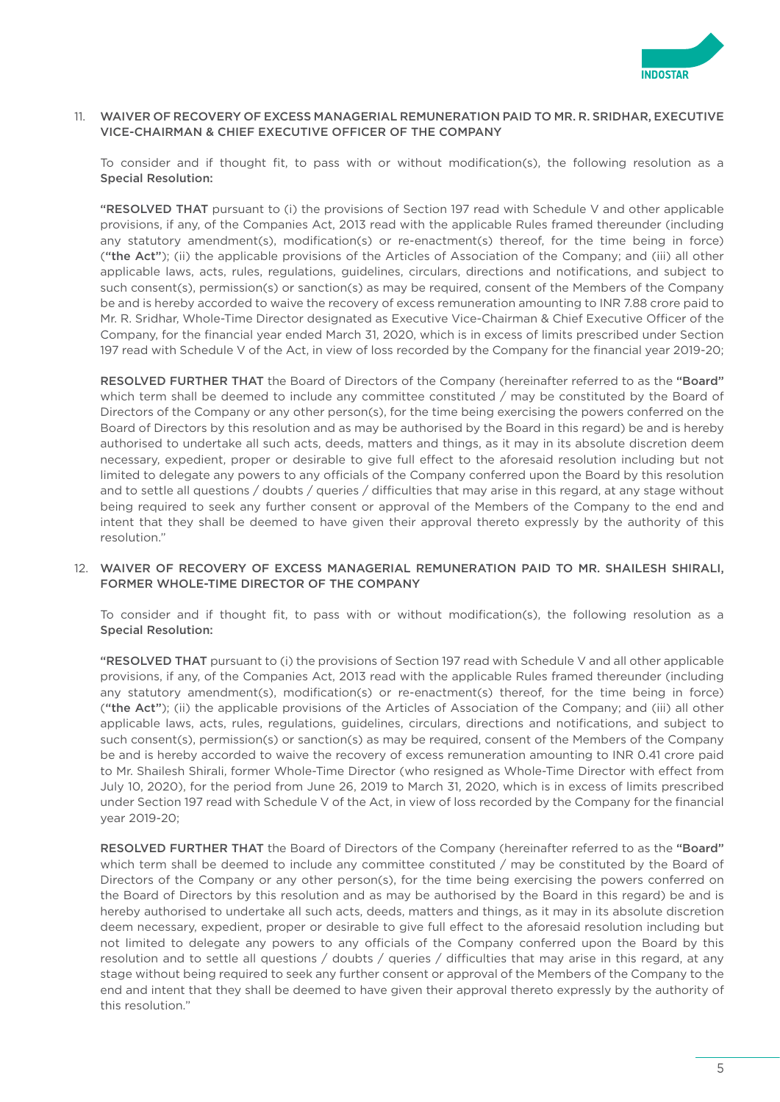

### 11. WAIVER OF RECOVERY OF EXCESS MANAGERIAL REMUNERATION PAID TO MR. R. SRIDHAR, EXECUTIVE VICE-CHAIRMAN & CHIEF EXECUTIVE OFFICER OF THE COMPANY

 To consider and if thought fit, to pass with or without modification(s), the following resolution as a Special Resolution:

 "RESOLVED THAT pursuant to (i) the provisions of Section 197 read with Schedule V and other applicable provisions, if any, of the Companies Act, 2013 read with the applicable Rules framed thereunder (including any statutory amendment(s), modification(s) or re-enactment(s) thereof, for the time being in force) ("the Act"); (ii) the applicable provisions of the Articles of Association of the Company; and (iii) all other applicable laws, acts, rules, regulations, guidelines, circulars, directions and notifications, and subject to such consent(s), permission(s) or sanction(s) as may be required, consent of the Members of the Company be and is hereby accorded to waive the recovery of excess remuneration amounting to INR 7.88 crore paid to Mr. R. Sridhar, Whole-Time Director designated as Executive Vice-Chairman & Chief Executive Officer of the Company, for the financial year ended March 31, 2020, which is in excess of limits prescribed under Section 197 read with Schedule V of the Act, in view of loss recorded by the Company for the financial year 2019-20;

 RESOLVED FURTHER THAT the Board of Directors of the Company (hereinafter referred to as the "Board" which term shall be deemed to include any committee constituted / may be constituted by the Board of Directors of the Company or any other person(s), for the time being exercising the powers conferred on the Board of Directors by this resolution and as may be authorised by the Board in this regard) be and is hereby authorised to undertake all such acts, deeds, matters and things, as it may in its absolute discretion deem necessary, expedient, proper or desirable to give full effect to the aforesaid resolution including but not limited to delegate any powers to any officials of the Company conferred upon the Board by this resolution and to settle all questions / doubts / queries / difficulties that may arise in this regard, at any stage without being required to seek any further consent or approval of the Members of the Company to the end and intent that they shall be deemed to have given their approval thereto expressly by the authority of this resolution."

### 12. WAIVER OF RECOVERY OF EXCESS MANAGERIAL REMUNERATION PAID TO MR. SHAILESH SHIRALI, FORMER WHOLE-TIME DIRECTOR OF THE COMPANY

 To consider and if thought fit, to pass with or without modification(s), the following resolution as a Special Resolution:

 "RESOLVED THAT pursuant to (i) the provisions of Section 197 read with Schedule V and all other applicable provisions, if any, of the Companies Act, 2013 read with the applicable Rules framed thereunder (including any statutory amendment(s), modification(s) or re-enactment(s) thereof, for the time being in force) ("the Act"); (ii) the applicable provisions of the Articles of Association of the Company; and (iii) all other applicable laws, acts, rules, regulations, guidelines, circulars, directions and notifications, and subject to such consent(s), permission(s) or sanction(s) as may be required, consent of the Members of the Company be and is hereby accorded to waive the recovery of excess remuneration amounting to INR 0.41 crore paid to Mr. Shailesh Shirali, former Whole-Time Director (who resigned as Whole-Time Director with effect from July 10, 2020), for the period from June 26, 2019 to March 31, 2020, which is in excess of limits prescribed under Section 197 read with Schedule V of the Act, in view of loss recorded by the Company for the financial year 2019-20;

RESOLVED FURTHER THAT the Board of Directors of the Company (hereinafter referred to as the "Board" which term shall be deemed to include any committee constituted / may be constituted by the Board of Directors of the Company or any other person(s), for the time being exercising the powers conferred on the Board of Directors by this resolution and as may be authorised by the Board in this regard) be and is hereby authorised to undertake all such acts, deeds, matters and things, as it may in its absolute discretion deem necessary, expedient, proper or desirable to give full effect to the aforesaid resolution including but not limited to delegate any powers to any officials of the Company conferred upon the Board by this resolution and to settle all questions / doubts / queries / difficulties that may arise in this regard, at any stage without being required to seek any further consent or approval of the Members of the Company to the end and intent that they shall be deemed to have given their approval thereto expressly by the authority of this resolution."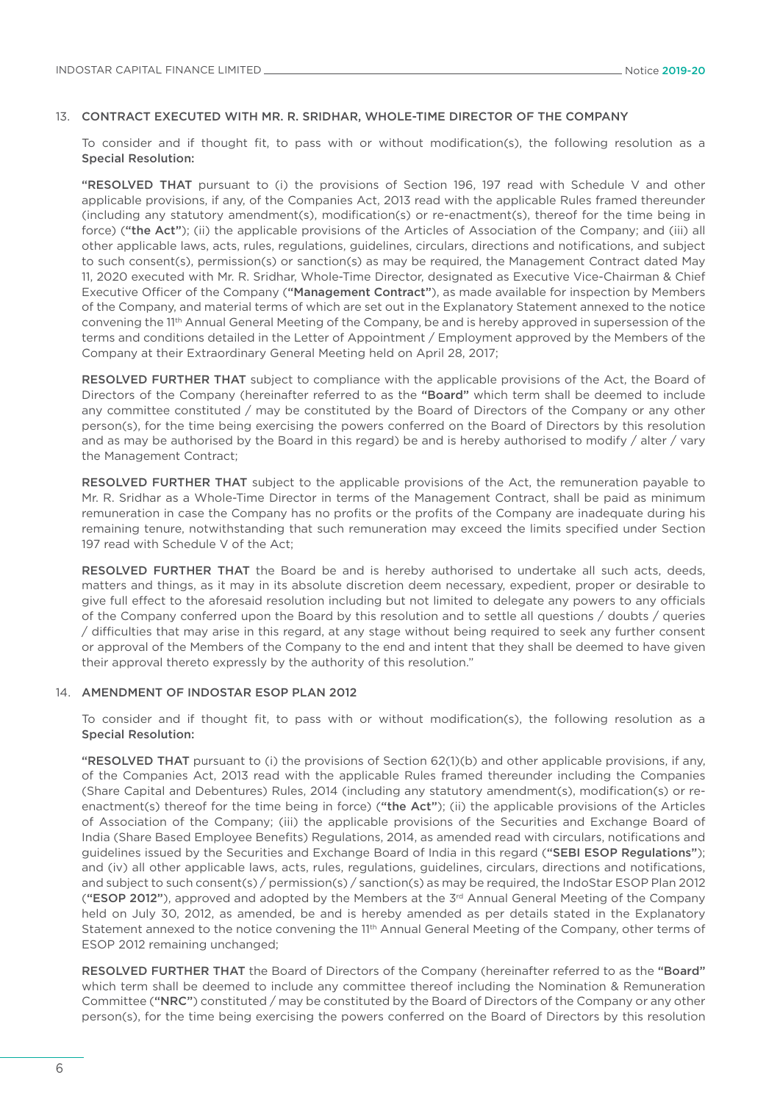#### 13. CONTRACT EXECUTED WITH MR. R. SRIDHAR, WHOLE-TIME DIRECTOR OF THE COMPANY

 To consider and if thought fit, to pass with or without modification(s), the following resolution as a Special Resolution:

 "RESOLVED THAT pursuant to (i) the provisions of Section 196, 197 read with Schedule V and other applicable provisions, if any, of the Companies Act, 2013 read with the applicable Rules framed thereunder (including any statutory amendment(s), modification(s) or re-enactment(s), thereof for the time being in force) ("the Act"); (ii) the applicable provisions of the Articles of Association of the Company; and (iii) all other applicable laws, acts, rules, regulations, guidelines, circulars, directions and notifications, and subject to such consent(s), permission(s) or sanction(s) as may be required, the Management Contract dated May 11, 2020 executed with Mr. R. Sridhar, Whole-Time Director, designated as Executive Vice-Chairman & Chief Executive Officer of the Company ("Management Contract"), as made available for inspection by Members of the Company, and material terms of which are set out in the Explanatory Statement annexed to the notice convening the 11th Annual General Meeting of the Company, be and is hereby approved in supersession of the terms and conditions detailed in the Letter of Appointment / Employment approved by the Members of the Company at their Extraordinary General Meeting held on April 28, 2017;

RESOLVED FURTHER THAT subject to compliance with the applicable provisions of the Act, the Board of Directors of the Company (hereinafter referred to as the "Board" which term shall be deemed to include any committee constituted / may be constituted by the Board of Directors of the Company or any other person(s), for the time being exercising the powers conferred on the Board of Directors by this resolution and as may be authorised by the Board in this regard) be and is hereby authorised to modify / alter / vary the Management Contract;

RESOLVED FURTHER THAT subject to the applicable provisions of the Act, the remuneration payable to Mr. R. Sridhar as a Whole-Time Director in terms of the Management Contract, shall be paid as minimum remuneration in case the Company has no profits or the profits of the Company are inadequate during his remaining tenure, notwithstanding that such remuneration may exceed the limits specified under Section 197 read with Schedule V of the Act;

RESOLVED FURTHER THAT the Board be and is hereby authorised to undertake all such acts, deeds, matters and things, as it may in its absolute discretion deem necessary, expedient, proper or desirable to give full effect to the aforesaid resolution including but not limited to delegate any powers to any officials of the Company conferred upon the Board by this resolution and to settle all questions / doubts / queries / difficulties that may arise in this regard, at any stage without being required to seek any further consent or approval of the Members of the Company to the end and intent that they shall be deemed to have given their approval thereto expressly by the authority of this resolution."

#### 14. AMENDMENT OF INDOSTAR ESOP PLAN 2012

 To consider and if thought fit, to pass with or without modification(s), the following resolution as a Special Resolution:

 "RESOLVED THAT pursuant to (i) the provisions of Section 62(1)(b) and other applicable provisions, if any, of the Companies Act, 2013 read with the applicable Rules framed thereunder including the Companies (Share Capital and Debentures) Rules, 2014 (including any statutory amendment(s), modification(s) or reenactment(s) thereof for the time being in force) ("the Act"); (ii) the applicable provisions of the Articles of Association of the Company; (iii) the applicable provisions of the Securities and Exchange Board of India (Share Based Employee Benefits) Regulations, 2014, as amended read with circulars, notifications and guidelines issued by the Securities and Exchange Board of India in this regard ("SEBI ESOP Regulations"); and (iv) all other applicable laws, acts, rules, regulations, guidelines, circulars, directions and notifications, and subject to such consent(s) / permission(s) / sanction(s) as may be required, the IndoStar ESOP Plan 2012 ("ESOP 2012"), approved and adopted by the Members at the  $3<sup>rd</sup>$  Annual General Meeting of the Company held on July 30, 2012, as amended, be and is hereby amended as per details stated in the Explanatory Statement annexed to the notice convening the 11<sup>th</sup> Annual General Meeting of the Company, other terms of ESOP 2012 remaining unchanged;

RESOLVED FURTHER THAT the Board of Directors of the Company (hereinafter referred to as the "Board" which term shall be deemed to include any committee thereof including the Nomination & Remuneration Committee ("NRC") constituted / may be constituted by the Board of Directors of the Company or any other person(s), for the time being exercising the powers conferred on the Board of Directors by this resolution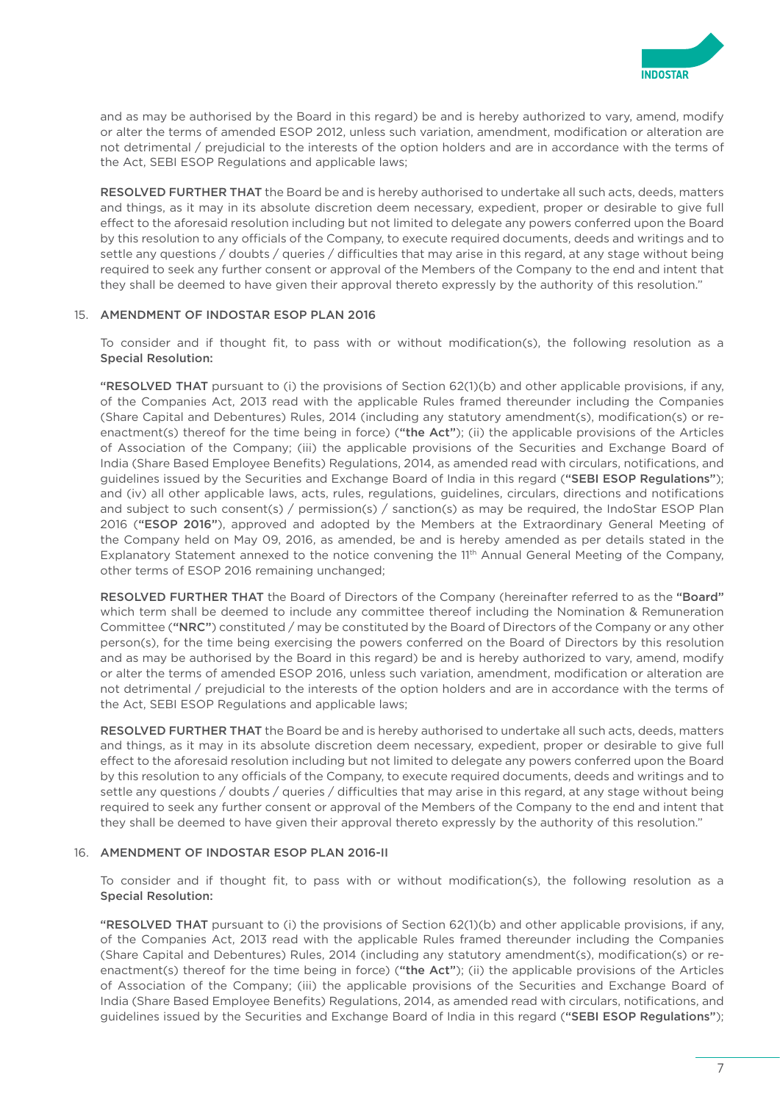

and as may be authorised by the Board in this regard) be and is hereby authorized to vary, amend, modify or alter the terms of amended ESOP 2012, unless such variation, amendment, modification or alteration are not detrimental / prejudicial to the interests of the option holders and are in accordance with the terms of the Act, SEBI ESOP Regulations and applicable laws;

 RESOLVED FURTHER THAT the Board be and is hereby authorised to undertake all such acts, deeds, matters and things, as it may in its absolute discretion deem necessary, expedient, proper or desirable to give full effect to the aforesaid resolution including but not limited to delegate any powers conferred upon the Board by this resolution to any officials of the Company, to execute required documents, deeds and writings and to settle any questions / doubts / queries / difficulties that may arise in this regard, at any stage without being required to seek any further consent or approval of the Members of the Company to the end and intent that they shall be deemed to have given their approval thereto expressly by the authority of this resolution."

#### 15. AMENDMENT OF INDOSTAR ESOP PLAN 2016

 To consider and if thought fit, to pass with or without modification(s), the following resolution as a Special Resolution:

"RESOLVED THAT pursuant to (i) the provisions of Section 62(1)(b) and other applicable provisions, if any, of the Companies Act, 2013 read with the applicable Rules framed thereunder including the Companies (Share Capital and Debentures) Rules, 2014 (including any statutory amendment(s), modification(s) or reenactment(s) thereof for the time being in force) ("the Act"); (ii) the applicable provisions of the Articles of Association of the Company; (iii) the applicable provisions of the Securities and Exchange Board of India (Share Based Employee Benefits) Regulations, 2014, as amended read with circulars, notifications, and guidelines issued by the Securities and Exchange Board of India in this regard ("SEBI ESOP Regulations"); and (iv) all other applicable laws, acts, rules, regulations, guidelines, circulars, directions and notifications and subject to such consent(s) / permission(s) / sanction(s) as may be required, the IndoStar ESOP Plan 2016 ("ESOP 2016"), approved and adopted by the Members at the Extraordinary General Meeting of the Company held on May 09, 2016, as amended, be and is hereby amended as per details stated in the Explanatory Statement annexed to the notice convening the 11<sup>th</sup> Annual General Meeting of the Company, other terms of ESOP 2016 remaining unchanged;

RESOLVED FURTHER THAT the Board of Directors of the Company (hereinafter referred to as the "Board" which term shall be deemed to include any committee thereof including the Nomination & Remuneration Committee ("NRC") constituted / may be constituted by the Board of Directors of the Company or any other person(s), for the time being exercising the powers conferred on the Board of Directors by this resolution and as may be authorised by the Board in this regard) be and is hereby authorized to vary, amend, modify or alter the terms of amended ESOP 2016, unless such variation, amendment, modification or alteration are not detrimental / prejudicial to the interests of the option holders and are in accordance with the terms of the Act, SEBI ESOP Regulations and applicable laws;

 RESOLVED FURTHER THAT the Board be and is hereby authorised to undertake all such acts, deeds, matters and things, as it may in its absolute discretion deem necessary, expedient, proper or desirable to give full effect to the aforesaid resolution including but not limited to delegate any powers conferred upon the Board by this resolution to any officials of the Company, to execute required documents, deeds and writings and to settle any questions / doubts / queries / difficulties that may arise in this regard, at any stage without being required to seek any further consent or approval of the Members of the Company to the end and intent that they shall be deemed to have given their approval thereto expressly by the authority of this resolution."

### 16. AMENDMENT OF INDOSTAR ESOP PLAN 2016-II

 To consider and if thought fit, to pass with or without modification(s), the following resolution as a Special Resolution:

 "RESOLVED THAT pursuant to (i) the provisions of Section 62(1)(b) and other applicable provisions, if any, of the Companies Act, 2013 read with the applicable Rules framed thereunder including the Companies (Share Capital and Debentures) Rules, 2014 (including any statutory amendment(s), modification(s) or reenactment(s) thereof for the time being in force) ("the Act"); (ii) the applicable provisions of the Articles of Association of the Company; (iii) the applicable provisions of the Securities and Exchange Board of India (Share Based Employee Benefits) Regulations, 2014, as amended read with circulars, notifications, and guidelines issued by the Securities and Exchange Board of India in this regard ("SEBI ESOP Regulations");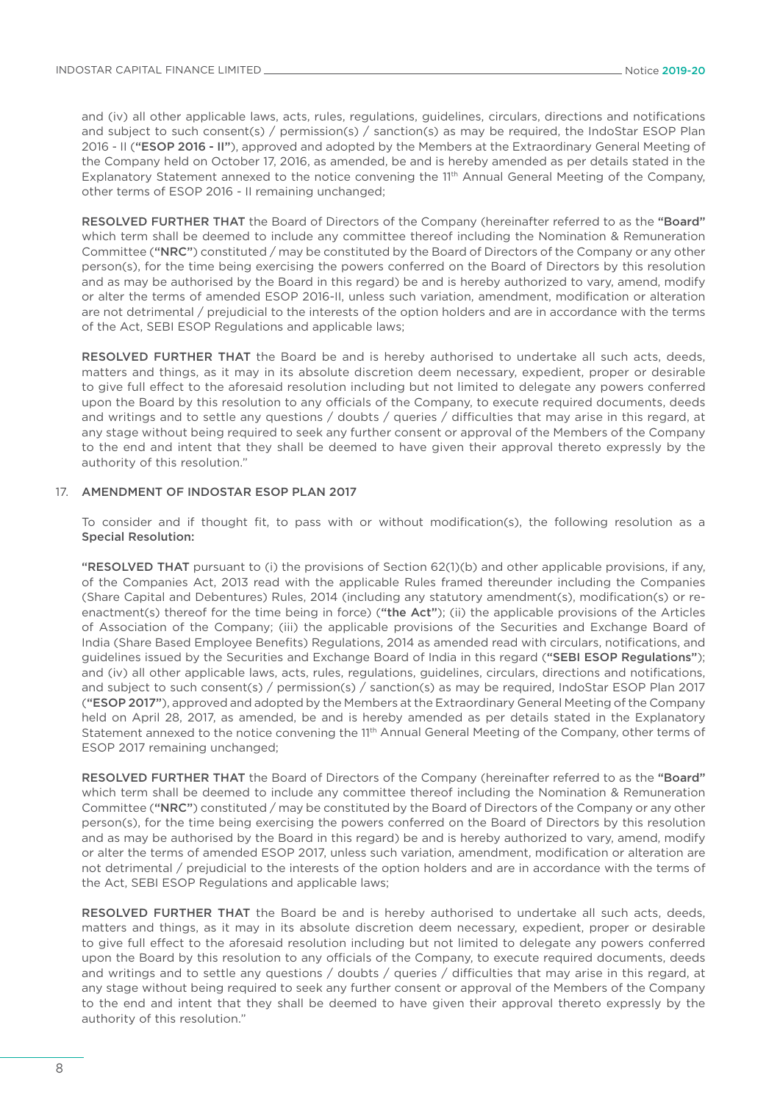and (iv) all other applicable laws, acts, rules, regulations, guidelines, circulars, directions and notifications and subject to such consent(s) / permission(s) / sanction(s) as may be required, the IndoStar ESOP Plan 2016 - II ("ESOP 2016 - II"), approved and adopted by the Members at the Extraordinary General Meeting of the Company held on October 17, 2016, as amended, be and is hereby amended as per details stated in the Explanatory Statement annexed to the notice convening the 11<sup>th</sup> Annual General Meeting of the Company, other terms of ESOP 2016 - II remaining unchanged;

RESOLVED FURTHER THAT the Board of Directors of the Company (hereinafter referred to as the "Board" which term shall be deemed to include any committee thereof including the Nomination & Remuneration Committee ("NRC") constituted / may be constituted by the Board of Directors of the Company or any other person(s), for the time being exercising the powers conferred on the Board of Directors by this resolution and as may be authorised by the Board in this regard) be and is hereby authorized to vary, amend, modify or alter the terms of amended ESOP 2016-II, unless such variation, amendment, modification or alteration are not detrimental / prejudicial to the interests of the option holders and are in accordance with the terms of the Act, SEBI ESOP Regulations and applicable laws;

RESOLVED FURTHER THAT the Board be and is hereby authorised to undertake all such acts, deeds, matters and things, as it may in its absolute discretion deem necessary, expedient, proper or desirable to give full effect to the aforesaid resolution including but not limited to delegate any powers conferred upon the Board by this resolution to any officials of the Company, to execute required documents, deeds and writings and to settle any questions / doubts / queries / difficulties that may arise in this regard, at any stage without being required to seek any further consent or approval of the Members of the Company to the end and intent that they shall be deemed to have given their approval thereto expressly by the authority of this resolution."

#### 17. AMENDMENT OF INDOSTAR ESOP PLAN 2017

 To consider and if thought fit, to pass with or without modification(s), the following resolution as a Special Resolution:

 "RESOLVED THAT pursuant to (i) the provisions of Section 62(1)(b) and other applicable provisions, if any, of the Companies Act, 2013 read with the applicable Rules framed thereunder including the Companies (Share Capital and Debentures) Rules, 2014 (including any statutory amendment(s), modification(s) or reenactment(s) thereof for the time being in force) ("the Act"); (ii) the applicable provisions of the Articles of Association of the Company; (iii) the applicable provisions of the Securities and Exchange Board of India (Share Based Employee Benefits) Regulations, 2014 as amended read with circulars, notifications, and guidelines issued by the Securities and Exchange Board of India in this regard ("SEBI ESOP Regulations"); and (iv) all other applicable laws, acts, rules, regulations, guidelines, circulars, directions and notifications, and subject to such consent(s) / permission(s) / sanction(s) as may be required, IndoStar ESOP Plan 2017 ("ESOP 2017"), approved and adopted by the Members at the Extraordinary General Meeting of the Company held on April 28, 2017, as amended, be and is hereby amended as per details stated in the Explanatory Statement annexed to the notice convening the 11<sup>th</sup> Annual General Meeting of the Company, other terms of ESOP 2017 remaining unchanged;

RESOLVED FURTHER THAT the Board of Directors of the Company (hereinafter referred to as the "Board" which term shall be deemed to include any committee thereof including the Nomination & Remuneration Committee ("NRC") constituted / may be constituted by the Board of Directors of the Company or any other person(s), for the time being exercising the powers conferred on the Board of Directors by this resolution and as may be authorised by the Board in this regard) be and is hereby authorized to vary, amend, modify or alter the terms of amended ESOP 2017, unless such variation, amendment, modification or alteration are not detrimental / prejudicial to the interests of the option holders and are in accordance with the terms of the Act, SEBI ESOP Regulations and applicable laws;

RESOLVED FURTHER THAT the Board be and is hereby authorised to undertake all such acts, deeds, matters and things, as it may in its absolute discretion deem necessary, expedient, proper or desirable to give full effect to the aforesaid resolution including but not limited to delegate any powers conferred upon the Board by this resolution to any officials of the Company, to execute required documents, deeds and writings and to settle any questions / doubts / queries / difficulties that may arise in this regard, at any stage without being required to seek any further consent or approval of the Members of the Company to the end and intent that they shall be deemed to have given their approval thereto expressly by the authority of this resolution."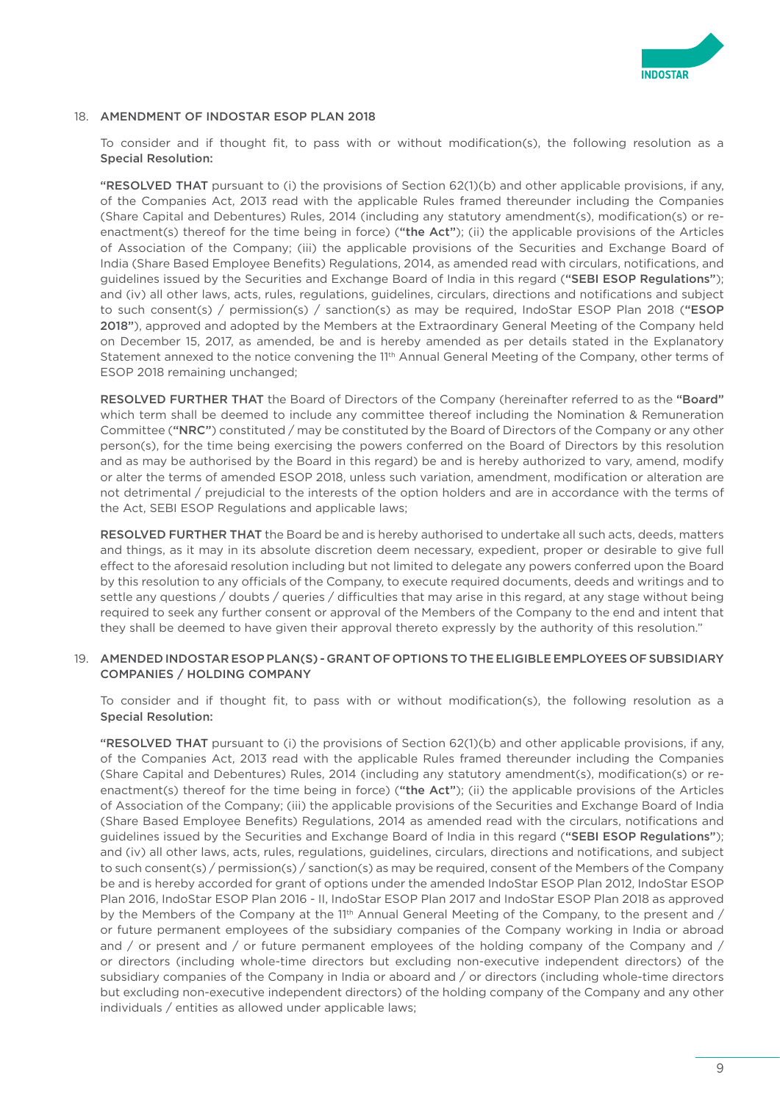

#### 18. AMENDMENT OF INDOSTAR ESOP PLAN 2018

 To consider and if thought fit, to pass with or without modification(s), the following resolution as a Special Resolution:

 "RESOLVED THAT pursuant to (i) the provisions of Section 62(1)(b) and other applicable provisions, if any, of the Companies Act, 2013 read with the applicable Rules framed thereunder including the Companies (Share Capital and Debentures) Rules, 2014 (including any statutory amendment(s), modification(s) or reenactment(s) thereof for the time being in force) ("the Act"); (ii) the applicable provisions of the Articles of Association of the Company; (iii) the applicable provisions of the Securities and Exchange Board of India (Share Based Employee Benefits) Regulations, 2014, as amended read with circulars, notifications, and guidelines issued by the Securities and Exchange Board of India in this regard ("SEBI ESOP Regulations"); and (iv) all other laws, acts, rules, regulations, guidelines, circulars, directions and notifications and subject to such consent(s) / permission(s) / sanction(s) as may be required, IndoStar ESOP Plan 2018 ("ESOP 2018"), approved and adopted by the Members at the Extraordinary General Meeting of the Company held on December 15, 2017, as amended, be and is hereby amended as per details stated in the Explanatory Statement annexed to the notice convening the 11<sup>th</sup> Annual General Meeting of the Company, other terms of ESOP 2018 remaining unchanged;

 RESOLVED FURTHER THAT the Board of Directors of the Company (hereinafter referred to as the "Board" which term shall be deemed to include any committee thereof including the Nomination & Remuneration Committee ("NRC") constituted / may be constituted by the Board of Directors of the Company or any other person(s), for the time being exercising the powers conferred on the Board of Directors by this resolution and as may be authorised by the Board in this regard) be and is hereby authorized to vary, amend, modify or alter the terms of amended ESOP 2018, unless such variation, amendment, modification or alteration are not detrimental / prejudicial to the interests of the option holders and are in accordance with the terms of the Act, SEBI ESOP Regulations and applicable laws;

 RESOLVED FURTHER THAT the Board be and is hereby authorised to undertake all such acts, deeds, matters and things, as it may in its absolute discretion deem necessary, expedient, proper or desirable to give full effect to the aforesaid resolution including but not limited to delegate any powers conferred upon the Board by this resolution to any officials of the Company, to execute required documents, deeds and writings and to settle any questions / doubts / queries / difficulties that may arise in this regard, at any stage without being required to seek any further consent or approval of the Members of the Company to the end and intent that they shall be deemed to have given their approval thereto expressly by the authority of this resolution."

#### 19. AMENDED INDOSTAR ESOP PLAN(S) - GRANT OF OPTIONS TO THE ELIGIBLE EMPLOYEES OF SUBSIDIARY COMPANIES / HOLDING COMPANY

 To consider and if thought fit, to pass with or without modification(s), the following resolution as a Special Resolution:

 "RESOLVED THAT pursuant to (i) the provisions of Section 62(1)(b) and other applicable provisions, if any, of the Companies Act, 2013 read with the applicable Rules framed thereunder including the Companies (Share Capital and Debentures) Rules, 2014 (including any statutory amendment(s), modification(s) or reenactment(s) thereof for the time being in force) ("the Act"); (ii) the applicable provisions of the Articles of Association of the Company; (iii) the applicable provisions of the Securities and Exchange Board of India (Share Based Employee Benefits) Regulations, 2014 as amended read with the circulars, notifications and guidelines issued by the Securities and Exchange Board of India in this regard ("SEBI ESOP Regulations"); and (iv) all other laws, acts, rules, regulations, guidelines, circulars, directions and notifications, and subject to such consent(s) / permission(s) / sanction(s) as may be required, consent of the Members of the Company be and is hereby accorded for grant of options under the amended IndoStar ESOP Plan 2012, IndoStar ESOP Plan 2016, IndoStar ESOP Plan 2016 - II, IndoStar ESOP Plan 2017 and IndoStar ESOP Plan 2018 as approved by the Members of the Company at the 11<sup>th</sup> Annual General Meeting of the Company, to the present and / or future permanent employees of the subsidiary companies of the Company working in India or abroad and / or present and / or future permanent employees of the holding company of the Company and / or directors (including whole-time directors but excluding non-executive independent directors) of the subsidiary companies of the Company in India or aboard and / or directors (including whole-time directors but excluding non-executive independent directors) of the holding company of the Company and any other individuals / entities as allowed under applicable laws;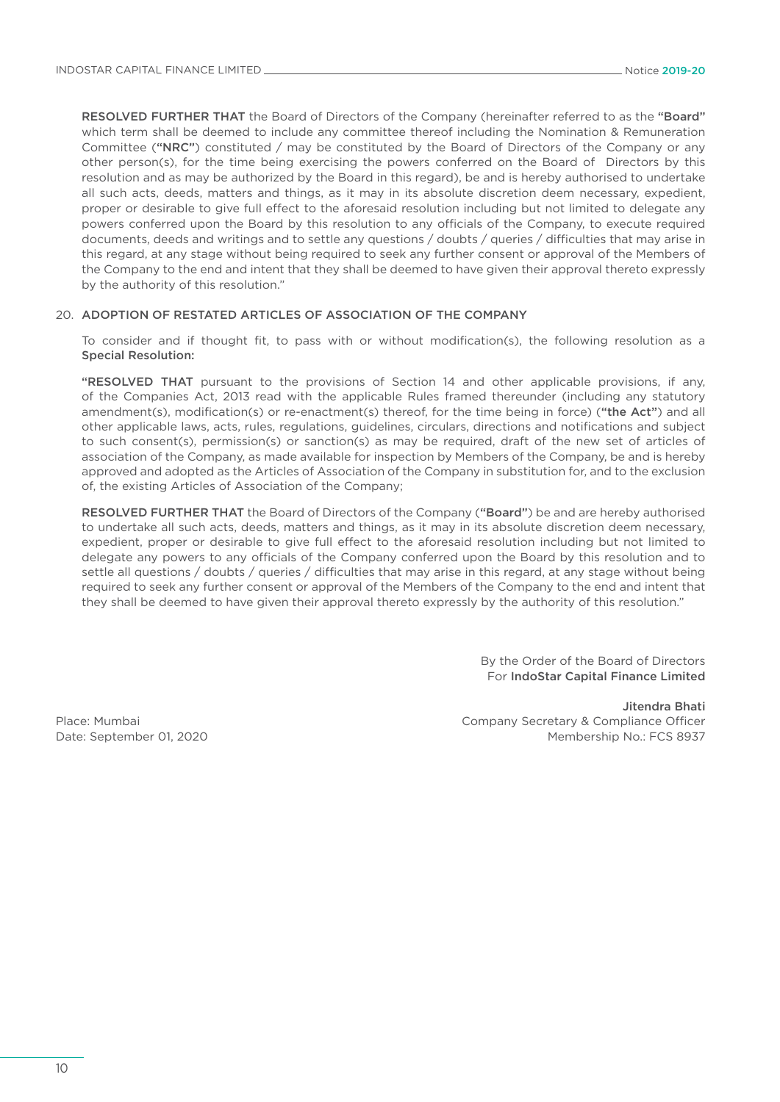RESOLVED FURTHER THAT the Board of Directors of the Company (hereinafter referred to as the "Board" which term shall be deemed to include any committee thereof including the Nomination & Remuneration Committee ("NRC") constituted / may be constituted by the Board of Directors of the Company or any other person(s), for the time being exercising the powers conferred on the Board of Directors by this resolution and as may be authorized by the Board in this regard), be and is hereby authorised to undertake all such acts, deeds, matters and things, as it may in its absolute discretion deem necessary, expedient, proper or desirable to give full effect to the aforesaid resolution including but not limited to delegate any powers conferred upon the Board by this resolution to any officials of the Company, to execute required documents, deeds and writings and to settle any questions / doubts / queries / difficulties that may arise in this regard, at any stage without being required to seek any further consent or approval of the Members of the Company to the end and intent that they shall be deemed to have given their approval thereto expressly by the authority of this resolution."

### 20. ADOPTION OF RESTATED ARTICLES OF ASSOCIATION OF THE COMPANY

 To consider and if thought fit, to pass with or without modification(s), the following resolution as a Special Resolution:

 "RESOLVED THAT pursuant to the provisions of Section 14 and other applicable provisions, if any, of the Companies Act, 2013 read with the applicable Rules framed thereunder (including any statutory amendment(s), modification(s) or re-enactment(s) thereof, for the time being in force) ("the Act") and all other applicable laws, acts, rules, regulations, guidelines, circulars, directions and notifications and subject to such consent(s), permission(s) or sanction(s) as may be required, draft of the new set of articles of association of the Company, as made available for inspection by Members of the Company, be and is hereby approved and adopted as the Articles of Association of the Company in substitution for, and to the exclusion of, the existing Articles of Association of the Company;

 RESOLVED FURTHER THAT the Board of Directors of the Company ("Board") be and are hereby authorised to undertake all such acts, deeds, matters and things, as it may in its absolute discretion deem necessary, expedient, proper or desirable to give full effect to the aforesaid resolution including but not limited to delegate any powers to any officials of the Company conferred upon the Board by this resolution and to settle all questions / doubts / queries / difficulties that may arise in this regard, at any stage without being required to seek any further consent or approval of the Members of the Company to the end and intent that they shall be deemed to have given their approval thereto expressly by the authority of this resolution."

> By the Order of the Board of Directors For IndoStar Capital Finance Limited

Place: Mumbai Date: September 01, 2020

Jitendra Bhati Company Secretary & Compliance Officer Membership No.: FCS 8937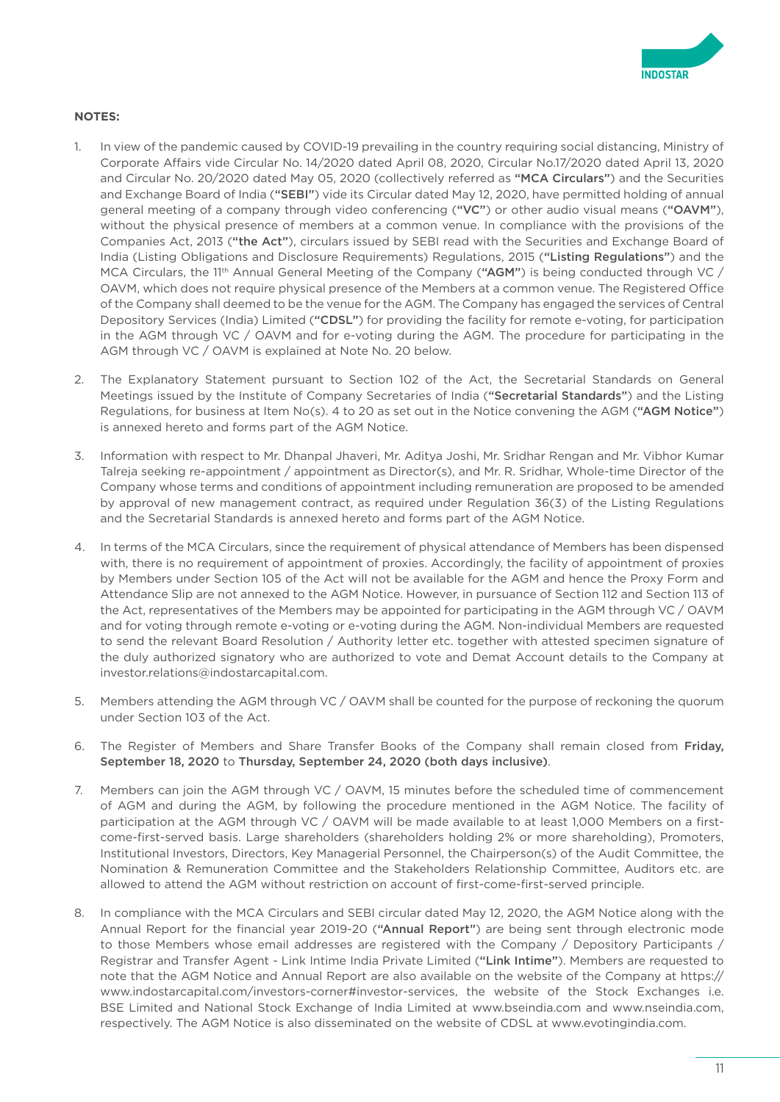

### **NOTES:**

- 1. In view of the pandemic caused by COVID-19 prevailing in the country requiring social distancing, Ministry of Corporate Affairs vide Circular No. 14/2020 dated April 08, 2020, Circular No.17/2020 dated April 13, 2020 and Circular No. 20/2020 dated May 05, 2020 (collectively referred as "MCA Circulars") and the Securities and Exchange Board of India ("SEBI") vide its Circular dated May 12, 2020, have permitted holding of annual general meeting of a company through video conferencing ("VC") or other audio visual means ("OAVM"), without the physical presence of members at a common venue. In compliance with the provisions of the Companies Act, 2013 ("the Act"), circulars issued by SEBI read with the Securities and Exchange Board of India (Listing Obligations and Disclosure Requirements) Regulations, 2015 ("Listing Regulations") and the MCA Circulars, the 11<sup>th</sup> Annual General Meeting of the Company ("AGM") is being conducted through VC / OAVM, which does not require physical presence of the Members at a common venue. The Registered Office of the Company shall deemed to be the venue for the AGM. The Company has engaged the services of Central Depository Services (India) Limited ("CDSL") for providing the facility for remote e-voting, for participation in the AGM through VC / OAVM and for e-voting during the AGM. The procedure for participating in the AGM through VC / OAVM is explained at Note No. 20 below.
- 2. The Explanatory Statement pursuant to Section 102 of the Act, the Secretarial Standards on General Meetings issued by the Institute of Company Secretaries of India ("Secretarial Standards") and the Listing Regulations, for business at Item No(s), 4 to 20 as set out in the Notice convening the AGM ("AGM Notice") is annexed hereto and forms part of the AGM Notice.
- 3. Information with respect to Mr. Dhanpal Jhaveri, Mr. Aditya Joshi, Mr. Sridhar Rengan and Mr. Vibhor Kumar Talreja seeking re-appointment / appointment as Director(s), and Mr. R. Sridhar, Whole-time Director of the Company whose terms and conditions of appointment including remuneration are proposed to be amended by approval of new management contract, as required under Regulation 36(3) of the Listing Regulations and the Secretarial Standards is annexed hereto and forms part of the AGM Notice.
- 4. In terms of the MCA Circulars, since the requirement of physical attendance of Members has been dispensed with, there is no requirement of appointment of proxies. Accordingly, the facility of appointment of proxies by Members under Section 105 of the Act will not be available for the AGM and hence the Proxy Form and Attendance Slip are not annexed to the AGM Notice. However, in pursuance of Section 112 and Section 113 of the Act, representatives of the Members may be appointed for participating in the AGM through VC / OAVM and for voting through remote e-voting or e-voting during the AGM. Non-individual Members are requested to send the relevant Board Resolution / Authority letter etc. together with attested specimen signature of the duly authorized signatory who are authorized to vote and Demat Account details to the Company at investor.relations@indostarcapital.com.
- 5. Members attending the AGM through VC / OAVM shall be counted for the purpose of reckoning the quorum under Section 103 of the Act.
- 6. The Register of Members and Share Transfer Books of the Company shall remain closed from Friday, September 18, 2020 to Thursday, September 24, 2020 (both days inclusive).
- 7. Members can join the AGM through VC / OAVM, 15 minutes before the scheduled time of commencement of AGM and during the AGM, by following the procedure mentioned in the AGM Notice. The facility of participation at the AGM through VC / OAVM will be made available to at least 1,000 Members on a firstcome-first-served basis. Large shareholders (shareholders holding 2% or more shareholding), Promoters, Institutional Investors, Directors, Key Managerial Personnel, the Chairperson(s) of the Audit Committee, the Nomination & Remuneration Committee and the Stakeholders Relationship Committee, Auditors etc. are allowed to attend the AGM without restriction on account of first-come-first-served principle.
- 8. In compliance with the MCA Circulars and SEBI circular dated May 12, 2020, the AGM Notice along with the Annual Report for the financial year 2019-20 ("Annual Report") are being sent through electronic mode to those Members whose email addresses are registered with the Company / Depository Participants / Registrar and Transfer Agent - Link Intime India Private Limited ("Link Intime"). Members are requested to note that the AGM Notice and Annual Report are also available on the website of the Company at [https://](https://www.indostarcapital.com/investors-corner#investor-services) [www.indostarcapital.com/investors-corner#investor-services](https://www.indostarcapital.com/investors-corner#investor-services), the website of the Stock Exchanges i.e. BSE Limited and National Stock Exchange of India Limited at [www.bseindia.com](http://www.bseindia.com) and [www.nseindia.com,](http://www.nseindia.com) respectively. The AGM Notice is also disseminated on the website of CDSL at [www.evotingindia.com.](http://www.evotingindia.com)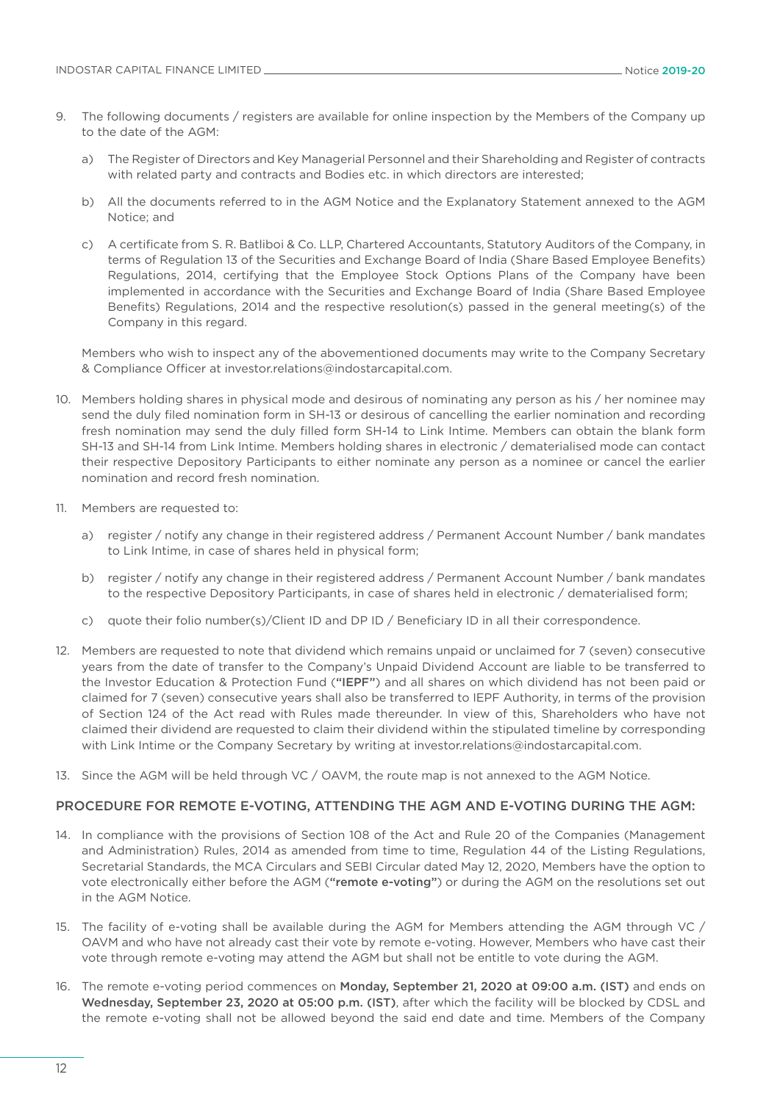- 9. The following documents / registers are available for online inspection by the Members of the Company up to the date of the AGM:
	- a) The Register of Directors and Key Managerial Personnel and their Shareholding and Register of contracts with related party and contracts and Bodies etc. in which directors are interested;
	- b) All the documents referred to in the AGM Notice and the Explanatory Statement annexed to the AGM Notice; and
	- c) A certificate from S. R. Batliboi & Co. LLP, Chartered Accountants, Statutory Auditors of the Company, in terms of Regulation 13 of the Securities and Exchange Board of India (Share Based Employee Benefits) Regulations, 2014, certifying that the Employee Stock Options Plans of the Company have been implemented in accordance with the Securities and Exchange Board of India (Share Based Employee Benefits) Regulations, 2014 and the respective resolution(s) passed in the general meeting(s) of the Company in this regard.

 Members who wish to inspect any of the abovementioned documents may write to the Company Secretary & Compliance Officer at [investor.relations@indostarcapital.com](mailto:investor.relations@indostarcapital.com).

- 10. Members holding shares in physical mode and desirous of nominating any person as his / her nominee may send the duly filed nomination form in SH-13 or desirous of cancelling the earlier nomination and recording fresh nomination may send the duly filled form SH-14 to Link Intime. Members can obtain the blank form SH-13 and SH-14 from Link Intime. Members holding shares in electronic / dematerialised mode can contact their respective Depository Participants to either nominate any person as a nominee or cancel the earlier nomination and record fresh nomination.
- 11. Members are requested to:
	- a) register / notify any change in their registered address / Permanent Account Number / bank mandates to Link Intime, in case of shares held in physical form;
	- b) register / notify any change in their registered address / Permanent Account Number / bank mandates to the respective Depository Participants, in case of shares held in electronic / dematerialised form;
	- c) quote their folio number(s)/Client ID and DP ID / Beneficiary ID in all their correspondence.
- 12. Members are requested to note that dividend which remains unpaid or unclaimed for 7 (seven) consecutive years from the date of transfer to the Company's Unpaid Dividend Account are liable to be transferred to the Investor Education & Protection Fund ("IEPF") and all shares on which dividend has not been paid or claimed for 7 (seven) consecutive years shall also be transferred to IEPF Authority, in terms of the provision of Section 124 of the Act read with Rules made thereunder. In view of this, Shareholders who have not claimed their dividend are requested to claim their dividend within the stipulated timeline by corresponding with Link Intime or the Company Secretary by writing at [investor.relations@indostarcapital.com.](mailto:investor.relations@indostarcapital.com)
- 13. Since the AGM will be held through VC / OAVM, the route map is not annexed to the AGM Notice.

## PROCEDURE FOR REMOTE E-VOTING, ATTENDING THE AGM AND E-VOTING DURING THE AGM:

- 14. In compliance with the provisions of Section 108 of the Act and Rule 20 of the Companies (Management and Administration) Rules, 2014 as amended from time to time, Regulation 44 of the Listing Regulations, Secretarial Standards, the MCA Circulars and SEBI Circular dated May 12, 2020, Members have the option to vote electronically either before the AGM ("remote e-voting") or during the AGM on the resolutions set out in the AGM Notice.
- 15. The facility of e-voting shall be available during the AGM for Members attending the AGM through VC / OAVM and who have not already cast their vote by remote e-voting. However, Members who have cast their vote through remote e-voting may attend the AGM but shall not be entitle to vote during the AGM.
- 16. The remote e-voting period commences on Monday, September 21, 2020 at 09:00 a.m. (IST) and ends on Wednesday, September 23, 2020 at 05:00 p.m. (IST), after which the facility will be blocked by CDSL and the remote e-voting shall not be allowed beyond the said end date and time. Members of the Company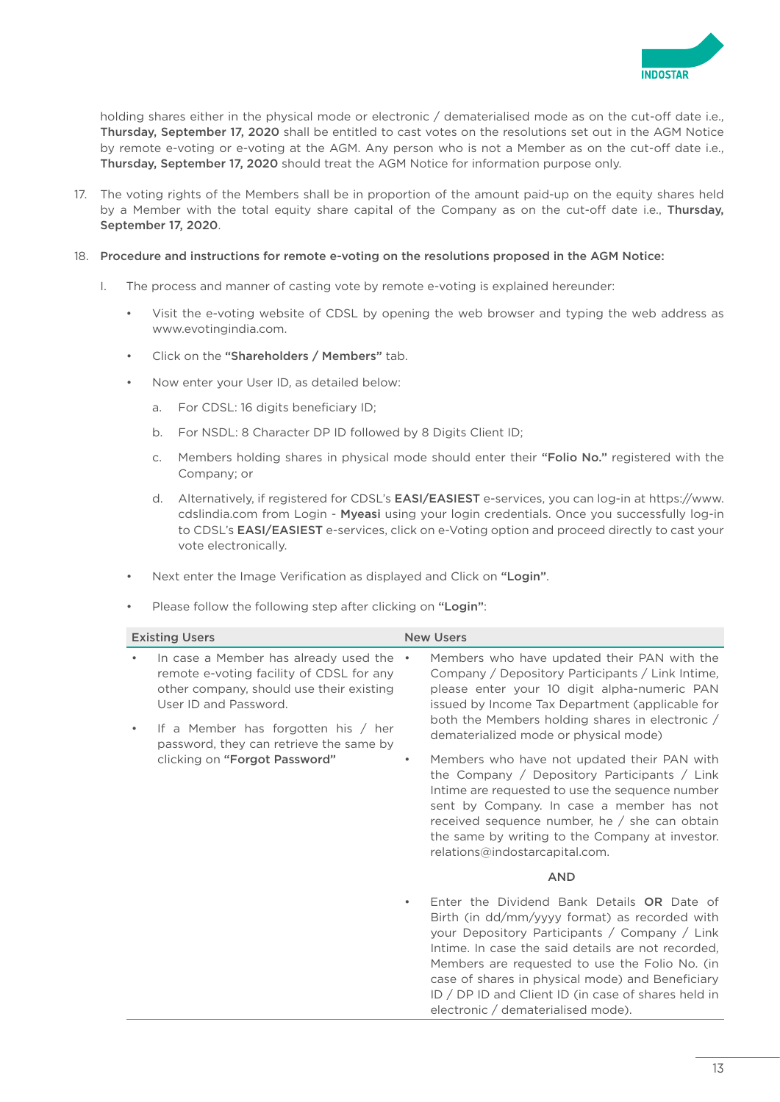

holding shares either in the physical mode or electronic / dematerialised mode as on the cut-off date i.e., Thursday, September 17, 2020 shall be entitled to cast votes on the resolutions set out in the AGM Notice by remote e-voting or e-voting at the AGM. Any person who is not a Member as on the cut-off date i.e., Thursday, September 17, 2020 should treat the AGM Notice for information purpose only.

17. The voting rights of the Members shall be in proportion of the amount paid-up on the equity shares held by a Member with the total equity share capital of the Company as on the cut-off date i.e., Thursday, September 17, 2020.

### 18. Procedure and instructions for remote e-voting on the resolutions proposed in the AGM Notice:

- I. The process and manner of casting vote by remote e-voting is explained hereunder:
	- Visit the e-voting website of CDSL by opening the web browser and typing the web address as [www.evotingindia.com](http://www.evotingindia.com).
	- Click on the "Shareholders / Members" tab.
	- Now enter your User ID, as detailed below:
		- a. For CDSL: 16 digits beneficiary ID;
		- b. For NSDL: 8 Character DP ID followed by 8 Digits Client ID;
		- c. Members holding shares in physical mode should enter their "Folio No." registered with the Company; or
		- d. Alternatively, if registered for CDSL's EASI/EASIEST e-services, you can log-in at [https://www.](https://www.cdslindia.com) [cdslindia.com](https://www.cdslindia.com) from [Login -](file:///C:\Users\nsadani\AppData\Local\Microsoft\Windows\Temporary%20Internet%20Files\Content.Outlook\SDVFQI99\Login�-�Myeasi) Myeasi using your login credentials. Once you successfully log-in to CDSL's EASI/EASIEST e-services, click on e-Voting option and proceed directly to cast your vote electronically.
	- Next enter the Image Verification as displayed and Click on "Login".
	- Please follow the following step after clicking on "Login":

| <b>Existing Users</b>                                                                                                                                                                             |           | <b>New Users</b>                                                                                                                                                                                                                                                                                                                                                                                      |
|---------------------------------------------------------------------------------------------------------------------------------------------------------------------------------------------------|-----------|-------------------------------------------------------------------------------------------------------------------------------------------------------------------------------------------------------------------------------------------------------------------------------------------------------------------------------------------------------------------------------------------------------|
| In case a Member has already used the .<br>remote e-voting facility of CDSL for any<br>other company, should use their existing<br>User ID and Password.<br>If a Member has forgotten his $/$ her |           | Members who have updated their PAN with the<br>Company / Depository Participants / Link Intime,<br>please enter your 10 digit alpha-numeric PAN<br>issued by Income Tax Department (applicable for<br>both the Members holding shares in electronic /<br>dematerialized mode or physical mode)                                                                                                        |
| password, they can retrieve the same by<br>clicking on "Forgot Password"                                                                                                                          | $\bullet$ | Members who have not updated their PAN with<br>the Company / Depository Participants / Link<br>Intime are requested to use the sequence number                                                                                                                                                                                                                                                        |
|                                                                                                                                                                                                   |           | sent by Company. In case a member has not<br>received sequence number, he / she can obtain<br>the same by writing to the Company at investor.<br>relations@indostarcapital.com.                                                                                                                                                                                                                       |
|                                                                                                                                                                                                   |           | <b>AND</b>                                                                                                                                                                                                                                                                                                                                                                                            |
|                                                                                                                                                                                                   |           | Enter the Dividend Bank Details OR Date of<br>Birth (in dd/mm/yyyy format) as recorded with<br>your Depository Participants / Company / Link<br>Intime. In case the said details are not recorded,<br>Members are requested to use the Folio No. (in<br>case of shares in physical mode) and Beneficiary<br>ID / DP ID and Client ID (in case of shares held in<br>electronic / dematerialised mode). |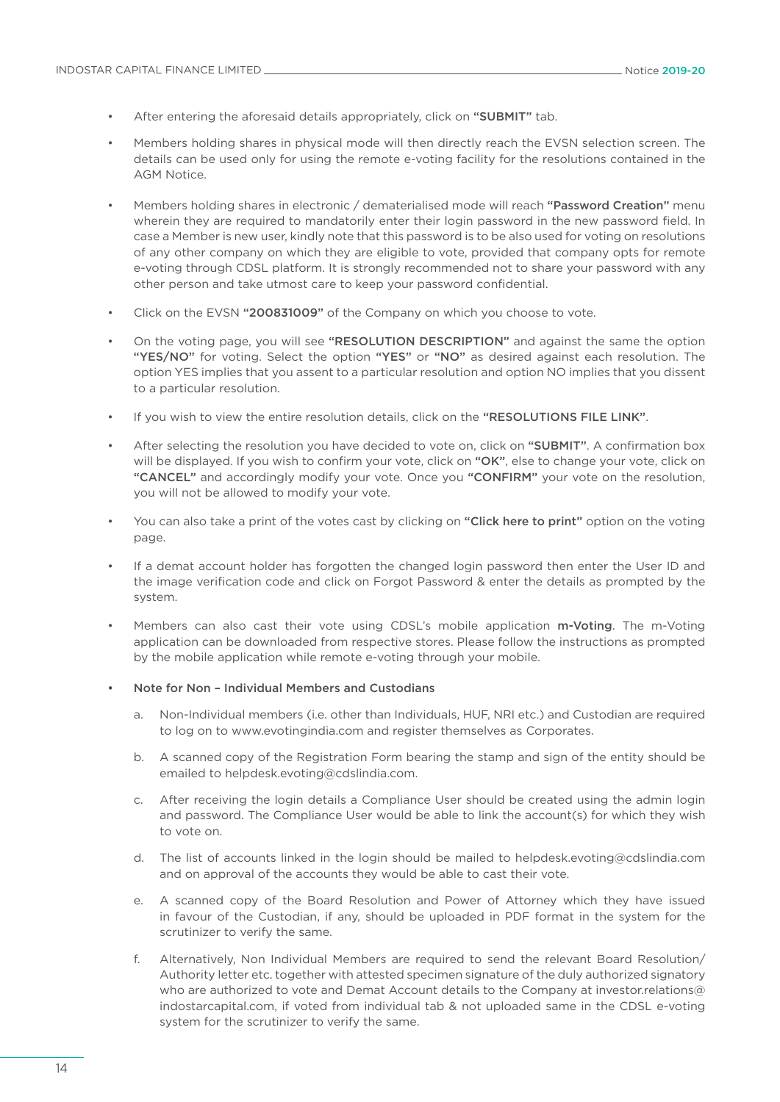- After entering the aforesaid details appropriately, click on "SUBMIT" tab.
- Members holding shares in physical mode will then directly reach the EVSN selection screen. The details can be used only for using the remote e-voting facility for the resolutions contained in the AGM Notice.
- Members holding shares in electronic / dematerialised mode will reach "Password Creation" menu wherein they are required to mandatorily enter their login password in the new password field. In case a Member is new user, kindly note that this password is to be also used for voting on resolutions of any other company on which they are eligible to vote, provided that company opts for remote e-voting through CDSL platform. It is strongly recommended not to share your password with any other person and take utmost care to keep your password confidential.
- Click on the EVSN "200831009" of the Company on which you choose to vote.
- On the voting page, you will see "RESOLUTION DESCRIPTION" and against the same the option "YES/NO" for voting. Select the option "YES" or "NO" as desired against each resolution. The option YES implies that you assent to a particular resolution and option NO implies that you dissent to a particular resolution.
- If you wish to view the entire resolution details, click on the "RESOLUTIONS FILE LINK".
- After selecting the resolution you have decided to vote on, click on "SUBMIT". A confirmation box will be displayed. If you wish to confirm your vote, click on "OK", else to change your vote, click on "CANCEL" and accordingly modify your vote. Once you "CONFIRM" your vote on the resolution, you will not be allowed to modify your vote.
- You can also take a print of the votes cast by clicking on "Click here to print" option on the voting page.
- If a demat account holder has forgotten the changed login password then enter the User ID and the image verification code and click on Forgot Password & enter the details as prompted by the system.
- Members can also cast their vote using CDSL's mobile application m-Voting. The m-Voting application can be downloaded from respective stores. Please follow the instructions as prompted by the mobile application while remote e-voting through your mobile.
- Note for Non Individual Members and Custodians
	- a. Non-Individual members (i.e. other than Individuals, HUF, NRI etc.) and Custodian are required to log on to [www.evotingindia.com](http://www.evotingindia.com) and register themselves as Corporates.
	- b. A scanned copy of the Registration Form bearing the stamp and sign of the entity should be emailed to [helpdesk.evoting@cdslindia.com.](mailto:helpdesk.evoting@cdslindia.com)
	- c. After receiving the login details a Compliance User should be created using the admin login and password. The Compliance User would be able to link the account(s) for which they wish to vote on.
	- d. The list of accounts linked in the login should be mailed to [helpdesk.evoting@cdslindia.com](mailto:helpdesk.evoting@cdslindia.com)  and on approval of the accounts they would be able to cast their vote.
	- e. A scanned copy of the Board Resolution and Power of Attorney which they have issued in favour of the Custodian, if any, should be uploaded in PDF format in the system for the scrutinizer to verify the same.
	- f. Alternatively, Non Individual Members are required to send the relevant Board Resolution/ Authority letter etc. together with attested specimen signature of the duly authorized signatory who are authorized to vote and Demat Account details to the Company at [investor.relations@](mailto:investor.relations@indostarcapital.com) [indostarcapital.com,](mailto:investor.relations@indostarcapital.com) if voted from individual tab & not uploaded same in the CDSL e-voting system for the scrutinizer to verify the same.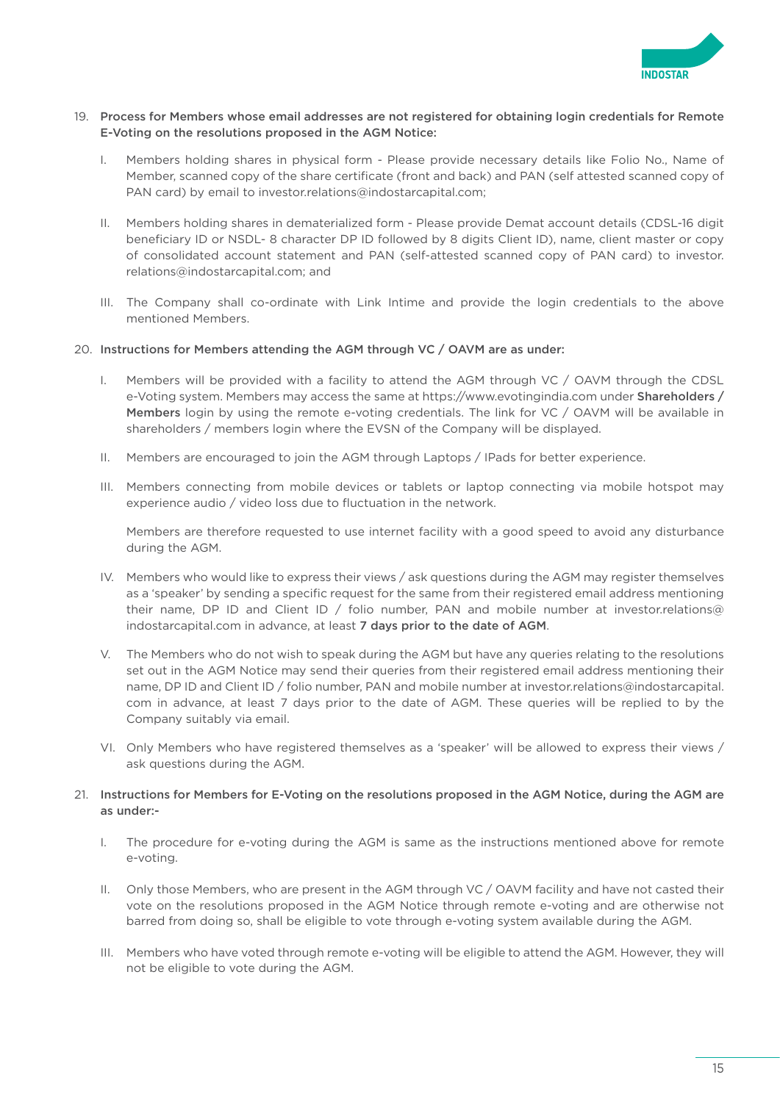

### 19. Process for Members whose email addresses are not registered for obtaining login credentials for Remote E-Voting on the resolutions proposed in the AGM Notice:

- I. Members holding shares in physical form Please provide necessary details like Folio No., Name of Member, scanned copy of the share certificate (front and back) and PAN (self attested scanned copy of PAN card) by email to [investor.relations@indostarcapital.com;](mailto:investor.relations@indostarcapital.com)
- II. Members holding shares in dematerialized form Please provide Demat account details (CDSL-16 digit beneficiary ID or NSDL- 8 character DP ID followed by 8 digits Client ID), name, client master or copy of consolidated account statement and PAN (self-attested scanned copy of PAN card) to [investor.](mailto:investor.relations@indostarcapital.com) [relations@indostarcapital.com](mailto:investor.relations@indostarcapital.com); and
- III. The Company shall co-ordinate with Link Intime and provide the login credentials to the above mentioned Members.

### 20. Instructions for Members attending the AGM through VC / OAVM are as under:

- I. Members will be provided with a facility to attend the AGM through VC / OAVM through the CDSL e-Voting system. Members may access the same at<https://www.evotingindia.com>under Shareholders / Members login by using the remote e-voting credentials. The link for VC / OAVM will be available in shareholders / members login where the EVSN of the Company will be displayed.
- II. Members are encouraged to join the AGM through Laptops / IPads for better experience.
- III. Members connecting from mobile devices or tablets or laptop connecting via mobile hotspot may experience audio / video loss due to fluctuation in the network.

 Members are therefore requested to use internet facility with a good speed to avoid any disturbance during the AGM.

- IV. Members who would like to express their views / ask questions during the AGM may register themselves as a 'speaker' by sending a specific request for the same from their registered email address mentioning their name, DP ID and Client ID / folio number, PAN and mobile number at [investor.relations@](mailto:investor.relations@indostarcapital.com) [indostarcapital.com](mailto:investor.relations@indostarcapital.com) in advance, at least 7 days prior to the date of AGM.
- V. The Members who do not wish to speak during the AGM but have any queries relating to the resolutions set out in the AGM Notice may send their queries from their registered email address mentioning their name, DP ID and Client ID / folio number, PAN and mobile number at [investor.relations@indostarcapital.](mailto:investor.relations@indostarcapital.com) [com](mailto:investor.relations@indostarcapital.com) in advance, at least 7 days prior to the date of AGM. These queries will be replied to by the Company suitably via email.
- VI. Only Members who have registered themselves as a 'speaker' will be allowed to express their views / ask questions during the AGM.

### 21. Instructions for Members for E-Voting on the resolutions proposed in the AGM Notice, during the AGM are as under:-

- I. The procedure for e-voting during the AGM is same as the instructions mentioned above for remote e-voting.
- II. Only those Members, who are present in the AGM through VC / OAVM facility and have not casted their vote on the resolutions proposed in the AGM Notice through remote e-voting and are otherwise not barred from doing so, shall be eligible to vote through e-voting system available during the AGM.
- III. Members who have voted through remote e-voting will be eligible to attend the AGM. However, they will not be eligible to vote during the AGM.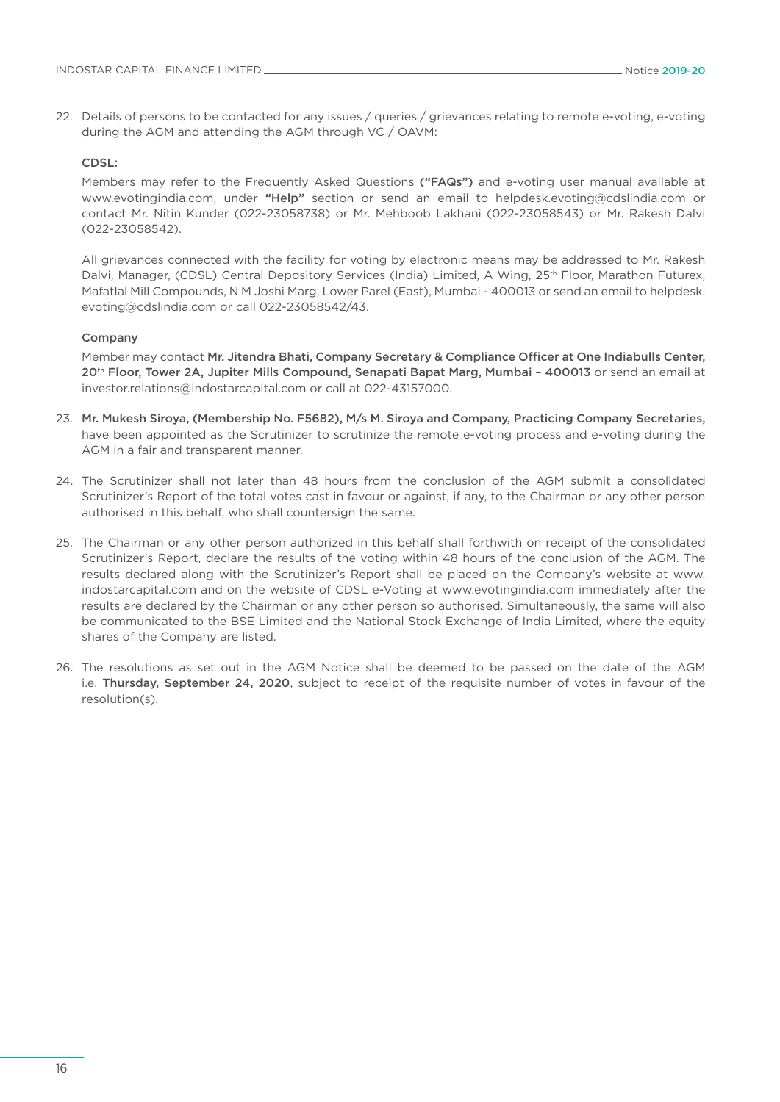22. Details of persons to be contacted for any issues / queries / grievances relating to remote e-voting, e-voting during the AGM and attending the AGM through VC / OAVM:

#### CDSL:

 Members may refer to the Frequently Asked Questions ("FAQs") and e-voting user manual available at [www.evotingindia.com](http://www.evotingindia.com), under "Help" section or send an email to [helpdesk.evoting@cdslindia.com](mailto:helpdesk.evoting@cdslindia.com) or contact Mr. Nitin Kunder (022-23058738) or Mr. Mehboob Lakhani (022-23058543) or Mr. Rakesh Dalvi (022-23058542).

 All grievances connected with the facility for voting by electronic means may be addressed to Mr. Rakesh Dalvi, Manager, (CDSL) Central Depository Services (India) Limited, A Wing, 25<sup>th</sup> Floor, Marathon Futurex, Mafatlal Mill Compounds, N M Joshi Marg, Lower Parel (East), Mumbai - 400013 or send an email to [helpdesk.](mailto:helpdesk.evoting@cdslindia.com) [evoting@cdslindia.com](mailto:helpdesk.evoting@cdslindia.com) or call 022-23058542/43.

#### Company

 Member may contact Mr. Jitendra Bhati, Company Secretary & Compliance Officer at One Indiabulls Center, 20<sup>th</sup> Floor, Tower 2A, Jupiter Mills Compound, Senapati Bapat Marg, Mumbai - 400013 or send an email at [investor.relations@indostarcapital.com](mailto:investor.relations@indostarcapital.com) or call at 022-43157000.

- 23. Mr. Mukesh Siroya, (Membership No. F5682), M/s M. Siroya and Company, Practicing Company Secretaries, have been appointed as the Scrutinizer to scrutinize the remote e-voting process and e-voting during the AGM in a fair and transparent manner.
- 24. The Scrutinizer shall not later than 48 hours from the conclusion of the AGM submit a consolidated Scrutinizer's Report of the total votes cast in favour or against, if any, to the Chairman or any other person authorised in this behalf, who shall countersign the same.
- 25. The Chairman or any other person authorized in this behalf shall forthwith on receipt of the consolidated Scrutinizer's Report, declare the results of the voting within 48 hours of the conclusion of the AGM. The results declared along with the Scrutinizer's Report shall be placed on the Company's website at [www.](http://www.indostarcapital.com) [indostarcapital.com](http://www.indostarcapital.com) and on the website of CDSL e-Voting at [www.evotingindia.com](http://www.evotingindia.com) immediately after the results are declared by the Chairman or any other person so authorised. Simultaneously, the same will also be communicated to the BSE Limited and the National Stock Exchange of India Limited, where the equity shares of the Company are listed.
- 26. The resolutions as set out in the AGM Notice shall be deemed to be passed on the date of the AGM i.e. Thursday, September 24, 2020, subject to receipt of the requisite number of votes in favour of the resolution(s).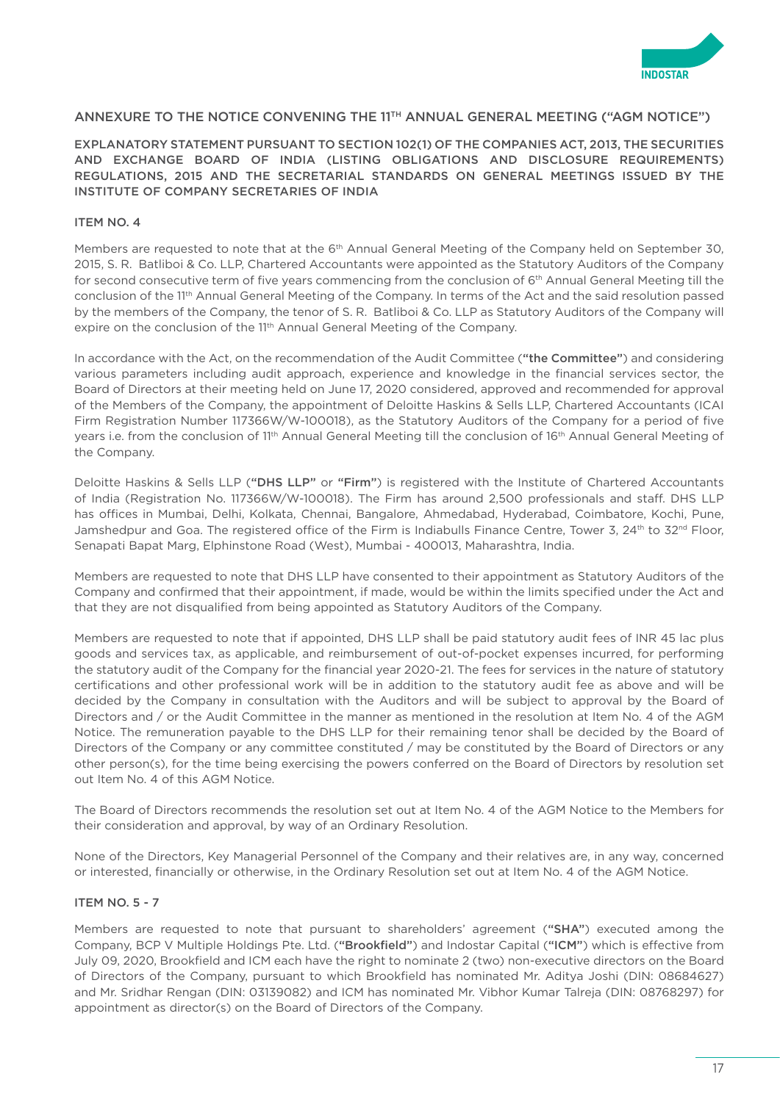

### ANNEXURE TO THE NOTICE CONVENING THE 11TH ANNUAL GENERAL MEETING ("AGM NOTICE")

EXPLANATORY STATEMENT PURSUANT TO SECTION 102(1) OF THE COMPANIES ACT, 2013, THE SECURITIES AND EXCHANGE BOARD OF INDIA (LISTING OBLIGATIONS AND DISCLOSURE REQUIREMENTS) REGULATIONS, 2015 AND THE SECRETARIAL STANDARDS ON GENERAL MEETINGS ISSUED BY THE INSTITUTE OF COMPANY SECRETARIES OF INDIA

### ITEM NO. 4

Members are requested to note that at the 6<sup>th</sup> Annual General Meeting of the Company held on September 30, 2015, S. R. Batliboi & Co. LLP, Chartered Accountants were appointed as the Statutory Auditors of the Company for second consecutive term of five years commencing from the conclusion of 6<sup>th</sup> Annual General Meeting till the conclusion of the 11<sup>th</sup> Annual General Meeting of the Company. In terms of the Act and the said resolution passed by the members of the Company, the tenor of S. R. Batliboi & Co. LLP as Statutory Auditors of the Company will expire on the conclusion of the 11<sup>th</sup> Annual General Meeting of the Company.

In accordance with the Act, on the recommendation of the Audit Committee ("the Committee") and considering various parameters including audit approach, experience and knowledge in the financial services sector, the Board of Directors at their meeting held on June 17, 2020 considered, approved and recommended for approval of the Members of the Company, the appointment of Deloitte Haskins & Sells LLP, Chartered Accountants (ICAI Firm Registration Number 117366W/W-100018), as the Statutory Auditors of the Company for a period of five years i.e. from the conclusion of 11th Annual General Meeting till the conclusion of 16th Annual General Meeting of the Company.

Deloitte Haskins & Sells LLP ("DHS LLP" or "Firm") is registered with the Institute of Chartered Accountants of India (Registration No. 117366W/W-100018). The Firm has around 2,500 professionals and staff. DHS LLP has offices in Mumbai, Delhi, Kolkata, Chennai, Bangalore, Ahmedabad, Hyderabad, Coimbatore, Kochi, Pune, Jamshedpur and Goa. The registered office of the Firm is Indiabulls Finance Centre, Tower 3, 24<sup>th</sup> to 32<sup>nd</sup> Floor, Senapati Bapat Marg, Elphinstone Road (West), Mumbai - 400013, Maharashtra, India.

Members are requested to note that DHS LLP have consented to their appointment as Statutory Auditors of the Company and confirmed that their appointment, if made, would be within the limits specified under the Act and that they are not disqualified from being appointed as Statutory Auditors of the Company.

Members are requested to note that if appointed, DHS LLP shall be paid statutory audit fees of INR 45 lac plus goods and services tax, as applicable, and reimbursement of out-of-pocket expenses incurred, for performing the statutory audit of the Company for the financial year 2020-21. The fees for services in the nature of statutory certifications and other professional work will be in addition to the statutory audit fee as above and will be decided by the Company in consultation with the Auditors and will be subject to approval by the Board of Directors and / or the Audit Committee in the manner as mentioned in the resolution at Item No. 4 of the AGM Notice. The remuneration payable to the DHS LLP for their remaining tenor shall be decided by the Board of Directors of the Company or any committee constituted / may be constituted by the Board of Directors or any other person(s), for the time being exercising the powers conferred on the Board of Directors by resolution set out Item No. 4 of this AGM Notice.

The Board of Directors recommends the resolution set out at Item No. 4 of the AGM Notice to the Members for their consideration and approval, by way of an Ordinary Resolution.

None of the Directors, Key Managerial Personnel of the Company and their relatives are, in any way, concerned or interested, financially or otherwise, in the Ordinary Resolution set out at Item No. 4 of the AGM Notice.

#### ITEM NO. 5 - 7

Members are requested to note that pursuant to shareholders' agreement ("SHA") executed among the Company, BCP V Multiple Holdings Pte. Ltd. ("Brookfield") and Indostar Capital ("ICM") which is effective from July 09, 2020, Brookfield and ICM each have the right to nominate 2 (two) non-executive directors on the Board of Directors of the Company, pursuant to which Brookfield has nominated Mr. Aditya Joshi (DIN: 08684627) and Mr. Sridhar Rengan (DIN: 03139082) and ICM has nominated Mr. Vibhor Kumar Talreja (DIN: 08768297) for appointment as director(s) on the Board of Directors of the Company.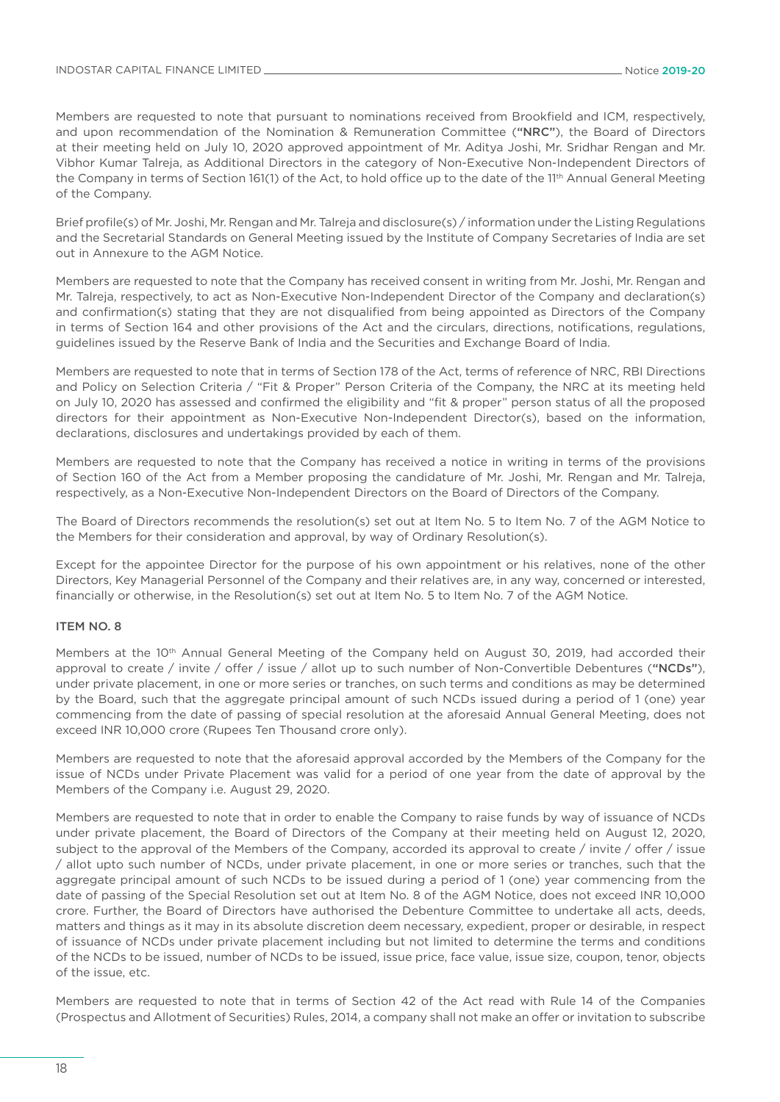Members are requested to note that pursuant to nominations received from Brookfield and ICM, respectively, and upon recommendation of the Nomination & Remuneration Committee ("NRC"), the Board of Directors at their meeting held on July 10, 2020 approved appointment of Mr. Aditya Joshi, Mr. Sridhar Rengan and Mr. Vibhor Kumar Talreja, as Additional Directors in the category of Non-Executive Non-Independent Directors of the Company in terms of Section 161(1) of the Act, to hold office up to the date of the 11<sup>th</sup> Annual General Meeting of the Company.

Brief profile(s) of Mr. Joshi, Mr. Rengan and Mr. Talreja and disclosure(s) / information under the Listing Regulations and the Secretarial Standards on General Meeting issued by the Institute of Company Secretaries of India are set out in Annexure to the AGM Notice.

Members are requested to note that the Company has received consent in writing from Mr. Joshi, Mr. Rengan and Mr. Talreja, respectively, to act as Non-Executive Non-Independent Director of the Company and declaration(s) and confirmation(s) stating that they are not disqualified from being appointed as Directors of the Company in terms of Section 164 and other provisions of the Act and the circulars, directions, notifications, regulations, guidelines issued by the Reserve Bank of India and the Securities and Exchange Board of India.

Members are requested to note that in terms of Section 178 of the Act, terms of reference of NRC, RBI Directions and Policy on Selection Criteria / "Fit & Proper" Person Criteria of the Company, the NRC at its meeting held on July 10, 2020 has assessed and confirmed the eligibility and "fit & proper" person status of all the proposed directors for their appointment as Non-Executive Non-Independent Director(s), based on the information, declarations, disclosures and undertakings provided by each of them.

Members are requested to note that the Company has received a notice in writing in terms of the provisions of Section 160 of the Act from a Member proposing the candidature of Mr. Joshi, Mr. Rengan and Mr. Talreja, respectively, as a Non-Executive Non-Independent Directors on the Board of Directors of the Company.

The Board of Directors recommends the resolution(s) set out at Item No. 5 to Item No. 7 of the AGM Notice to the Members for their consideration and approval, by way of Ordinary Resolution(s).

Except for the appointee Director for the purpose of his own appointment or his relatives, none of the other Directors, Key Managerial Personnel of the Company and their relatives are, in any way, concerned or interested, financially or otherwise, in the Resolution(s) set out at Item No. 5 to Item No. 7 of the AGM Notice.

### ITEM NO. 8

Members at the 10<sup>th</sup> Annual General Meeting of the Company held on August 30, 2019, had accorded their approval to create / invite / offer / issue / allot up to such number of Non-Convertible Debentures ("NCDs"), under private placement, in one or more series or tranches, on such terms and conditions as may be determined by the Board, such that the aggregate principal amount of such NCDs issued during a period of 1 (one) year commencing from the date of passing of special resolution at the aforesaid Annual General Meeting, does not exceed INR 10,000 crore (Rupees Ten Thousand crore only).

Members are requested to note that the aforesaid approval accorded by the Members of the Company for the issue of NCDs under Private Placement was valid for a period of one year from the date of approval by the Members of the Company i.e. August 29, 2020.

Members are requested to note that in order to enable the Company to raise funds by way of issuance of NCDs under private placement, the Board of Directors of the Company at their meeting held on August 12, 2020, subject to the approval of the Members of the Company, accorded its approval to create / invite / offer / issue / allot upto such number of NCDs, under private placement, in one or more series or tranches, such that the aggregate principal amount of such NCDs to be issued during a period of 1 (one) year commencing from the date of passing of the Special Resolution set out at Item No. 8 of the AGM Notice, does not exceed INR 10,000 crore. Further, the Board of Directors have authorised the Debenture Committee to undertake all acts, deeds, matters and things as it may in its absolute discretion deem necessary, expedient, proper or desirable, in respect of issuance of NCDs under private placement including but not limited to determine the terms and conditions of the NCDs to be issued, number of NCDs to be issued, issue price, face value, issue size, coupon, tenor, objects of the issue, etc.

Members are requested to note that in terms of Section 42 of the Act read with Rule 14 of the Companies (Prospectus and Allotment of Securities) Rules, 2014, a company shall not make an offer or invitation to subscribe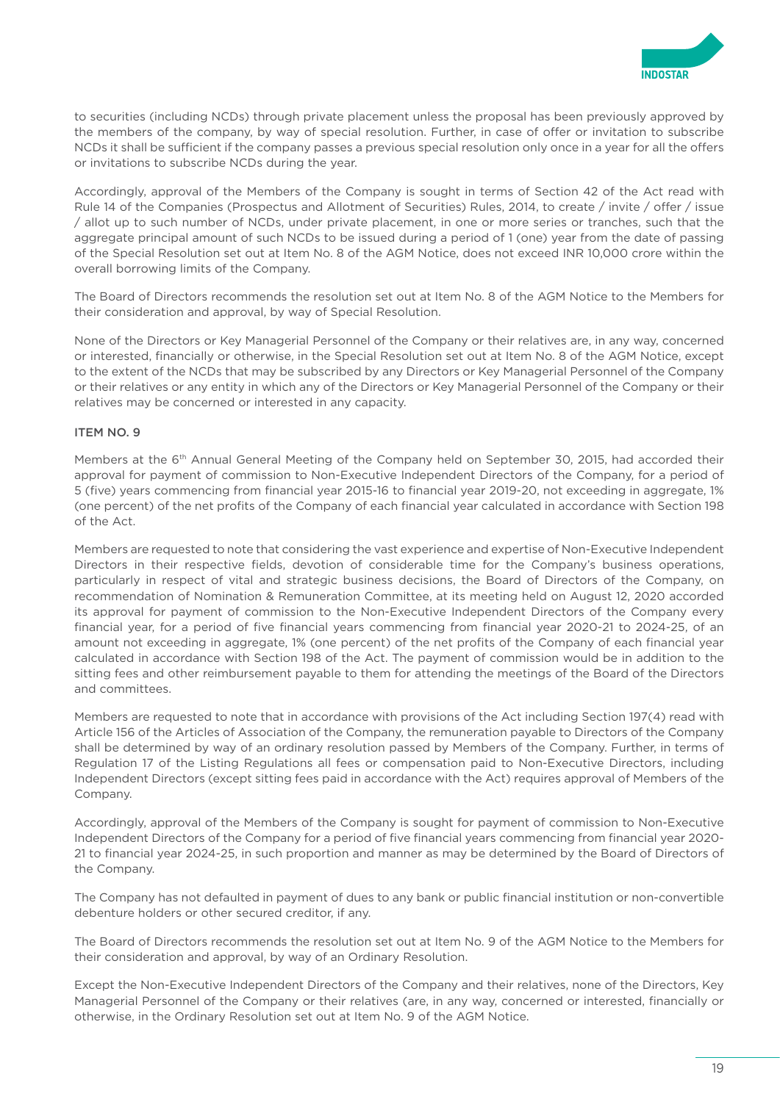

to securities (including NCDs) through private placement unless the proposal has been previously approved by the members of the company, by way of special resolution. Further, in case of offer or invitation to subscribe NCDs it shall be sufficient if the company passes a previous special resolution only once in a year for all the offers or invitations to subscribe NCDs during the year.

Accordingly, approval of the Members of the Company is sought in terms of Section 42 of the Act read with Rule 14 of the Companies (Prospectus and Allotment of Securities) Rules, 2014, to create / invite / offer / issue / allot up to such number of NCDs, under private placement, in one or more series or tranches, such that the aggregate principal amount of such NCDs to be issued during a period of 1 (one) year from the date of passing of the Special Resolution set out at Item No. 8 of the AGM Notice, does not exceed INR 10,000 crore within the overall borrowing limits of the Company.

The Board of Directors recommends the resolution set out at Item No. 8 of the AGM Notice to the Members for their consideration and approval, by way of Special Resolution.

None of the Directors or Key Managerial Personnel of the Company or their relatives are, in any way, concerned or interested, financially or otherwise, in the Special Resolution set out at Item No. 8 of the AGM Notice, except to the extent of the NCDs that may be subscribed by any Directors or Key Managerial Personnel of the Company or their relatives or any entity in which any of the Directors or Key Managerial Personnel of the Company or their relatives may be concerned or interested in any capacity.

### **ITEM NO. 9**

Members at the 6<sup>th</sup> Annual General Meeting of the Company held on September 30, 2015, had accorded their approval for payment of commission to Non-Executive Independent Directors of the Company, for a period of 5 (five) years commencing from financial year 2015-16 to financial year 2019-20, not exceeding in aggregate, 1% (one percent) of the net profits of the Company of each financial year calculated in accordance with Section 198 of the Act.

Members are requested to note that considering the vast experience and expertise of Non-Executive Independent Directors in their respective fields, devotion of considerable time for the Company's business operations, particularly in respect of vital and strategic business decisions, the Board of Directors of the Company, on recommendation of Nomination & Remuneration Committee, at its meeting held on August 12, 2020 accorded its approval for payment of commission to the Non-Executive Independent Directors of the Company every financial year, for a period of five financial years commencing from financial year 2020-21 to 2024-25, of an amount not exceeding in aggregate, 1% (one percent) of the net profits of the Company of each financial year calculated in accordance with Section 198 of the Act. The payment of commission would be in addition to the sitting fees and other reimbursement payable to them for attending the meetings of the Board of the Directors and committees.

Members are requested to note that in accordance with provisions of the Act including Section 197(4) read with Article 156 of the Articles of Association of the Company, the remuneration payable to Directors of the Company shall be determined by way of an ordinary resolution passed by Members of the Company. Further, in terms of Regulation 17 of the Listing Regulations all fees or compensation paid to Non-Executive Directors, including Independent Directors (except sitting fees paid in accordance with the Act) requires approval of Members of the Company.

Accordingly, approval of the Members of the Company is sought for payment of commission to Non-Executive Independent Directors of the Company for a period of five financial years commencing from financial year 2020- 21 to financial year 2024-25, in such proportion and manner as may be determined by the Board of Directors of the Company.

The Company has not defaulted in payment of dues to any bank or public financial institution or non-convertible debenture holders or other secured creditor, if any.

The Board of Directors recommends the resolution set out at Item No. 9 of the AGM Notice to the Members for their consideration and approval, by way of an Ordinary Resolution.

Except the Non-Executive Independent Directors of the Company and their relatives, none of the Directors, Key Managerial Personnel of the Company or their relatives (are, in any way, concerned or interested, financially or otherwise, in the Ordinary Resolution set out at Item No. 9 of the AGM Notice.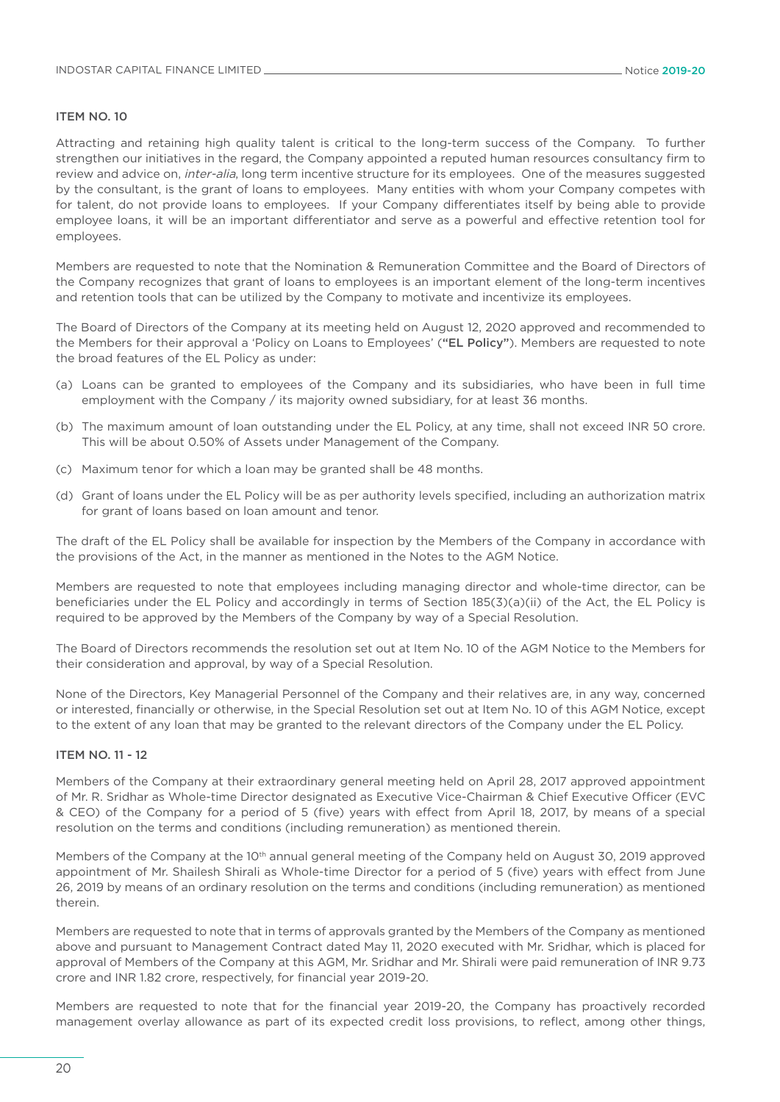#### **ITEM NO. 10**

Attracting and retaining high quality talent is critical to the long-term success of the Company. To further strengthen our initiatives in the regard, the Company appointed a reputed human resources consultancy firm to review and advice on, *inter-alia*, long term incentive structure for its employees. One of the measures suggested by the consultant, is the grant of loans to employees. Many entities with whom your Company competes with for talent, do not provide loans to employees. If your Company differentiates itself by being able to provide employee loans, it will be an important differentiator and serve as a powerful and effective retention tool for employees.

Members are requested to note that the Nomination & Remuneration Committee and the Board of Directors of the Company recognizes that grant of loans to employees is an important element of the long-term incentives and retention tools that can be utilized by the Company to motivate and incentivize its employees.

The Board of Directors of the Company at its meeting held on August 12, 2020 approved and recommended to the Members for their approval a 'Policy on Loans to Employees' ("EL Policy"). Members are requested to note the broad features of the EL Policy as under:

- (a) Loans can be granted to employees of the Company and its subsidiaries, who have been in full time employment with the Company / its majority owned subsidiary, for at least 36 months.
- (b) The maximum amount of loan outstanding under the EL Policy, at any time, shall not exceed INR 50 crore. This will be about 0.50% of Assets under Management of the Company.
- (c) Maximum tenor for which a loan may be granted shall be 48 months.
- (d) Grant of loans under the EL Policy will be as per authority levels specified, including an authorization matrix for grant of loans based on loan amount and tenor.

The draft of the EL Policy shall be available for inspection by the Members of the Company in accordance with the provisions of the Act, in the manner as mentioned in the Notes to the AGM Notice.

Members are requested to note that employees including managing director and whole-time director, can be beneficiaries under the EL Policy and accordingly in terms of Section 185(3)(a)(ii) of the Act, the EL Policy is required to be approved by the Members of the Company by way of a Special Resolution.

The Board of Directors recommends the resolution set out at Item No. 10 of the AGM Notice to the Members for their consideration and approval, by way of a Special Resolution.

None of the Directors, Key Managerial Personnel of the Company and their relatives are, in any way, concerned or interested, financially or otherwise, in the Special Resolution set out at Item No. 10 of this AGM Notice, except to the extent of any loan that may be granted to the relevant directors of the Company under the EL Policy.

#### Item No. 11 - 12

Members of the Company at their extraordinary general meeting held on April 28, 2017 approved appointment of Mr. R. Sridhar as Whole-time Director designated as Executive Vice-Chairman & Chief Executive Officer (EVC & CEO) of the Company for a period of 5 (five) years with effect from April 18, 2017, by means of a special resolution on the terms and conditions (including remuneration) as mentioned therein.

Members of the Company at the 10<sup>th</sup> annual general meeting of the Company held on August 30, 2019 approved appointment of Mr. Shailesh Shirali as Whole-time Director for a period of 5 (five) years with effect from June 26, 2019 by means of an ordinary resolution on the terms and conditions (including remuneration) as mentioned therein.

Members are requested to note that in terms of approvals granted by the Members of the Company as mentioned above and pursuant to Management Contract dated May 11, 2020 executed with Mr. Sridhar, which is placed for approval of Members of the Company at this AGM, Mr. Sridhar and Mr. Shirali were paid remuneration of INR 9.73 crore and INR 1.82 crore, respectively, for financial year 2019-20.

Members are requested to note that for the financial year 2019-20, the Company has proactively recorded management overlay allowance as part of its expected credit loss provisions, to reflect, among other things,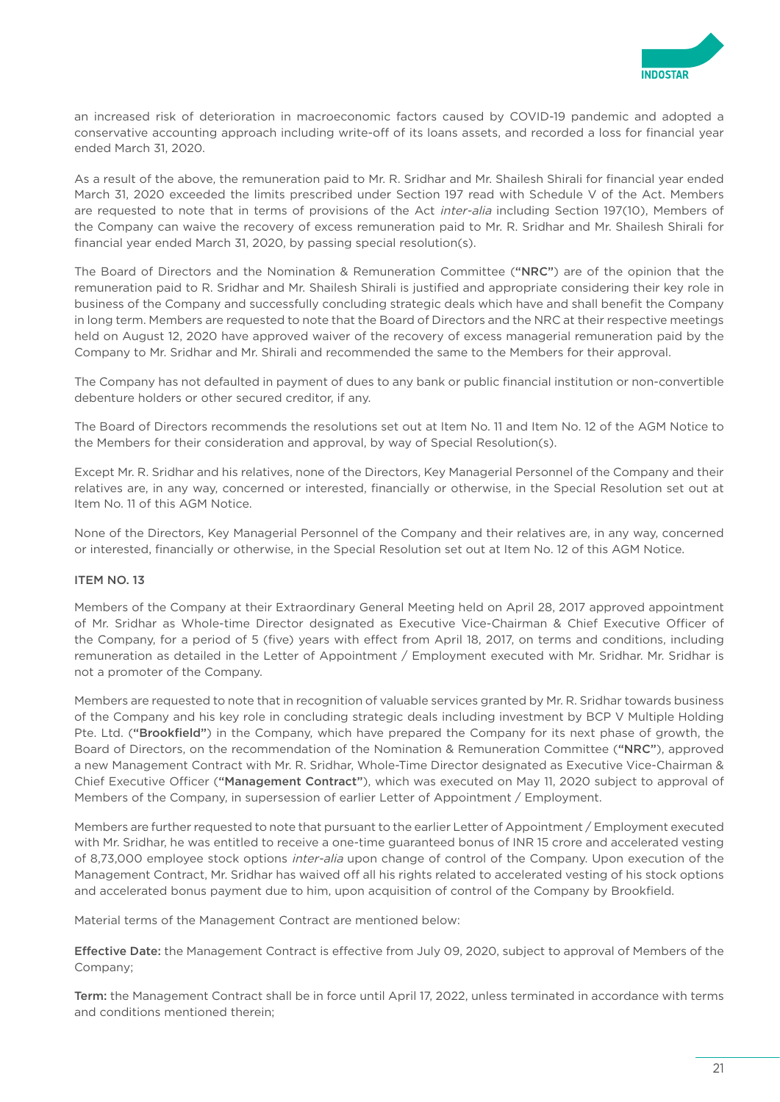

an increased risk of deterioration in macroeconomic factors caused by COVID-19 pandemic and adopted a conservative accounting approach including write-off of its loans assets, and recorded a loss for financial year ended March 31, 2020.

As a result of the above, the remuneration paid to Mr. R. Sridhar and Mr. Shailesh Shirali for financial year ended March 31, 2020 exceeded the limits prescribed under Section 197 read with Schedule V of the Act. Members are requested to note that in terms of provisions of the Act inter-alia including Section 197(10), Members of the Company can waive the recovery of excess remuneration paid to Mr. R. Sridhar and Mr. Shailesh Shirali for financial year ended March 31, 2020, by passing special resolution(s).

The Board of Directors and the Nomination & Remuneration Committee ("NRC") are of the opinion that the remuneration paid to R. Sridhar and Mr. Shailesh Shirali is justified and appropriate considering their key role in business of the Company and successfully concluding strategic deals which have and shall benefit the Company in long term. Members are requested to note that the Board of Directors and the NRC at their respective meetings held on August 12, 2020 have approved waiver of the recovery of excess managerial remuneration paid by the Company to Mr. Sridhar and Mr. Shirali and recommended the same to the Members for their approval.

The Company has not defaulted in payment of dues to any bank or public financial institution or non-convertible debenture holders or other secured creditor, if any.

The Board of Directors recommends the resolutions set out at Item No. 11 and Item No. 12 of the AGM Notice to the Members for their consideration and approval, by way of Special Resolution(s).

Except Mr. R. Sridhar and his relatives, none of the Directors, Key Managerial Personnel of the Company and their relatives are, in any way, concerned or interested, financially or otherwise, in the Special Resolution set out at Item No. 11 of this AGM Notice.

None of the Directors, Key Managerial Personnel of the Company and their relatives are, in any way, concerned or interested, financially or otherwise, in the Special Resolution set out at Item No. 12 of this AGM Notice.

### **ITEM NO. 13**

Members of the Company at their Extraordinary General Meeting held on April 28, 2017 approved appointment of Mr. Sridhar as Whole-time Director designated as Executive Vice-Chairman & Chief Executive Officer of the Company, for a period of 5 (five) years with effect from April 18, 2017, on terms and conditions, including remuneration as detailed in the Letter of Appointment / Employment executed with Mr. Sridhar. Mr. Sridhar is not a promoter of the Company.

Members are requested to note that in recognition of valuable services granted by Mr. R. Sridhar towards business of the Company and his key role in concluding strategic deals including investment by BCP V Multiple Holding Pte. Ltd. ("Brookfield") in the Company, which have prepared the Company for its next phase of growth, the Board of Directors, on the recommendation of the Nomination & Remuneration Committee ("NRC"), approved a new Management Contract with Mr. R. Sridhar, Whole-Time Director designated as Executive Vice-Chairman & Chief Executive Officer ("Management Contract"), which was executed on May 11, 2020 subject to approval of Members of the Company, in supersession of earlier Letter of Appointment / Employment.

Members are further requested to note that pursuant to the earlier Letter of Appointment / Employment executed with Mr. Sridhar, he was entitled to receive a one-time guaranteed bonus of INR 15 crore and accelerated vesting of 8,73,000 employee stock options inter-alia upon change of control of the Company. Upon execution of the Management Contract, Mr. Sridhar has waived off all his rights related to accelerated vesting of his stock options and accelerated bonus payment due to him, upon acquisition of control of the Company by Brookfield.

Material terms of the Management Contract are mentioned below:

Effective Date: the Management Contract is effective from July 09, 2020, subject to approval of Members of the Company;

Term: the Management Contract shall be in force until April 17, 2022, unless terminated in accordance with terms and conditions mentioned therein;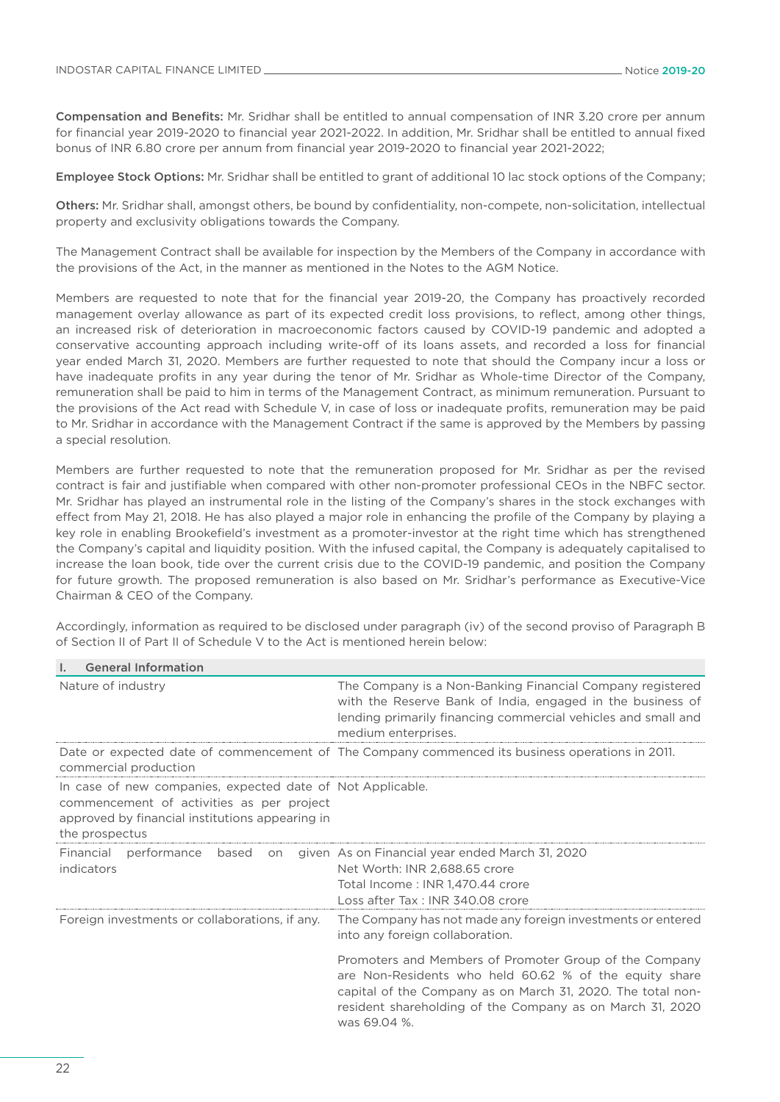$\mathbb{I}$ . General Information is a set of  $\mathbb{I}$ .

Compensation and Benefits: Mr. Sridhar shall be entitled to annual compensation of INR 3.20 crore per annum for financial year 2019-2020 to financial year 2021-2022. In addition, Mr. Sridhar shall be entitled to annual fixed bonus of INR 6.80 crore per annum from financial year 2019-2020 to financial year 2021-2022;

Employee Stock Options: Mr. Sridhar shall be entitled to grant of additional 10 lac stock options of the Company;

Others: Mr. Sridhar shall, amongst others, be bound by confidentiality, non-compete, non-solicitation, intellectual property and exclusivity obligations towards the Company.

The Management Contract shall be available for inspection by the Members of the Company in accordance with the provisions of the Act, in the manner as mentioned in the Notes to the AGM Notice.

Members are requested to note that for the financial year 2019-20, the Company has proactively recorded management overlay allowance as part of its expected credit loss provisions, to reflect, among other things, an increased risk of deterioration in macroeconomic factors caused by COVID-19 pandemic and adopted a conservative accounting approach including write-off of its loans assets, and recorded a loss for financial year ended March 31, 2020. Members are further requested to note that should the Company incur a loss or have inadequate profits in any year during the tenor of Mr. Sridhar as Whole-time Director of the Company, remuneration shall be paid to him in terms of the Management Contract, as minimum remuneration. Pursuant to the provisions of the Act read with Schedule V, in case of loss or inadequate profits, remuneration may be paid to Mr. Sridhar in accordance with the Management Contract if the same is approved by the Members by passing a special resolution.

Members are further requested to note that the remuneration proposed for Mr. Sridhar as per the revised contract is fair and justifiable when compared with other non-promoter professional CEOs in the NBFC sector. Mr. Sridhar has played an instrumental role in the listing of the Company's shares in the stock exchanges with effect from May 21, 2018. He has also played a major role in enhancing the profile of the Company by playing a key role in enabling Brookefield's investment as a promoter-investor at the right time which has strengthened the Company's capital and liquidity position. With the infused capital, the Company is adequately capitalised to increase the loan book, tide over the current crisis due to the COVID-19 pandemic, and position the Company for future growth. The proposed remuneration is also based on Mr. Sridhar's performance as Executive-Vice Chairman & CEO of the Company.

| General Information                                                                                                                                                          |                                                                                                                                                                                                                                                                                   |  |  |
|------------------------------------------------------------------------------------------------------------------------------------------------------------------------------|-----------------------------------------------------------------------------------------------------------------------------------------------------------------------------------------------------------------------------------------------------------------------------------|--|--|
| Nature of industry                                                                                                                                                           | The Company is a Non-Banking Financial Company registered<br>with the Reserve Bank of India, engaged in the business of<br>lending primarily financing commercial vehicles and small and<br>medium enterprises.                                                                   |  |  |
| commercial production                                                                                                                                                        | Date or expected date of commencement of The Company commenced its business operations in 2011.                                                                                                                                                                                   |  |  |
| In case of new companies, expected date of Not Applicable.<br>commencement of activities as per project<br>approved by financial institutions appearing in<br>the prospectus |                                                                                                                                                                                                                                                                                   |  |  |
| Financial<br>performance<br>based<br>on<br>indicators                                                                                                                        | given As on Financial year ended March 31, 2020<br>Net Worth: INR 2,688.65 crore<br>Total Income: INR 1,470.44 crore<br>Loss after Tax: INR 340.08 crore                                                                                                                          |  |  |
| Foreign investments or collaborations, if any.                                                                                                                               | The Company has not made any foreign investments or entered<br>into any foreign collaboration.<br>Promoters and Members of Promoter Group of the Company<br>are Non-Residents who held 60.62 % of the equity share<br>capital of the Company as on March 31, 2020. The total non- |  |  |
|                                                                                                                                                                              | resident shareholding of the Company as on March 31, 2020<br>was 69.04 %.                                                                                                                                                                                                         |  |  |

Accordingly, information as required to be disclosed under paragraph (iv) of the second proviso of Paragraph B of Section II of Part II of Schedule V to the Act is mentioned herein below: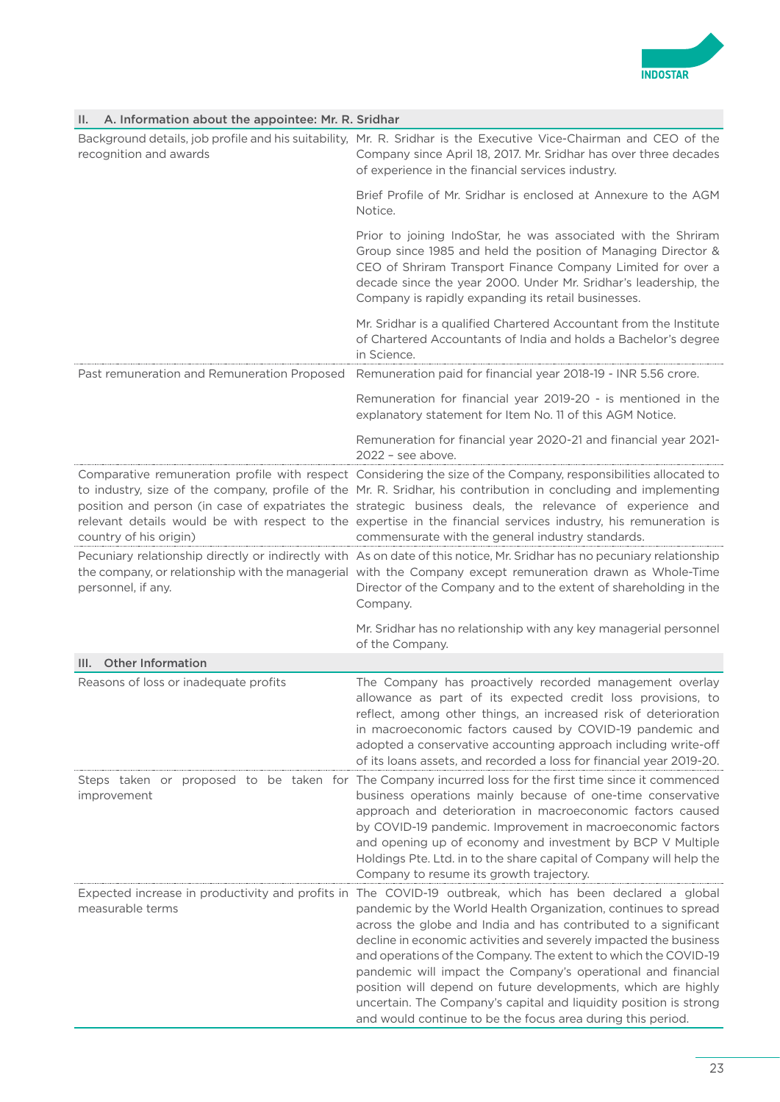

| A. Information about the appointee: Mr. R. Sridhar<br>н. |                                                                                                                                                                                                                                                                                                                                                                                                                                                                                                                                                                                                                                                            |
|----------------------------------------------------------|------------------------------------------------------------------------------------------------------------------------------------------------------------------------------------------------------------------------------------------------------------------------------------------------------------------------------------------------------------------------------------------------------------------------------------------------------------------------------------------------------------------------------------------------------------------------------------------------------------------------------------------------------------|
| recognition and awards                                   | Background details, job profile and his suitability, Mr. R. Sridhar is the Executive Vice-Chairman and CEO of the<br>Company since April 18, 2017. Mr. Sridhar has over three decades<br>of experience in the financial services industry.                                                                                                                                                                                                                                                                                                                                                                                                                 |
|                                                          | Brief Profile of Mr. Sridhar is enclosed at Annexure to the AGM<br>Notice.                                                                                                                                                                                                                                                                                                                                                                                                                                                                                                                                                                                 |
|                                                          | Prior to joining IndoStar, he was associated with the Shriram<br>Group since 1985 and held the position of Managing Director &<br>CEO of Shriram Transport Finance Company Limited for over a<br>decade since the year 2000. Under Mr. Sridhar's leadership, the<br>Company is rapidly expanding its retail businesses.                                                                                                                                                                                                                                                                                                                                    |
|                                                          | Mr. Sridhar is a qualified Chartered Accountant from the Institute<br>of Chartered Accountants of India and holds a Bachelor's degree<br>in Science.                                                                                                                                                                                                                                                                                                                                                                                                                                                                                                       |
| Past remuneration and Remuneration Proposed              | Remuneration paid for financial year 2018-19 - INR 5.56 crore.                                                                                                                                                                                                                                                                                                                                                                                                                                                                                                                                                                                             |
|                                                          | Remuneration for financial year 2019-20 - is mentioned in the<br>explanatory statement for Item No. 11 of this AGM Notice.                                                                                                                                                                                                                                                                                                                                                                                                                                                                                                                                 |
|                                                          | Remuneration for financial year 2020-21 and financial year 2021-<br>$2022$ – see above.                                                                                                                                                                                                                                                                                                                                                                                                                                                                                                                                                                    |
| country of his origin)                                   | Comparative remuneration profile with respect Considering the size of the Company, responsibilities allocated to<br>to industry, size of the company, profile of the Mr. R. Sridhar, his contribution in concluding and implementing<br>position and person (in case of expatriates the strategic business deals, the relevance of experience and<br>relevant details would be with respect to the expertise in the financial services industry, his remuneration is<br>commensurate with the general industry standards.                                                                                                                                  |
| personnel, if any.                                       | Pecuniary relationship directly or indirectly with As on date of this notice, Mr. Sridhar has no pecuniary relationship<br>the company, or relationship with the managerial with the Company except remuneration drawn as Whole-Time<br>Director of the Company and to the extent of shareholding in the<br>Company.                                                                                                                                                                                                                                                                                                                                       |
|                                                          | Mr. Sridhar has no relationship with any key managerial personnel<br>of the Company.                                                                                                                                                                                                                                                                                                                                                                                                                                                                                                                                                                       |
| <b>Other Information</b><br>III.                         |                                                                                                                                                                                                                                                                                                                                                                                                                                                                                                                                                                                                                                                            |
| Reasons of loss or inadequate profits                    | The Company has proactively recorded management overlay<br>allowance as part of its expected credit loss provisions, to<br>reflect, among other things, an increased risk of deterioration<br>in macroeconomic factors caused by COVID-19 pandemic and<br>adopted a conservative accounting approach including write-off<br>of its loans assets, and recorded a loss for financial year 2019-20.                                                                                                                                                                                                                                                           |
| improvement                                              | Steps taken or proposed to be taken for The Company incurred loss for the first time since it commenced<br>business operations mainly because of one-time conservative<br>approach and deterioration in macroeconomic factors caused<br>by COVID-19 pandemic. Improvement in macroeconomic factors<br>and opening up of economy and investment by BCP V Multiple<br>Holdings Pte. Ltd. in to the share capital of Company will help the<br>Company to resume its growth trajectory.                                                                                                                                                                        |
| measurable terms                                         | Expected increase in productivity and profits in The COVID-19 outbreak, which has been declared a global<br>pandemic by the World Health Organization, continues to spread<br>across the globe and India and has contributed to a significant<br>decline in economic activities and severely impacted the business<br>and operations of the Company. The extent to which the COVID-19<br>pandemic will impact the Company's operational and financial<br>position will depend on future developments, which are highly<br>uncertain. The Company's capital and liquidity position is strong<br>and would continue to be the focus area during this period. |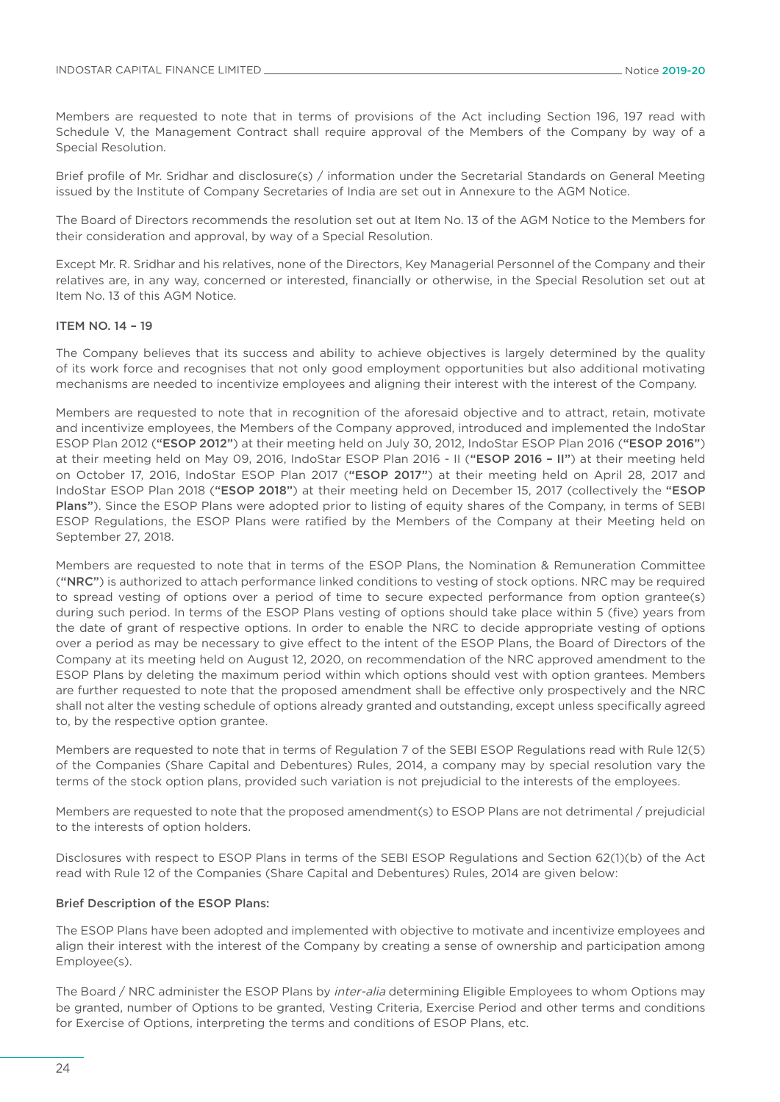Members are requested to note that in terms of provisions of the Act including Section 196, 197 read with Schedule V, the Management Contract shall require approval of the Members of the Company by way of a Special Resolution.

Brief profile of Mr. Sridhar and disclosure(s) / information under the Secretarial Standards on General Meeting issued by the Institute of Company Secretaries of India are set out in Annexure to the AGM Notice.

The Board of Directors recommends the resolution set out at Item No. 13 of the AGM Notice to the Members for their consideration and approval, by way of a Special Resolution.

Except Mr. R. Sridhar and his relatives, none of the Directors, Key Managerial Personnel of the Company and their relatives are, in any way, concerned or interested, financially or otherwise, in the Special Resolution set out at Item No. 13 of this AGM Notice.

#### ITEM NO. 14 – 19

The Company believes that its success and ability to achieve objectives is largely determined by the quality of its work force and recognises that not only good employment opportunities but also additional motivating mechanisms are needed to incentivize employees and aligning their interest with the interest of the Company.

Members are requested to note that in recognition of the aforesaid objective and to attract, retain, motivate and incentivize employees, the Members of the Company approved, introduced and implemented the IndoStar ESOP Plan 2012 ("ESOP 2012") at their meeting held on July 30, 2012, IndoStar ESOP Plan 2016 ("ESOP 2016") at their meeting held on May 09, 2016, IndoStar ESOP Plan 2016 - II ("ESOP 2016 – II") at their meeting held on October 17, 2016, IndoStar ESOP Plan 2017 ("ESOP 2017") at their meeting held on April 28, 2017 and IndoStar ESOP Plan 2018 ("ESOP 2018") at their meeting held on December 15, 2017 (collectively the "ESOP Plans"). Since the ESOP Plans were adopted prior to listing of equity shares of the Company, in terms of SEBI ESOP Regulations, the ESOP Plans were ratified by the Members of the Company at their Meeting held on September 27, 2018.

Members are requested to note that in terms of the ESOP Plans, the Nomination & Remuneration Committee ("NRC") is authorized to attach performance linked conditions to vesting of stock options. NRC may be required to spread vesting of options over a period of time to secure expected performance from option grantee(s) during such period. In terms of the ESOP Plans vesting of options should take place within 5 (five) years from the date of grant of respective options. In order to enable the NRC to decide appropriate vesting of options over a period as may be necessary to give effect to the intent of the ESOP Plans, the Board of Directors of the Company at its meeting held on August 12, 2020, on recommendation of the NRC approved amendment to the ESOP Plans by deleting the maximum period within which options should vest with option grantees. Members are further requested to note that the proposed amendment shall be effective only prospectively and the NRC shall not alter the vesting schedule of options already granted and outstanding, except unless specifically agreed to, by the respective option grantee.

Members are requested to note that in terms of Regulation 7 of the SEBI ESOP Regulations read with Rule 12(5) of the Companies (Share Capital and Debentures) Rules, 2014, a company may by special resolution vary the terms of the stock option plans, provided such variation is not prejudicial to the interests of the employees.

Members are requested to note that the proposed amendment(s) to ESOP Plans are not detrimental / prejudicial to the interests of option holders.

Disclosures with respect to ESOP Plans in terms of the SEBI ESOP Regulations and Section 62(1)(b) of the Act read with Rule 12 of the Companies (Share Capital and Debentures) Rules, 2014 are given below:

### Brief Description of the ESOP Plans:

The ESOP Plans have been adopted and implemented with objective to motivate and incentivize employees and align their interest with the interest of the Company by creating a sense of ownership and participation among Employee(s).

The Board / NRC administer the ESOP Plans by *inter-alia* determining Eligible Employees to whom Options may be granted, number of Options to be granted, Vesting Criteria, Exercise Period and other terms and conditions for Exercise of Options, interpreting the terms and conditions of ESOP Plans, etc.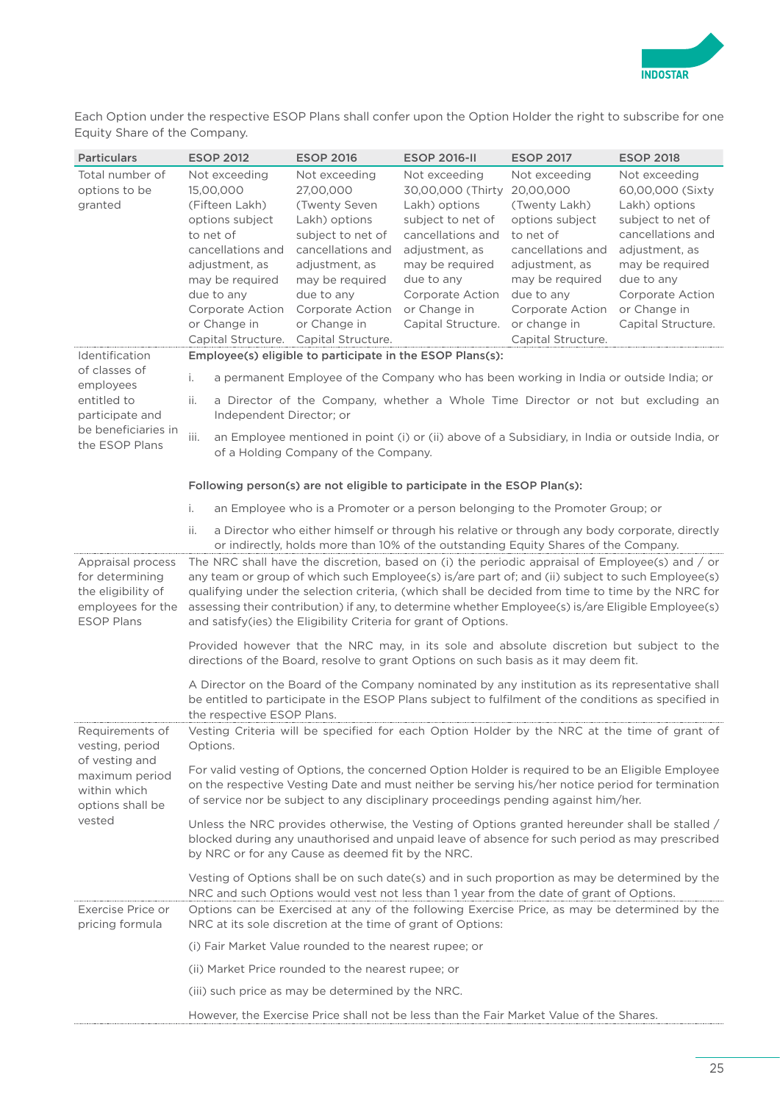

Each Option under the respective ESOP Plans shall confer upon the Option Holder the right to subscribe for one Equity Share of the Company.

| <b>Particulars</b>                                                                                   | <b>ESOP 2012</b>                                                                                                                                                                                                                                                                                                                                                                                                                                                                 | <b>ESOP 2016</b>                                                                                         | <b>ESOP 2016-II</b>                                                                                       | <b>ESOP 2017</b>                                                                                         | <b>ESOP 2018</b>                                                                                          |  |  |  |
|------------------------------------------------------------------------------------------------------|----------------------------------------------------------------------------------------------------------------------------------------------------------------------------------------------------------------------------------------------------------------------------------------------------------------------------------------------------------------------------------------------------------------------------------------------------------------------------------|----------------------------------------------------------------------------------------------------------|-----------------------------------------------------------------------------------------------------------|----------------------------------------------------------------------------------------------------------|-----------------------------------------------------------------------------------------------------------|--|--|--|
| Total number of<br>options to be<br>granted                                                          | Not exceeding<br>15,00,000<br>(Fifteen Lakh)<br>options subject<br>to net of                                                                                                                                                                                                                                                                                                                                                                                                     | Not exceeding<br>27,00,000<br>(Twenty Seven<br>Lakh) options<br>subject to net of                        | Not exceeding<br>30,00,000 (Thirty<br>Lakh) options<br>subject to net of<br>cancellations and             | Not exceeding<br>20,00,000<br>(Twenty Lakh)<br>options subject<br>to net of                              | Not exceeding<br>60,00,000 (Sixty<br>Lakh) options<br>subject to net of<br>cancellations and              |  |  |  |
|                                                                                                      | cancellations and<br>adjustment, as<br>may be required<br>due to any<br>Corporate Action<br>or Change in                                                                                                                                                                                                                                                                                                                                                                         | cancellations and<br>adjustment, as<br>may be required<br>due to any<br>Corporate Action<br>or Change in | adjustment, as<br>may be required<br>due to any<br>Corporate Action<br>or Change in<br>Capital Structure. | cancellations and<br>adjustment, as<br>may be required<br>due to any<br>Corporate Action<br>or change in | adjustment, as<br>may be required<br>due to any<br>Corporate Action<br>or Change in<br>Capital Structure. |  |  |  |
|                                                                                                      | Capital Structure.                                                                                                                                                                                                                                                                                                                                                                                                                                                               | Capital Structure.                                                                                       |                                                                                                           | Capital Structure.                                                                                       |                                                                                                           |  |  |  |
| Identification                                                                                       |                                                                                                                                                                                                                                                                                                                                                                                                                                                                                  | Employee(s) eligible to participate in the ESOP Plans(s):                                                |                                                                                                           |                                                                                                          |                                                                                                           |  |  |  |
| of classes of<br>employees                                                                           | i.                                                                                                                                                                                                                                                                                                                                                                                                                                                                               |                                                                                                          | a permanent Employee of the Company who has been working in India or outside India; or                    |                                                                                                          |                                                                                                           |  |  |  |
| entitled to<br>participate and                                                                       | ii.<br>Independent Director; or                                                                                                                                                                                                                                                                                                                                                                                                                                                  |                                                                                                          |                                                                                                           |                                                                                                          | a Director of the Company, whether a Whole Time Director or not but excluding an                          |  |  |  |
| be beneficiaries in<br>the ESOP Plans                                                                | an Employee mentioned in point (i) or (ii) above of a Subsidiary, in India or outside India, or<br>iii.<br>of a Holding Company of the Company.                                                                                                                                                                                                                                                                                                                                  |                                                                                                          |                                                                                                           |                                                                                                          |                                                                                                           |  |  |  |
|                                                                                                      |                                                                                                                                                                                                                                                                                                                                                                                                                                                                                  |                                                                                                          | Following person(s) are not eligible to participate in the ESOP Plan(s):                                  |                                                                                                          |                                                                                                           |  |  |  |
|                                                                                                      | i.                                                                                                                                                                                                                                                                                                                                                                                                                                                                               |                                                                                                          | an Employee who is a Promoter or a person belonging to the Promoter Group; or                             |                                                                                                          |                                                                                                           |  |  |  |
|                                                                                                      | ii.                                                                                                                                                                                                                                                                                                                                                                                                                                                                              |                                                                                                          | or indirectly, holds more than 10% of the outstanding Equity Shares of the Company.                       |                                                                                                          | a Director who either himself or through his relative or through any body corporate, directly             |  |  |  |
| Appraisal process<br>for determining<br>the eligibility of<br>employees for the<br><b>ESOP Plans</b> | The NRC shall have the discretion, based on (i) the periodic appraisal of Employee(s) and / or<br>any team or group of which such Employee(s) is/are part of; and (ii) subject to such Employee(s)<br>qualifying under the selection criteria, (which shall be decided from time to time by the NRC for<br>assessing their contribution) if any, to determine whether Employee(s) is/are Eligible Employee(s)<br>and satisfy(ies) the Eligibility Criteria for grant of Options. |                                                                                                          |                                                                                                           |                                                                                                          |                                                                                                           |  |  |  |
|                                                                                                      | Provided however that the NRC may, in its sole and absolute discretion but subject to the<br>directions of the Board, resolve to grant Options on such basis as it may deem fit.                                                                                                                                                                                                                                                                                                 |                                                                                                          |                                                                                                           |                                                                                                          |                                                                                                           |  |  |  |
|                                                                                                      | A Director on the Board of the Company nominated by any institution as its representative shall<br>be entitled to participate in the ESOP Plans subject to fulfilment of the conditions as specified in<br>the respective ESOP Plans.                                                                                                                                                                                                                                            |                                                                                                          |                                                                                                           |                                                                                                          |                                                                                                           |  |  |  |
| Requirements of<br>vesting, period                                                                   | Vesting Criteria will be specified for each Option Holder by the NRC at the time of grant of<br>Options.                                                                                                                                                                                                                                                                                                                                                                         |                                                                                                          |                                                                                                           |                                                                                                          |                                                                                                           |  |  |  |
| of vesting and<br>maximum period<br>within which<br>options shall be                                 | For valid vesting of Options, the concerned Option Holder is required to be an Eligible Employee<br>on the respective Vesting Date and must neither be serving his/her notice period for termination<br>of service nor be subject to any disciplinary proceedings pending against him/her.                                                                                                                                                                                       |                                                                                                          |                                                                                                           |                                                                                                          |                                                                                                           |  |  |  |
| vested                                                                                               | Unless the NRC provides otherwise, the Vesting of Options granted hereunder shall be stalled /<br>blocked during any unauthorised and unpaid leave of absence for such period as may prescribed<br>by NRC or for any Cause as deemed fit by the NRC.                                                                                                                                                                                                                             |                                                                                                          |                                                                                                           |                                                                                                          |                                                                                                           |  |  |  |
|                                                                                                      |                                                                                                                                                                                                                                                                                                                                                                                                                                                                                  |                                                                                                          | NRC and such Options would vest not less than 1 year from the date of grant of Options.                   |                                                                                                          | Vesting of Options shall be on such date(s) and in such proportion as may be determined by the            |  |  |  |
| Exercise Price or<br>pricing formula                                                                 |                                                                                                                                                                                                                                                                                                                                                                                                                                                                                  | NRC at its sole discretion at the time of grant of Options:                                              |                                                                                                           |                                                                                                          | Options can be Exercised at any of the following Exercise Price, as may be determined by the              |  |  |  |
|                                                                                                      |                                                                                                                                                                                                                                                                                                                                                                                                                                                                                  | (i) Fair Market Value rounded to the nearest rupee; or                                                   |                                                                                                           |                                                                                                          |                                                                                                           |  |  |  |
|                                                                                                      |                                                                                                                                                                                                                                                                                                                                                                                                                                                                                  | (ii) Market Price rounded to the nearest rupee; or                                                       |                                                                                                           |                                                                                                          |                                                                                                           |  |  |  |
|                                                                                                      |                                                                                                                                                                                                                                                                                                                                                                                                                                                                                  | (iii) such price as may be determined by the NRC.                                                        |                                                                                                           |                                                                                                          |                                                                                                           |  |  |  |
|                                                                                                      |                                                                                                                                                                                                                                                                                                                                                                                                                                                                                  |                                                                                                          | However, the Exercise Price shall not be less than the Fair Market Value of the Shares.                   |                                                                                                          |                                                                                                           |  |  |  |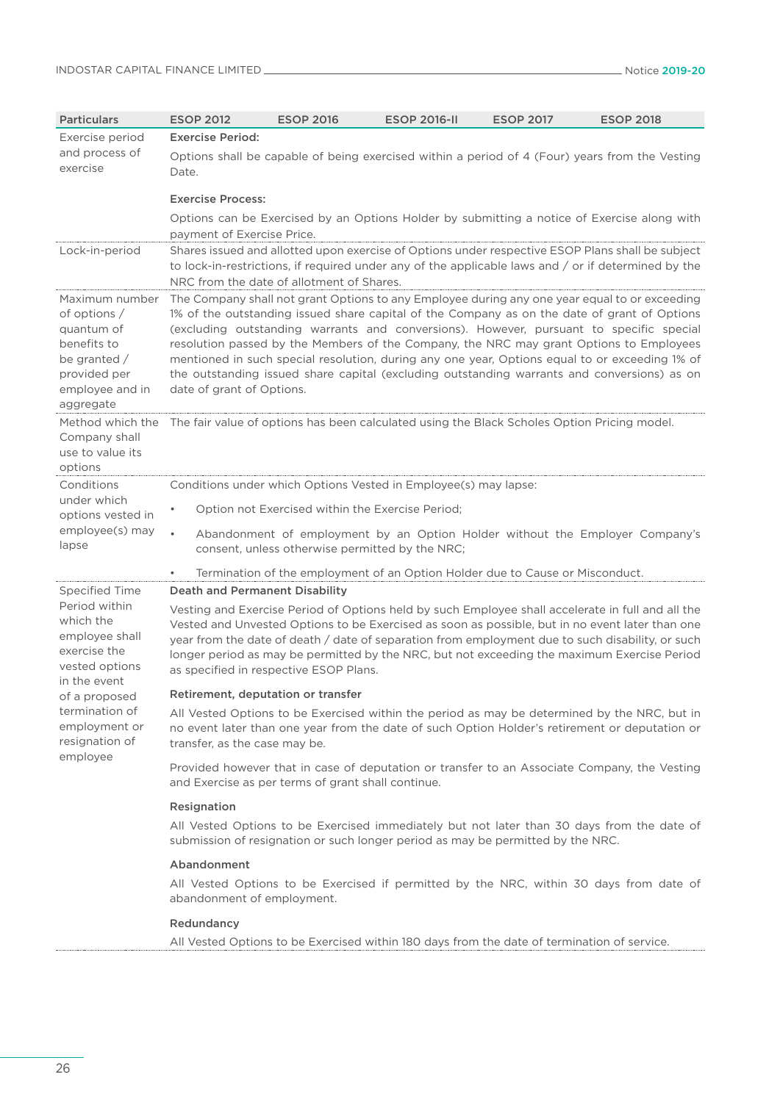| <b>Particulars</b>                                                                                                              | <b>ESOP 2012</b>                                                                                                                                                                                                                                                                                                                                                                                                                                                                                                                                                                                                  | <b>ESOP 2016</b>                                   | <b>ESOP 2016-II</b>                                             | <b>ESOP 2017</b>                                                                            | <b>ESOP 2018</b>                                                                                                                                                                                                                                                                                                                                                                                        |  |  |  |  |
|---------------------------------------------------------------------------------------------------------------------------------|-------------------------------------------------------------------------------------------------------------------------------------------------------------------------------------------------------------------------------------------------------------------------------------------------------------------------------------------------------------------------------------------------------------------------------------------------------------------------------------------------------------------------------------------------------------------------------------------------------------------|----------------------------------------------------|-----------------------------------------------------------------|---------------------------------------------------------------------------------------------|---------------------------------------------------------------------------------------------------------------------------------------------------------------------------------------------------------------------------------------------------------------------------------------------------------------------------------------------------------------------------------------------------------|--|--|--|--|
| Exercise period                                                                                                                 | <b>Exercise Period:</b>                                                                                                                                                                                                                                                                                                                                                                                                                                                                                                                                                                                           |                                                    |                                                                 |                                                                                             |                                                                                                                                                                                                                                                                                                                                                                                                         |  |  |  |  |
| and process of<br>exercise                                                                                                      | Date.                                                                                                                                                                                                                                                                                                                                                                                                                                                                                                                                                                                                             |                                                    |                                                                 |                                                                                             | Options shall be capable of being exercised within a period of 4 (Four) years from the Vesting                                                                                                                                                                                                                                                                                                          |  |  |  |  |
|                                                                                                                                 | <b>Exercise Process:</b>                                                                                                                                                                                                                                                                                                                                                                                                                                                                                                                                                                                          |                                                    |                                                                 |                                                                                             |                                                                                                                                                                                                                                                                                                                                                                                                         |  |  |  |  |
|                                                                                                                                 | Options can be Exercised by an Options Holder by submitting a notice of Exercise along with<br>payment of Exercise Price.                                                                                                                                                                                                                                                                                                                                                                                                                                                                                         |                                                    |                                                                 |                                                                                             |                                                                                                                                                                                                                                                                                                                                                                                                         |  |  |  |  |
| Lock-in-period                                                                                                                  | Shares issued and allotted upon exercise of Options under respective ESOP Plans shall be subject<br>to lock-in-restrictions, if required under any of the applicable laws and / or if determined by the<br>NRC from the date of allotment of Shares.                                                                                                                                                                                                                                                                                                                                                              |                                                    |                                                                 |                                                                                             |                                                                                                                                                                                                                                                                                                                                                                                                         |  |  |  |  |
| Maximum number<br>of options $/$<br>quantum of<br>benefits to<br>be granted $/$<br>provided per<br>employee and in<br>aggregate | The Company shall not grant Options to any Employee during any one year equal to or exceeding<br>1% of the outstanding issued share capital of the Company as on the date of grant of Options<br>(excluding outstanding warrants and conversions). However, pursuant to specific special<br>resolution passed by the Members of the Company, the NRC may grant Options to Employees<br>mentioned in such special resolution, during any one year, Options equal to or exceeding 1% of<br>the outstanding issued share capital (excluding outstanding warrants and conversions) as on<br>date of grant of Options. |                                                    |                                                                 |                                                                                             |                                                                                                                                                                                                                                                                                                                                                                                                         |  |  |  |  |
| Method which the<br>Company shall<br>use to value its<br>options                                                                | The fair value of options has been calculated using the Black Scholes Option Pricing model.                                                                                                                                                                                                                                                                                                                                                                                                                                                                                                                       |                                                    |                                                                 |                                                                                             |                                                                                                                                                                                                                                                                                                                                                                                                         |  |  |  |  |
| Conditions                                                                                                                      |                                                                                                                                                                                                                                                                                                                                                                                                                                                                                                                                                                                                                   |                                                    | Conditions under which Options Vested in Employee(s) may lapse: |                                                                                             |                                                                                                                                                                                                                                                                                                                                                                                                         |  |  |  |  |
| under which<br>options vested in                                                                                                | Option not Exercised within the Exercise Period;                                                                                                                                                                                                                                                                                                                                                                                                                                                                                                                                                                  |                                                    |                                                                 |                                                                                             |                                                                                                                                                                                                                                                                                                                                                                                                         |  |  |  |  |
| employee(s) may<br>lapse                                                                                                        | $\bullet$<br>Abandonment of employment by an Option Holder without the Employer Company's<br>consent, unless otherwise permitted by the NRC;                                                                                                                                                                                                                                                                                                                                                                                                                                                                      |                                                    |                                                                 |                                                                                             |                                                                                                                                                                                                                                                                                                                                                                                                         |  |  |  |  |
|                                                                                                                                 | $\bullet$                                                                                                                                                                                                                                                                                                                                                                                                                                                                                                                                                                                                         |                                                    |                                                                 | Termination of the employment of an Option Holder due to Cause or Misconduct.               |                                                                                                                                                                                                                                                                                                                                                                                                         |  |  |  |  |
| <b>Specified Time</b>                                                                                                           | <b>Death and Permanent Disability</b>                                                                                                                                                                                                                                                                                                                                                                                                                                                                                                                                                                             |                                                    |                                                                 |                                                                                             |                                                                                                                                                                                                                                                                                                                                                                                                         |  |  |  |  |
| Period within<br>which the<br>employee shall<br>exercise the<br>vested options<br>in the event                                  |                                                                                                                                                                                                                                                                                                                                                                                                                                                                                                                                                                                                                   | as specified in respective ESOP Plans.             |                                                                 |                                                                                             | Vesting and Exercise Period of Options held by such Employee shall accelerate in full and all the<br>Vested and Unvested Options to be Exercised as soon as possible, but in no event later than one<br>year from the date of death / date of separation from employment due to such disability, or such<br>longer period as may be permitted by the NRC, but not exceeding the maximum Exercise Period |  |  |  |  |
| of a proposed                                                                                                                   | Retirement, deputation or transfer                                                                                                                                                                                                                                                                                                                                                                                                                                                                                                                                                                                |                                                    |                                                                 |                                                                                             |                                                                                                                                                                                                                                                                                                                                                                                                         |  |  |  |  |
| termination of<br>employment or<br>resignation of                                                                               | transfer, as the case may be.                                                                                                                                                                                                                                                                                                                                                                                                                                                                                                                                                                                     |                                                    |                                                                 |                                                                                             | All Vested Options to be Exercised within the period as may be determined by the NRC, but in<br>no event later than one year from the date of such Option Holder's retirement or deputation or                                                                                                                                                                                                          |  |  |  |  |
| employee                                                                                                                        |                                                                                                                                                                                                                                                                                                                                                                                                                                                                                                                                                                                                                   | and Exercise as per terms of grant shall continue. |                                                                 |                                                                                             | Provided however that in case of deputation or transfer to an Associate Company, the Vesting                                                                                                                                                                                                                                                                                                            |  |  |  |  |
|                                                                                                                                 | Resignation                                                                                                                                                                                                                                                                                                                                                                                                                                                                                                                                                                                                       |                                                    |                                                                 |                                                                                             |                                                                                                                                                                                                                                                                                                                                                                                                         |  |  |  |  |
|                                                                                                                                 |                                                                                                                                                                                                                                                                                                                                                                                                                                                                                                                                                                                                                   |                                                    |                                                                 | submission of resignation or such longer period as may be permitted by the NRC.             | All Vested Options to be Exercised immediately but not later than 30 days from the date of                                                                                                                                                                                                                                                                                                              |  |  |  |  |
|                                                                                                                                 | Abandonment                                                                                                                                                                                                                                                                                                                                                                                                                                                                                                                                                                                                       |                                                    |                                                                 |                                                                                             |                                                                                                                                                                                                                                                                                                                                                                                                         |  |  |  |  |
|                                                                                                                                 | abandonment of employment.                                                                                                                                                                                                                                                                                                                                                                                                                                                                                                                                                                                        |                                                    |                                                                 |                                                                                             | All Vested Options to be Exercised if permitted by the NRC, within 30 days from date of                                                                                                                                                                                                                                                                                                                 |  |  |  |  |
|                                                                                                                                 | Redundancy                                                                                                                                                                                                                                                                                                                                                                                                                                                                                                                                                                                                        |                                                    |                                                                 |                                                                                             |                                                                                                                                                                                                                                                                                                                                                                                                         |  |  |  |  |
|                                                                                                                                 |                                                                                                                                                                                                                                                                                                                                                                                                                                                                                                                                                                                                                   |                                                    |                                                                 | All Vested Options to be Exercised within 180 days from the date of termination of service. |                                                                                                                                                                                                                                                                                                                                                                                                         |  |  |  |  |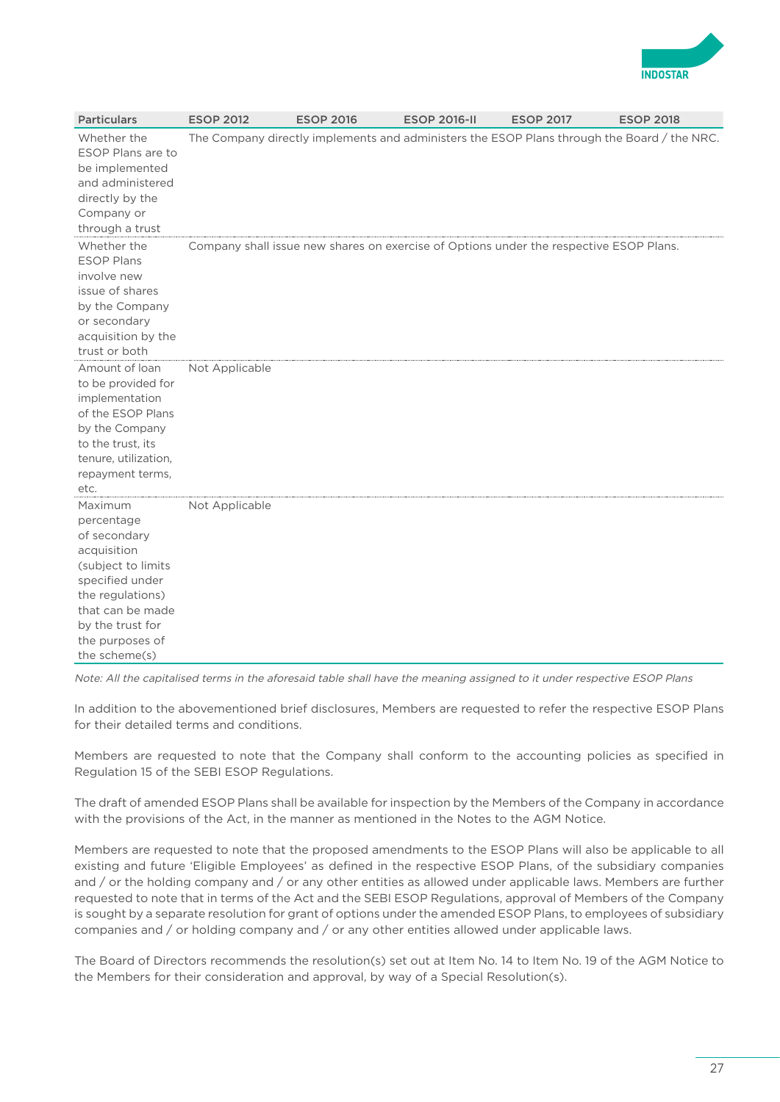

| <b>Particulars</b>                                                                                                                                                                            | <b>ESOP 2012</b> | <b>ESOP 2016</b>                                                                       | <b>ESOP 2016-II</b> | <b>ESOP 2017</b> | <b>ESOP 2018</b>                                                                            |
|-----------------------------------------------------------------------------------------------------------------------------------------------------------------------------------------------|------------------|----------------------------------------------------------------------------------------|---------------------|------------------|---------------------------------------------------------------------------------------------|
| Whether the<br>ESOP Plans are to<br>be implemented<br>and administered<br>directly by the<br>Company or<br>through a trust                                                                    |                  |                                                                                        |                     |                  | The Company directly implements and administers the ESOP Plans through the Board / the NRC. |
| Whether the<br><b>ESOP Plans</b><br>involve new<br>issue of shares<br>by the Company<br>or secondary<br>acquisition by the<br>trust or both                                                   |                  | Company shall issue new shares on exercise of Options under the respective ESOP Plans. |                     |                  |                                                                                             |
| Amount of loan<br>to be provided for<br>implementation<br>of the ESOP Plans<br>by the Company<br>to the trust, its<br>tenure, utilization,<br>repayment terms,<br>etc.                        | Not Applicable   |                                                                                        |                     |                  |                                                                                             |
| Maximum<br>percentage<br>of secondary<br>acquisition<br>(subject to limits<br>specified under<br>the regulations)<br>that can be made<br>by the trust for<br>the purposes of<br>the scheme(s) | Not Applicable   |                                                                                        |                     |                  |                                                                                             |

Note: All the capitalised terms in the aforesaid table shall have the meaning assigned to it under respective ESOP Plans

In addition to the abovementioned brief disclosures, Members are requested to refer the respective ESOP Plans for their detailed terms and conditions.

Members are requested to note that the Company shall conform to the accounting policies as specified in Regulation 15 of the SEBI ESOP Regulations.

The draft of amended ESOP Plans shall be available for inspection by the Members of the Company in accordance with the provisions of the Act, in the manner as mentioned in the Notes to the AGM Notice.

Members are requested to note that the proposed amendments to the ESOP Plans will also be applicable to all existing and future 'Eligible Employees' as defined in the respective ESOP Plans, of the subsidiary companies and / or the holding company and / or any other entities as allowed under applicable laws. Members are further requested to note that in terms of the Act and the SEBI ESOP Regulations, approval of Members of the Company is sought by a separate resolution for grant of options under the amended ESOP Plans, to employees of subsidiary companies and / or holding company and / or any other entities allowed under applicable laws.

The Board of Directors recommends the resolution(s) set out at Item No. 14 to Item No. 19 of the AGM Notice to the Members for their consideration and approval, by way of a Special Resolution(s).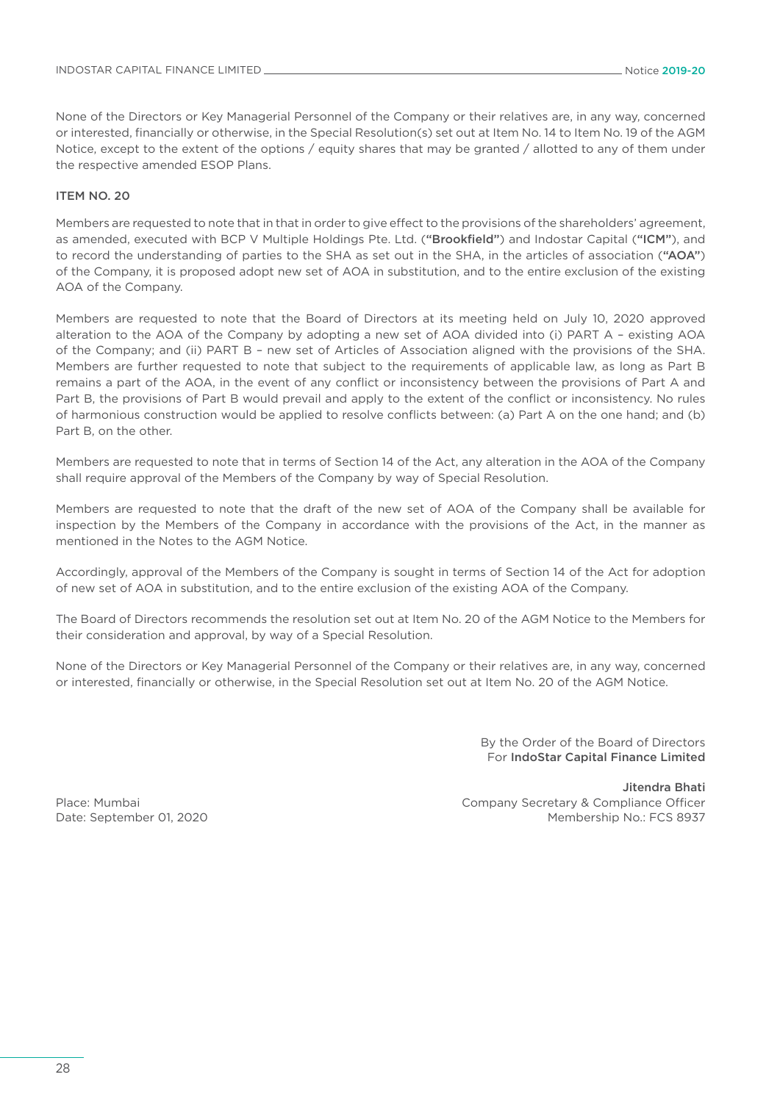None of the Directors or Key Managerial Personnel of the Company or their relatives are, in any way, concerned or interested, financially or otherwise, in the Special Resolution(s) set out at Item No. 14 to Item No. 19 of the AGM Notice, except to the extent of the options / equity shares that may be granted / allotted to any of them under the respective amended ESOP Plans.

### ITEM NO. 20

Members are requested to note that in that in order to give effect to the provisions of the shareholders' agreement, as amended, executed with BCP V Multiple Holdings Pte. Ltd. ("Brookfield") and Indostar Capital ("ICM"), and to record the understanding of parties to the SHA as set out in the SHA, in the articles of association ("AOA") of the Company, it is proposed adopt new set of AOA in substitution, and to the entire exclusion of the existing AOA of the Company.

Members are requested to note that the Board of Directors at its meeting held on July 10, 2020 approved alteration to the AOA of the Company by adopting a new set of AOA divided into (i) PART A – existing AOA of the Company; and (ii) PART B – new set of Articles of Association aligned with the provisions of the SHA. Members are further requested to note that subject to the requirements of applicable law, as long as Part B remains a part of the AOA, in the event of any conflict or inconsistency between the provisions of Part A and Part B, the provisions of Part B would prevail and apply to the extent of the conflict or inconsistency. No rules of harmonious construction would be applied to resolve conflicts between: (a) Part A on the one hand; and (b) Part B, on the other.

Members are requested to note that in terms of Section 14 of the Act, any alteration in the AOA of the Company shall require approval of the Members of the Company by way of Special Resolution.

Members are requested to note that the draft of the new set of AOA of the Company shall be available for inspection by the Members of the Company in accordance with the provisions of the Act, in the manner as mentioned in the Notes to the AGM Notice.

Accordingly, approval of the Members of the Company is sought in terms of Section 14 of the Act for adoption of new set of AOA in substitution, and to the entire exclusion of the existing AOA of the Company.

The Board of Directors recommends the resolution set out at Item No. 20 of the AGM Notice to the Members for their consideration and approval, by way of a Special Resolution.

None of the Directors or Key Managerial Personnel of the Company or their relatives are, in any way, concerned or interested, financially or otherwise, in the Special Resolution set out at Item No. 20 of the AGM Notice.

> By the Order of the Board of Directors For IndoStar Capital Finance Limited

Place: Mumbai Date: September 01, 2020

Jitendra Bhati Company Secretary & Compliance Officer Membership No.: FCS 8937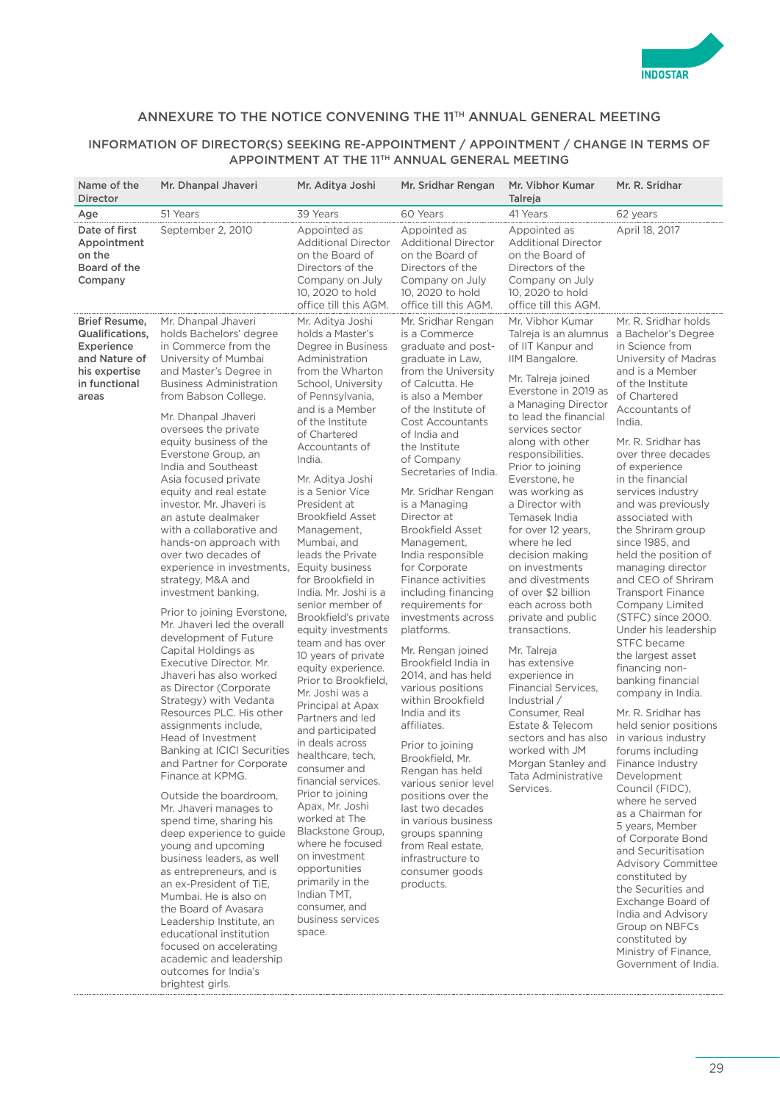

## ANNEXURE TO THE NOTICE CONVENING THE 11TH ANNUAL GENERAL MEETING

### INFORMATION OF DIRECTOR(S) SEEKING RE-APPOINTMENT / APPOINTMENT / CHANGE IN TERMS OF APPOINTMENT AT THE 11TH ANNUAL GENERAL MEETING

| Name of the<br><b>Director</b>                                                                             | Mr. Dhanpal Jhaveri                                                                                                                                                                                                                                                                                                                                                                                                                                                                                                                                                                                                                                                                                                                                                                                                                                                                                                                                                                                                                                                                                                                                                                                                                                                                                                                                                                           | Mr. Aditya Joshi                                                                                                                                                                                                                                                                                                                                                                                                                                                                                                                                                                                                                                                                                                                                                                                                                                                                                                                                                                      | Mr. Sridhar Rengan                                                                                                                                                                                                                                                                                                                                                                                                                                                                                                                                                                                                                                                                                                                                                                                                                                                                                          | Mr. Vibhor Kumar<br>Talreja                                                                                                                                                                                                                                                                                                                                                                                                                                                                                                                                                                                                                                                                                                           | Mr. R. Sridhar                                                                                                                                                                                                                                                                                                                                                                                                                                                                                                                                                                                                                                                                                                                                                                                                                                                                                                                                                                                                                                                                                                          |
|------------------------------------------------------------------------------------------------------------|-----------------------------------------------------------------------------------------------------------------------------------------------------------------------------------------------------------------------------------------------------------------------------------------------------------------------------------------------------------------------------------------------------------------------------------------------------------------------------------------------------------------------------------------------------------------------------------------------------------------------------------------------------------------------------------------------------------------------------------------------------------------------------------------------------------------------------------------------------------------------------------------------------------------------------------------------------------------------------------------------------------------------------------------------------------------------------------------------------------------------------------------------------------------------------------------------------------------------------------------------------------------------------------------------------------------------------------------------------------------------------------------------|---------------------------------------------------------------------------------------------------------------------------------------------------------------------------------------------------------------------------------------------------------------------------------------------------------------------------------------------------------------------------------------------------------------------------------------------------------------------------------------------------------------------------------------------------------------------------------------------------------------------------------------------------------------------------------------------------------------------------------------------------------------------------------------------------------------------------------------------------------------------------------------------------------------------------------------------------------------------------------------|-------------------------------------------------------------------------------------------------------------------------------------------------------------------------------------------------------------------------------------------------------------------------------------------------------------------------------------------------------------------------------------------------------------------------------------------------------------------------------------------------------------------------------------------------------------------------------------------------------------------------------------------------------------------------------------------------------------------------------------------------------------------------------------------------------------------------------------------------------------------------------------------------------------|---------------------------------------------------------------------------------------------------------------------------------------------------------------------------------------------------------------------------------------------------------------------------------------------------------------------------------------------------------------------------------------------------------------------------------------------------------------------------------------------------------------------------------------------------------------------------------------------------------------------------------------------------------------------------------------------------------------------------------------|-------------------------------------------------------------------------------------------------------------------------------------------------------------------------------------------------------------------------------------------------------------------------------------------------------------------------------------------------------------------------------------------------------------------------------------------------------------------------------------------------------------------------------------------------------------------------------------------------------------------------------------------------------------------------------------------------------------------------------------------------------------------------------------------------------------------------------------------------------------------------------------------------------------------------------------------------------------------------------------------------------------------------------------------------------------------------------------------------------------------------|
| Age                                                                                                        | 51 Years                                                                                                                                                                                                                                                                                                                                                                                                                                                                                                                                                                                                                                                                                                                                                                                                                                                                                                                                                                                                                                                                                                                                                                                                                                                                                                                                                                                      | 39 Years                                                                                                                                                                                                                                                                                                                                                                                                                                                                                                                                                                                                                                                                                                                                                                                                                                                                                                                                                                              | 60 Years                                                                                                                                                                                                                                                                                                                                                                                                                                                                                                                                                                                                                                                                                                                                                                                                                                                                                                    | 41 Years                                                                                                                                                                                                                                                                                                                                                                                                                                                                                                                                                                                                                                                                                                                              | 62 years                                                                                                                                                                                                                                                                                                                                                                                                                                                                                                                                                                                                                                                                                                                                                                                                                                                                                                                                                                                                                                                                                                                |
| Date of first<br>Appointment<br>on the<br>Board of the<br>Company                                          | September 2, 2010                                                                                                                                                                                                                                                                                                                                                                                                                                                                                                                                                                                                                                                                                                                                                                                                                                                                                                                                                                                                                                                                                                                                                                                                                                                                                                                                                                             | Appointed as<br><b>Additional Director</b><br>on the Board of<br>Directors of the<br>Company on July<br>10, 2020 to hold<br>office till this AGM.                                                                                                                                                                                                                                                                                                                                                                                                                                                                                                                                                                                                                                                                                                                                                                                                                                     | Appointed as<br><b>Additional Director</b><br>on the Board of<br>Directors of the<br>Company on July<br>10, 2020 to hold<br>office till this AGM.                                                                                                                                                                                                                                                                                                                                                                                                                                                                                                                                                                                                                                                                                                                                                           | Appointed as<br><b>Additional Director</b><br>on the Board of<br>Directors of the<br>Company on July<br>10, 2020 to hold<br>office till this AGM.                                                                                                                                                                                                                                                                                                                                                                                                                                                                                                                                                                                     | April 18, 2017                                                                                                                                                                                                                                                                                                                                                                                                                                                                                                                                                                                                                                                                                                                                                                                                                                                                                                                                                                                                                                                                                                          |
| Brief Resume,<br>Qualifications.<br>Experience<br>and Nature of<br>his expertise<br>in functional<br>areas | Mr. Dhanpal Jhaveri<br>holds Bachelors' degree<br>in Commerce from the<br>University of Mumbai<br>and Master's Degree in<br><b>Business Administration</b><br>from Babson College.<br>Mr. Dhanpal Jhaveri<br>oversees the private<br>equity business of the<br>Everstone Group, an<br>India and Southeast<br>Asia focused private<br>equity and real estate<br>investor. Mr. Jhaveri is<br>an astute dealmaker<br>with a collaborative and<br>hands-on approach with<br>over two decades of<br>experience in investments,<br>strategy, M&A and<br>investment banking.<br>Prior to joining Everstone,<br>Mr. Jhaveri led the overall<br>development of Future<br>Capital Holdings as<br>Executive Director, Mr.<br>Jhaveri has also worked<br>as Director (Corporate<br>Strategy) with Vedanta<br>Resources PLC. His other<br>assignments include,<br>Head of Investment<br><b>Banking at ICICI Securities</b><br>and Partner for Corporate<br>Finance at KPMG.<br>Outside the boardroom,<br>Mr. Jhaveri manages to<br>spend time, sharing his<br>deep experience to guide<br>young and upcoming<br>business leaders, as well<br>as entrepreneurs, and is<br>an ex-President of TiE,<br>Mumbai. He is also on<br>the Board of Avasara<br>Leadership Institute, an<br>educational institution<br>focused on accelerating<br>academic and leadership<br>outcomes for India's<br>brightest girls. | Mr. Aditya Joshi<br>holds a Master's<br>Degree in Business<br>Administration<br>from the Wharton<br>School, University<br>of Pennsylvania,<br>and is a Member<br>of the Institute<br>of Chartered<br>Accountants of<br>India.<br>Mr. Aditya Joshi<br>is a Senior Vice<br>President at<br><b>Brookfield Asset</b><br>Management,<br>Mumbai, and<br>leads the Private<br>Equity business<br>for Brookfield in<br>India. Mr. Joshi is a<br>senior member of<br>Brookfield's private<br>equity investments<br>team and has over<br>10 years of private<br>equity experience.<br>Prior to Brookfield,<br>Mr. Joshi was a<br>Principal at Apax<br>Partners and led<br>and participated<br>in deals across<br>healthcare, tech,<br>consumer and<br>financial services.<br>Prior to joining<br>Apax, Mr. Joshi<br>worked at The<br>Blackstone Group,<br>where he focused<br>on investment<br>opportunities<br>primarily in the<br>Indian TMT,<br>consumer, and<br>business services<br>space. | Mr. Sridhar Rengan<br>is a Commerce<br>graduate and post-<br>graduate in Law,<br>from the University<br>of Calcutta. He<br>is also a Member<br>of the Institute of<br><b>Cost Accountants</b><br>of India and<br>the Institute<br>of Company<br>Secretaries of India.<br>Mr. Sridhar Rengan<br>is a Managing<br>Director at<br><b>Brookfield Asset</b><br>Management,<br>India responsible<br>for Corporate<br>Finance activities<br>including financing<br>requirements for<br>investments across<br>platforms.<br>Mr. Rengan joined<br>Brookfield India in<br>2014, and has held<br>various positions<br>within Brookfield<br>India and its<br>affiliates.<br>Prior to joining<br>Brookfield, Mr.<br>Rengan has held<br>various senior level<br>positions over the<br>last two decades<br>in various business<br>groups spanning<br>from Real estate,<br>infrastructure to<br>consumer goods<br>products. | Mr. Vibhor Kumar<br>of IIT Kanpur and<br>IIM Bangalore.<br>Mr. Talreja joined<br>Everstone in 2019 as<br>a Managing Director<br>to lead the financial<br>services sector<br>along with other<br>responsibilities.<br>Prior to joining<br>Everstone, he<br>was working as<br>a Director with<br>Temasek India<br>for over 12 years,<br>where he led<br>decision making<br>on investments<br>and divestments<br>of over \$2 billion<br>each across both<br>private and public<br>transactions.<br>Mr. Talreja<br>has extensive<br>experience in<br><b>Financial Services,</b><br>Industrial /<br>Consumer, Real<br>Estate & Telecom<br>sectors and has also<br>worked with JM<br>Morgan Stanley and<br>Tata Administrative<br>Services. | Mr. R. Sridhar holds<br>Talreja is an alumnus a Bachelor's Degree<br>in Science from<br>University of Madras<br>and is a Member<br>of the Institute<br>of Chartered<br>Accountants of<br>India.<br>Mr. R. Sridhar has<br>over three decades<br>of experience<br>in the financial<br>services industry<br>and was previously<br>associated with<br>the Shriram group<br>since 1985, and<br>held the position of<br>managing director<br>and CEO of Shriram<br><b>Transport Finance</b><br><b>Company Limited</b><br>(STFC) since 2000.<br>Under his leadership<br>STFC became<br>the largest asset<br>financing non-<br>banking financial<br>company in India.<br>Mr. R. Sridhar has<br>held senior positions<br>in various industry<br>forums including<br>Finance Industry<br>Development<br>Council (FIDC),<br>where he served<br>as a Chairman for<br>5 years, Member<br>of Corporate Bond<br>and Securitisation<br><b>Advisory Committee</b><br>constituted by<br>the Securities and<br>Exchange Board of<br>India and Advisory<br>Group on NBFCs<br>constituted by<br>Ministry of Finance,<br>Government of India. |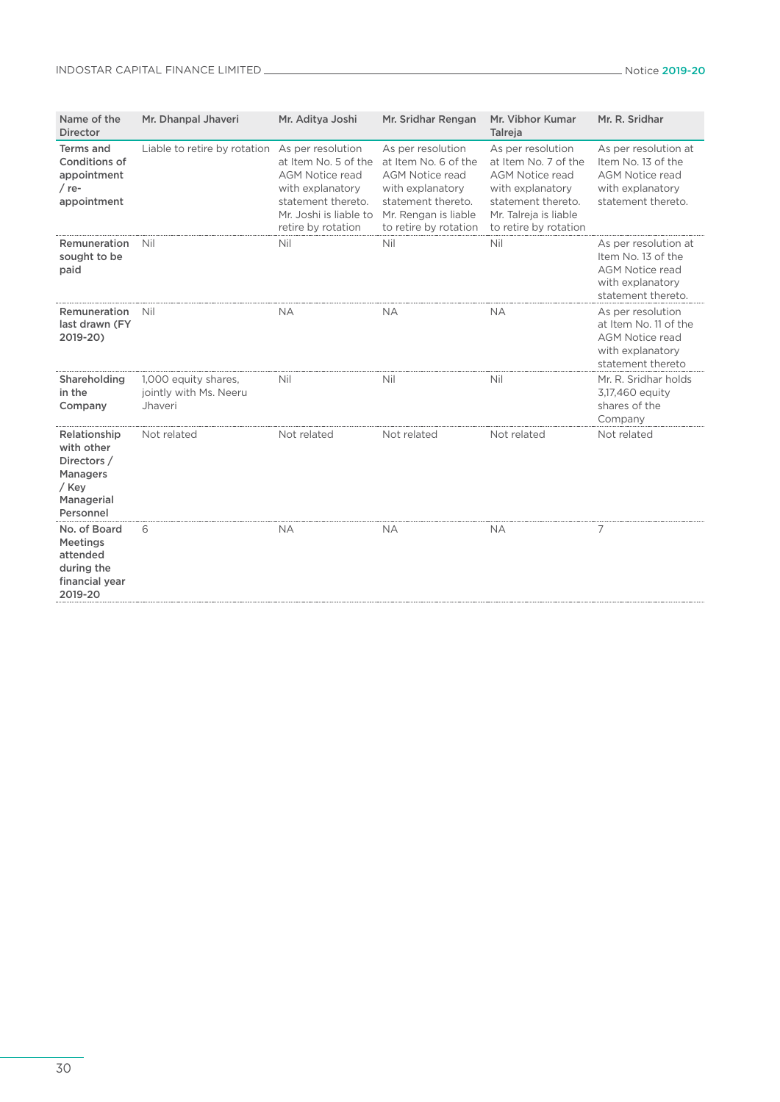# INDOSTAR CAPITAL FINANCE LIMITED Notice 2019-20

| Name of the<br><b>Director</b>                                                            | Mr. Dhanpal Jhaveri                                       | Mr. Aditya Joshi                                                                                                                                              | Mr. Sridhar Rengan                                                                                                                                             | Mr. Vibhor Kumar<br>Talreja                                                                                                                                     | Mr. R. Sridhar                                                                                                 |
|-------------------------------------------------------------------------------------------|-----------------------------------------------------------|---------------------------------------------------------------------------------------------------------------------------------------------------------------|----------------------------------------------------------------------------------------------------------------------------------------------------------------|-----------------------------------------------------------------------------------------------------------------------------------------------------------------|----------------------------------------------------------------------------------------------------------------|
| <b>Terms and</b><br><b>Conditions of</b><br>appointment<br>$/$ re-<br>appointment         | Liable to retire by rotation                              | As per resolution<br>at Item No. 5 of the<br><b>AGM Notice read</b><br>with explanatory<br>statement thereto.<br>Mr. Joshi is liable to<br>retire by rotation | As per resolution<br>at Item No. 6 of the<br><b>AGM Notice read</b><br>with explanatory<br>statement thereto.<br>Mr. Rengan is liable<br>to retire by rotation | As per resolution<br>at Item No. 7 of the<br><b>AGM Notice read</b><br>with explanatory<br>statement thereto.<br>Mr. Talreja is liable<br>to retire by rotation | As per resolution at<br>Item No. 13 of the<br><b>AGM Notice read</b><br>with explanatory<br>statement thereto. |
| Remuneration<br>sought to be<br>paid                                                      | Nil                                                       | Nil                                                                                                                                                           | Nil                                                                                                                                                            | Nil                                                                                                                                                             | As per resolution at<br>Item No. 13 of the<br><b>AGM Notice read</b><br>with explanatory<br>statement thereto. |
| Remuneration<br>last drawn (FY<br>2019-20)                                                | Nil                                                       | <b>NA</b>                                                                                                                                                     | <b>NA</b>                                                                                                                                                      | <b>NA</b>                                                                                                                                                       | As per resolution<br>at Item No. 11 of the<br><b>AGM Notice read</b><br>with explanatory<br>statement thereto  |
| Shareholding<br>in the<br>Company                                                         | 1,000 equity shares,<br>jointly with Ms. Neeru<br>Jhaveri | Nil                                                                                                                                                           | Nil                                                                                                                                                            | Nil                                                                                                                                                             | Mr. R. Sridhar holds<br>3,17,460 equity<br>shares of the<br>Company                                            |
| Relationship<br>with other<br>Directors /<br>Managers<br>/ Key<br>Managerial<br>Personnel | Not related                                               | Not related                                                                                                                                                   | Not related                                                                                                                                                    | Not related                                                                                                                                                     | Not related                                                                                                    |
| No. of Board<br>Meetings<br>attended<br>during the<br>financial year<br>2019-20           | 6                                                         | <b>NA</b>                                                                                                                                                     | <b>NA</b>                                                                                                                                                      | <b>NA</b>                                                                                                                                                       | 7                                                                                                              |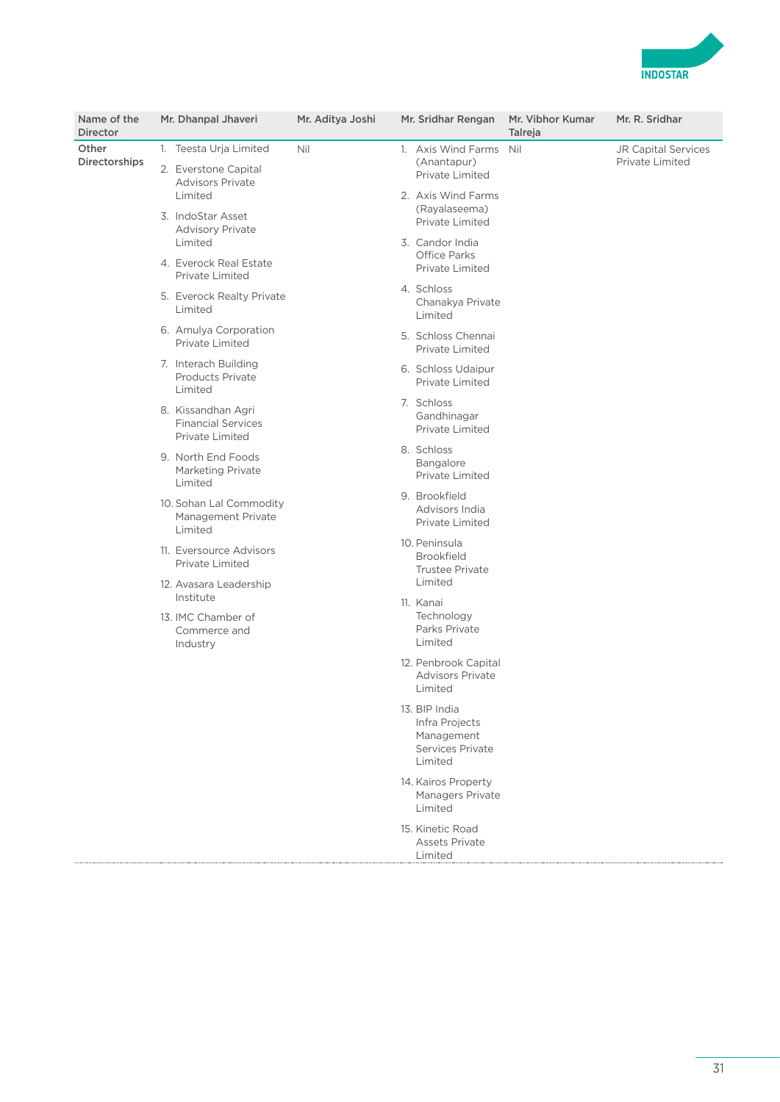

| Name of the<br>Director |  | Mr. Dhanpal Jhaveri                                                | Mr. Aditya Joshi |                                                                                      | Mr. Sridhar Rengan                                                           | Mr. Vibhor Kumar<br>Talreja | Mr. R. Sridhar                         |
|-------------------------|--|--------------------------------------------------------------------|------------------|--------------------------------------------------------------------------------------|------------------------------------------------------------------------------|-----------------------------|----------------------------------------|
| Other                   |  | 1. Teesta Urja Limited                                             | Nil              |                                                                                      | 1. Axis Wind Farms Nil                                                       |                             | JR Capital Services<br>Private Limited |
| Directorships           |  | 2. Everstone Capital<br><b>Advisors Private</b><br>Limited         |                  |                                                                                      | (Anantapur)<br>Private Limited<br>2. Axis Wind Farms                         |                             |                                        |
|                         |  | 3. IndoStar Asset<br><b>Advisory Private</b><br>Limited            |                  |                                                                                      | (Rayalaseema)<br>Private Limited<br>3. Candor India                          |                             |                                        |
|                         |  | 4. Everock Real Estate<br>Private Limited                          |                  | Office Parks<br>Private Limited<br>4. Schloss<br>Chanakya Private<br>Limited         |                                                                              |                             |                                        |
|                         |  | 5. Everock Realty Private<br>Limited                               |                  |                                                                                      |                                                                              |                             |                                        |
|                         |  | 6. Amulya Corporation<br>Private Limited                           |                  |                                                                                      | 5. Schloss Chennai<br>Private Limited                                        |                             |                                        |
|                         |  | 7. Interach Building<br><b>Products Private</b><br>Limited         |                  |                                                                                      | 6. Schloss Udaipur<br>Private Limited                                        |                             |                                        |
|                         |  | 8. Kissandhan Agri<br><b>Financial Services</b><br>Private Limited |                  |                                                                                      | 7. Schloss<br>Gandhinagar<br>Private Limited                                 |                             |                                        |
|                         |  | 9. North End Foods<br>Marketing Private<br>Limited                 |                  |                                                                                      | 8. Schloss<br>Bangalore<br><b>Private Limited</b>                            |                             |                                        |
|                         |  | 10. Sohan Lal Commodity<br>Management Private<br>Limited           |                  |                                                                                      | 9. Brookfield<br>Advisors India<br>Private Limited                           |                             |                                        |
|                         |  | 11. Eversource Advisors<br><b>Private Limited</b>                  |                  | 10. Peninsula<br><b>Brookfield</b><br><b>Trustee Private</b><br>Limited<br>11. Kanai |                                                                              |                             |                                        |
|                         |  | 12. Avasara Leadership<br>Institute                                |                  |                                                                                      |                                                                              |                             |                                        |
|                         |  | 13. IMC Chamber of<br>Commerce and<br>Industry                     |                  |                                                                                      | Technology<br>Parks Private<br>Limited                                       |                             |                                        |
|                         |  |                                                                    |                  |                                                                                      | 12. Penbrook Capital<br><b>Advisors Private</b><br>Limited                   |                             |                                        |
|                         |  |                                                                    |                  |                                                                                      | 13. BIP India<br>Infra Projects<br>Management<br>Services Private<br>Limited |                             |                                        |
|                         |  |                                                                    |                  |                                                                                      | 14. Kairos Property<br>Managers Private<br>Limited                           |                             |                                        |
|                         |  |                                                                    |                  |                                                                                      | 15. Kinetic Road<br>Assets Private<br>Limited                                |                             |                                        |